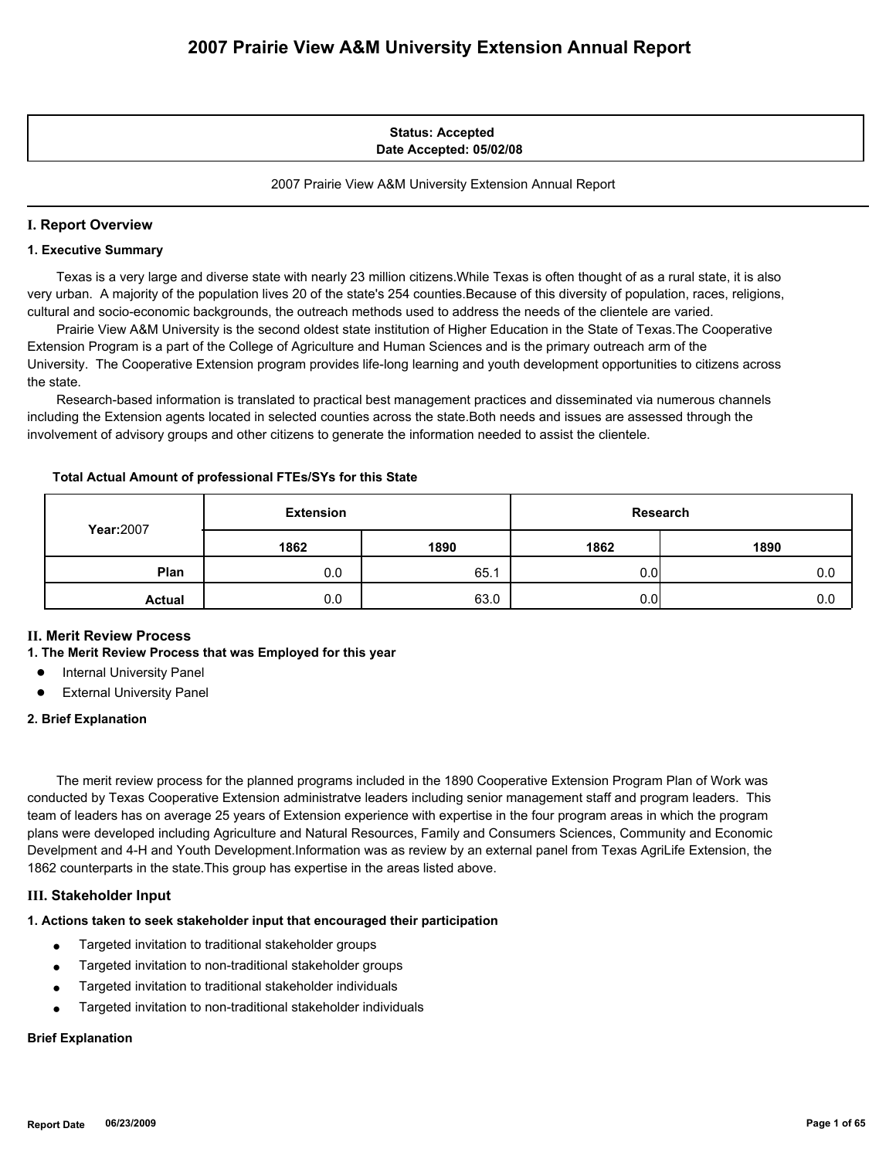#### **Status: Accepted Date Accepted: 05/02/08**

2007 Prairie View A&M University Extension Annual Report

### **I. Report Overview**

#### **1. Executive Summary**

 Texas is a very large and diverse state with nearly 23 million citizens.While Texas is often thought of as a rural state, it is also very urban. A majority of the population lives 20 of the state's 254 counties.Because of this diversity of population, races, religions, cultural and socio-economic backgrounds, the outreach methods used to address the needs of the clientele are varied.

 Prairie View A&M University is the second oldest state institution of Higher Education in the State of Texas.The Cooperative Extension Program is a part of the College of Agriculture and Human Sciences and is the primary outreach arm of the University. The Cooperative Extension program provides life-long learning and youth development opportunities to citizens across the state.

 Research-based information is translated to practical best management practices and disseminated via numerous channels including the Extension agents located in selected counties across the state.Both needs and issues are assessed through the involvement of advisory groups and other citizens to generate the information needed to assist the clientele.

#### **Total Actual Amount of professional FTEs/SYs for this State**

| <b>Year:2007</b> | <b>Extension</b> |      | Research |      |
|------------------|------------------|------|----------|------|
|                  | 1862             | 1890 | 1862     | 1890 |
| Plan             | 0.0              | 65.1 | 0.0      | 0.0  |
| <b>Actual</b>    | 0.0              | 63.0 | 0.0      | 0.0  |

## **II. Merit Review Process**

#### **1. The Merit Review Process that was Employed for this year**

- **Internal University Panel**
- **External University Panel**

#### **2. Brief Explanation**

 The merit review process for the planned programs included in the 1890 Cooperative Extension Program Plan of Work was conducted by Texas Cooperative Extension administratve leaders including senior management staff and program leaders. This team of leaders has on average 25 years of Extension experience with expertise in the four program areas in which the program plans were developed including Agriculture and Natural Resources, Family and Consumers Sciences, Community and Economic Develpment and 4-H and Youth Development.Information was as review by an external panel from Texas AgriLife Extension, the 1862 counterparts in the state.This group has expertise in the areas listed above.

#### **III. Stakeholder Input**

#### **1. Actions taken to seek stakeholder input that encouraged their participation**

- Targeted invitation to traditional stakeholder groups
- Targeted invitation to non-traditional stakeholder groups
- Targeted invitation to traditional stakeholder individuals
- Targeted invitation to non-traditional stakeholder individuals

#### **Brief Explanation**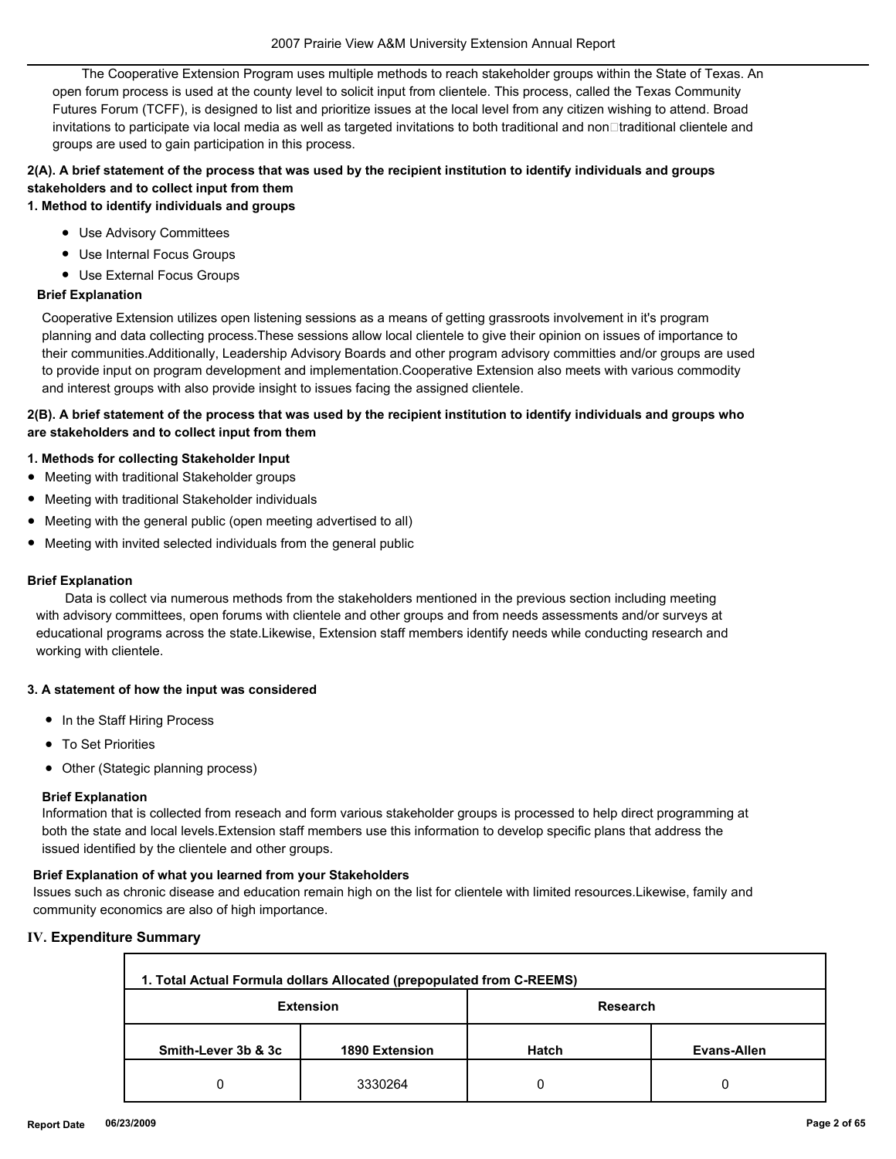The Cooperative Extension Program uses multiple methods to reach stakeholder groups within the State of Texas. An open forum process is used at the county level to solicit input from clientele. This process, called the Texas Community Futures Forum (TCFF), is designed to list and prioritize issues at the local level from any citizen wishing to attend. Broad invitations to participate via local media as well as targeted invitations to both traditional and non□traditional clientele and groups are used to gain participation in this process.

# **2(A). A brief statement of the process that was used by the recipient institution to identify individuals and groups stakeholders and to collect input from them**

**1. Method to identify individuals and groups**

- Use Advisory Committees
- Use Internal Focus Groups
- Use External Focus Groups

## **Brief Explanation**

Cooperative Extension utilizes open listening sessions as a means of getting grassroots involvement in it's program planning and data collecting process.These sessions allow local clientele to give their opinion on issues of importance to their communities.Additionally, Leadership Advisory Boards and other program advisory committies and/or groups are used to provide input on program development and implementation.Cooperative Extension also meets with various commodity and interest groups with also provide insight to issues facing the assigned clientele.

## **2(B). A brief statement of the process that was used by the recipient institution to identify individuals and groups who are stakeholders and to collect input from them**

## **1. Methods for collecting Stakeholder Input**

- Meeting with traditional Stakeholder groups
- Meeting with traditional Stakeholder individuals
- Meeting with the general public (open meeting advertised to all)
- Meeting with invited selected individuals from the general public

#### **Brief Explanation**

 Data is collect via numerous methods from the stakeholders mentioned in the previous section including meeting with advisory committees, open forums with clientele and other groups and from needs assessments and/or surveys at educational programs across the state.Likewise, Extension staff members identify needs while conducting research and working with clientele.

#### **3. A statement of how the input was considered**

- In the Staff Hiring Process
- To Set Priorities
- Other (Stategic planning process)

#### **Brief Explanation**

Information that is collected from reseach and form various stakeholder groups is processed to help direct programming at both the state and local levels.Extension staff members use this information to develop specific plans that address the issued identified by the clientele and other groups.

#### **Brief Explanation of what you learned from your Stakeholders**

Issues such as chronic disease and education remain high on the list for clientele with limited resources.Likewise, family and community economics are also of high importance.

#### **IV. Expenditure Summary**

| 1. Total Actual Formula dollars Allocated (prepopulated from C-REEMS) |                  |              |             |  |  |
|-----------------------------------------------------------------------|------------------|--------------|-------------|--|--|
|                                                                       | <b>Extension</b> | Research     |             |  |  |
| Smith-Lever 3b & 3c                                                   | 1890 Extension   | <b>Hatch</b> | Evans-Allen |  |  |
|                                                                       | 3330264          |              | 0           |  |  |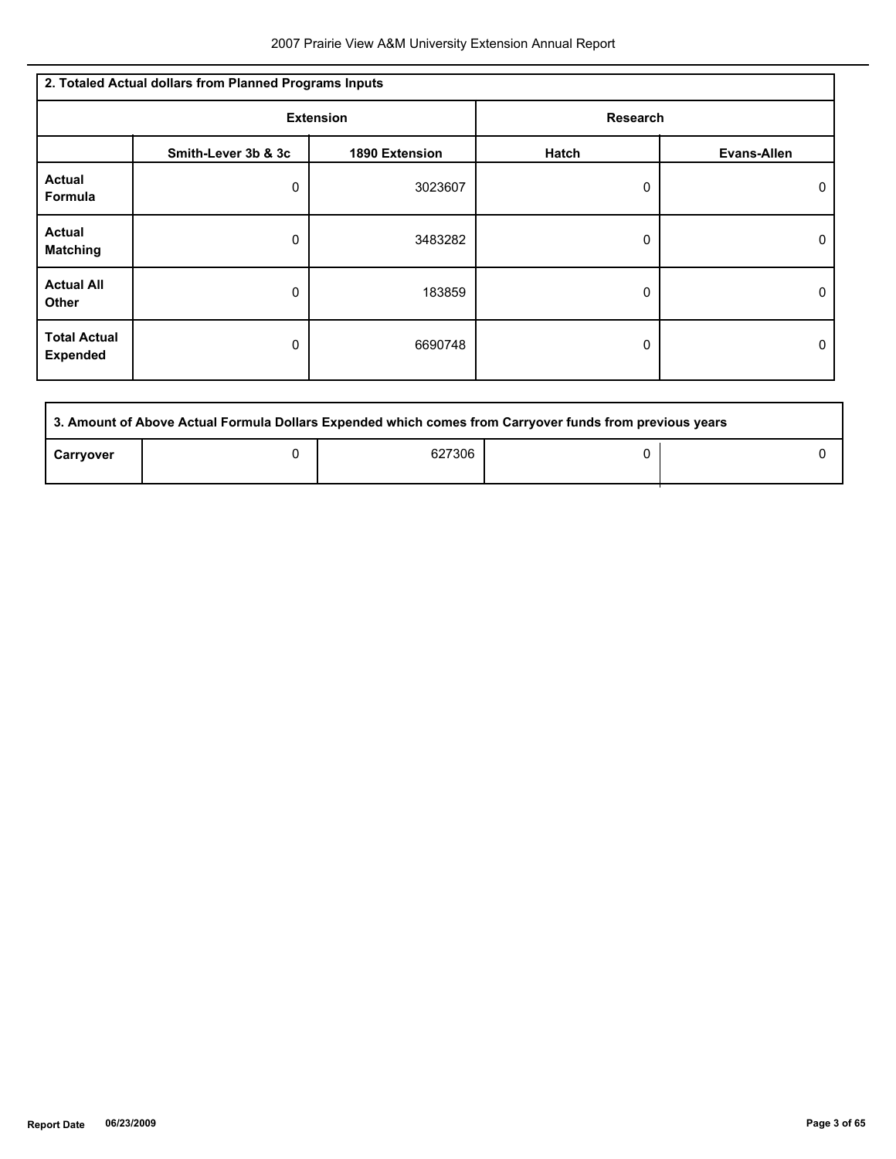| 2. Totaled Actual dollars from Planned Programs Inputs |                     |                |                 |                    |  |
|--------------------------------------------------------|---------------------|----------------|-----------------|--------------------|--|
| <b>Extension</b>                                       |                     |                | <b>Research</b> |                    |  |
|                                                        | Smith-Lever 3b & 3c | 1890 Extension | Hatch           | <b>Evans-Allen</b> |  |
| <b>Actual</b><br><b>Formula</b>                        | 0                   | 3023607        | 0               | 0                  |  |
| <b>Actual</b><br><b>Matching</b>                       | 0                   | 3483282        | 0               | $\Omega$           |  |
| <b>Actual All</b><br>Other                             | 0                   | 183859         | 0               | 0                  |  |
| <b>Total Actual</b><br><b>Expended</b>                 | 0                   | 6690748        | 0               | 0                  |  |

| 3. Amount of Above Actual Formula Dollars Expended which comes from Carryover funds from previous years |  |        |  |  |  |
|---------------------------------------------------------------------------------------------------------|--|--------|--|--|--|
| Carryover                                                                                               |  | 627306 |  |  |  |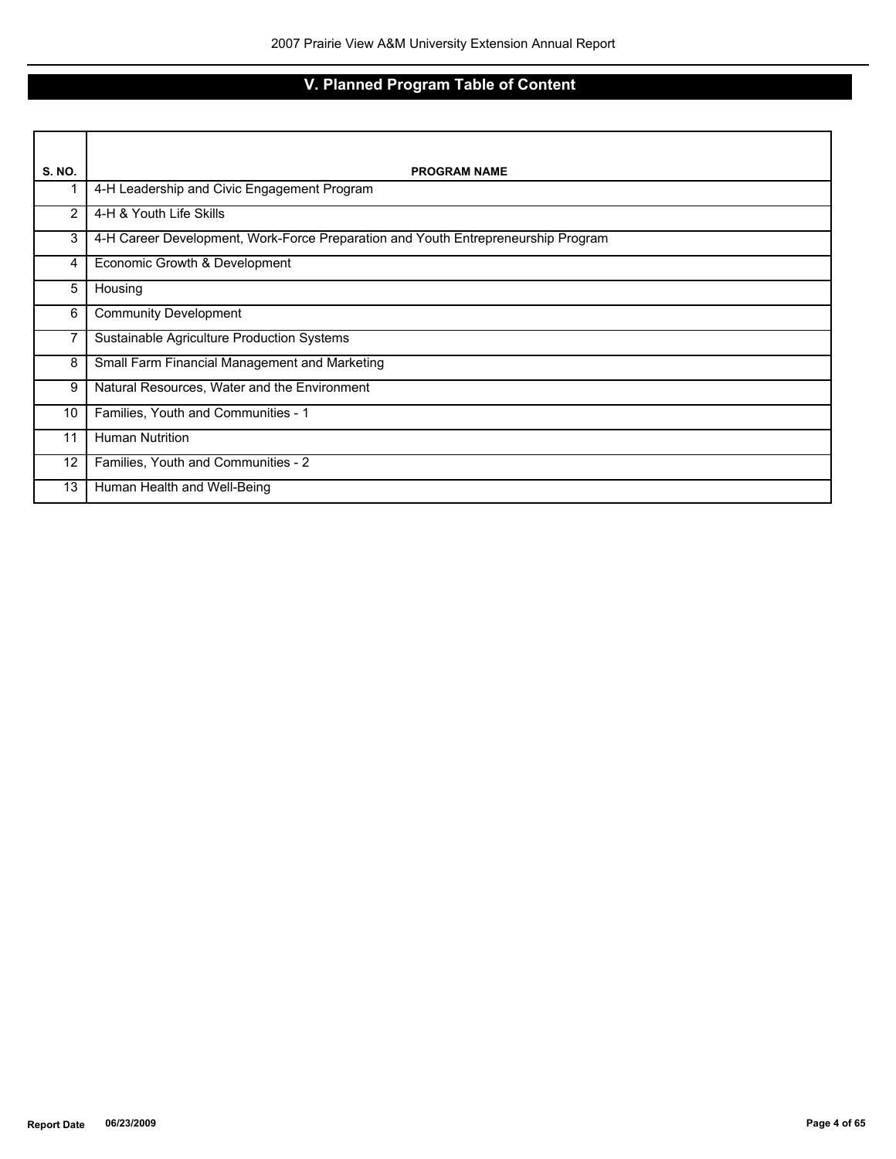# **V. Planned Program Table of Content**

| S. NO.         | <b>PROGRAM NAME</b>                                                               |
|----------------|-----------------------------------------------------------------------------------|
|                | 4-H Leadership and Civic Engagement Program                                       |
| $\overline{2}$ | 4-H & Youth Life Skills                                                           |
| 3              | 4-H Career Development, Work-Force Preparation and Youth Entrepreneurship Program |
| 4              | Economic Growth & Development                                                     |
| 5              | Housing                                                                           |
| 6              | <b>Community Development</b>                                                      |
| 7              | Sustainable Agriculture Production Systems                                        |
| 8              | Small Farm Financial Management and Marketing                                     |
| 9              | Natural Resources, Water and the Environment                                      |
| 10             | Families, Youth and Communities - 1                                               |
| 11             | <b>Human Nutrition</b>                                                            |
| 12             | Families, Youth and Communities - 2                                               |
| 13             | Human Health and Well-Being                                                       |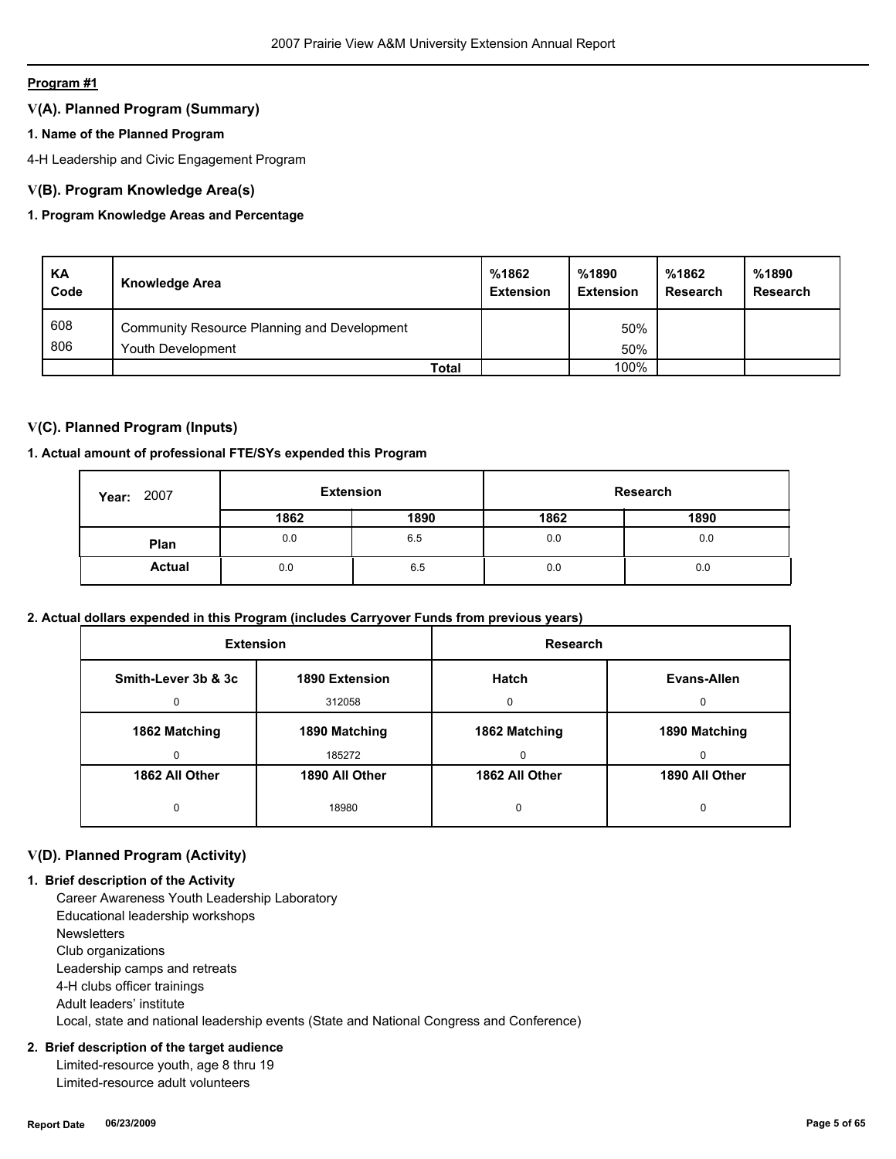## **V(A). Planned Program (Summary)**

## **1. Name of the Planned Program**

4-H Leadership and Civic Engagement Program

## **V(B). Program Knowledge Area(s)**

## **1. Program Knowledge Areas and Percentage**

| KA<br>Code | Knowledge Area                              | %1862<br><b>Extension</b> | %1890<br><b>Extension</b> | %1862<br>Research | %1890<br><b>Research</b> |
|------------|---------------------------------------------|---------------------------|---------------------------|-------------------|--------------------------|
| 608        | Community Resource Planning and Development |                           | 50%                       |                   |                          |
| 806        | Youth Development                           |                           | 50%                       |                   |                          |
|            | <b>Total</b>                                |                           | 100%                      |                   |                          |

## **V(C). Planned Program (Inputs)**

## **1. Actual amount of professional FTE/SYs expended this Program**

| 2007<br>Year: | <b>Extension</b> |      | Research |      |
|---------------|------------------|------|----------|------|
|               | 1862             | 1890 | 1862     | 1890 |
| Plan          | 0.0              | 6.5  | 0.0      | 0.0  |
| <b>Actual</b> | 0.0              | 6.5  | 0.0      | 0.0  |

## **2. Actual dollars expended in this Program (includes Carryover Funds from previous years)**

| <b>Extension</b>    |                | Research       |                |
|---------------------|----------------|----------------|----------------|
| Smith-Lever 3b & 3c | 1890 Extension | Hatch          | Evans-Allen    |
| $\Omega$            | 312058         | 0              | $\Omega$       |
| 1862 Matching       | 1890 Matching  | 1862 Matching  | 1890 Matching  |
| 0                   | 185272         | $\mathbf{0}$   | 0              |
| 1862 All Other      | 1890 All Other | 1862 All Other | 1890 All Other |
| 0                   | 18980          | 0              | $\Omega$       |

## **V(D). Planned Program (Activity)**

#### **1. Brief description of the Activity**

 Career Awareness Youth Leadership Laboratory Educational leadership workshops **Newsletters**  Club organizations Leadership camps and retreats 4-H clubs officer trainings Adult leaders' institute Local, state and national leadership events (State and National Congress and Conference)

## **2. Brief description of the target audience**

 Limited-resource youth, age 8 thru 19 Limited-resource adult volunteers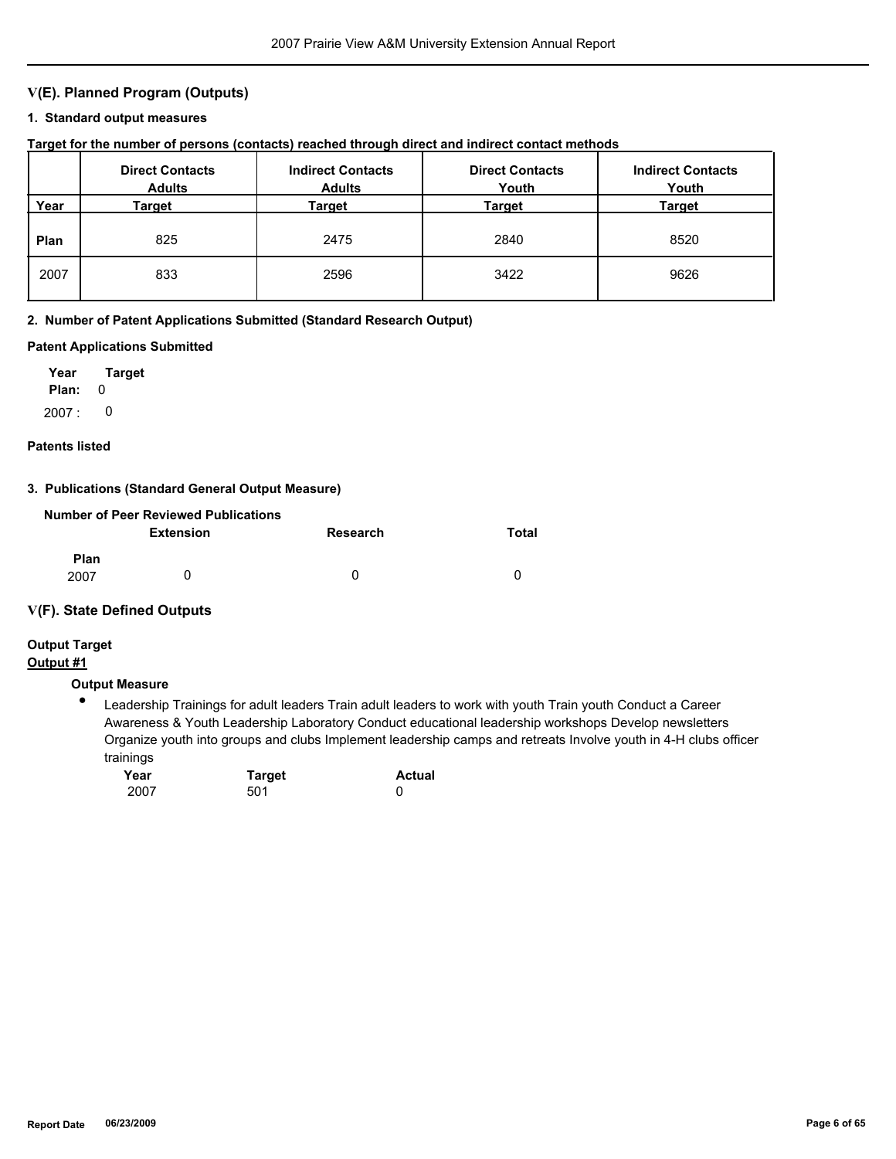## **V(E). Planned Program (Outputs)**

#### **1. Standard output measures**

## **Target for the number of persons (contacts) reached through direct and indirect contact methods**

|      | <b>Direct Contacts</b><br><b>Adults</b> | <b>Indirect Contacts</b><br><b>Adults</b> | <b>Direct Contacts</b><br>Youth | <b>Indirect Contacts</b><br>Youth |
|------|-----------------------------------------|-------------------------------------------|---------------------------------|-----------------------------------|
| Year | Target                                  | Target                                    | Target                          | Target                            |
| Plan | 825                                     | 2475                                      | 2840                            | 8520                              |
| 2007 | 833                                     | 2596                                      | 3422                            | 9626                              |

#### **2. Number of Patent Applications Submitted (Standard Research Output)**

### **Patent Applications Submitted**

**Plan:** 0 **Year Target**  $2007: 0$ 

#### **Patents listed**

#### **3. Publications (Standard General Output Measure)**

|                     | Number of Peer Reviewed Publications |          |       |
|---------------------|--------------------------------------|----------|-------|
|                     | <b>Extension</b>                     | Research | Total |
| <b>Plan</b><br>2007 |                                      | 0        | 0     |

## **V(F). State Defined Outputs**

## **Output Target**

## **Output #1**

## **Output Measure**

● Leadership Trainings for adult leaders Train adult leaders to work with youth Train youth Conduct a Career Awareness & Youth Leadership Laboratory Conduct educational leadership workshops Develop newsletters Organize youth into groups and clubs Implement leadership camps and retreats Involve youth in 4-H clubs officer trainings

| Year | <b>Target</b> | <b>Actual</b> |
|------|---------------|---------------|
| 2007 | 501           |               |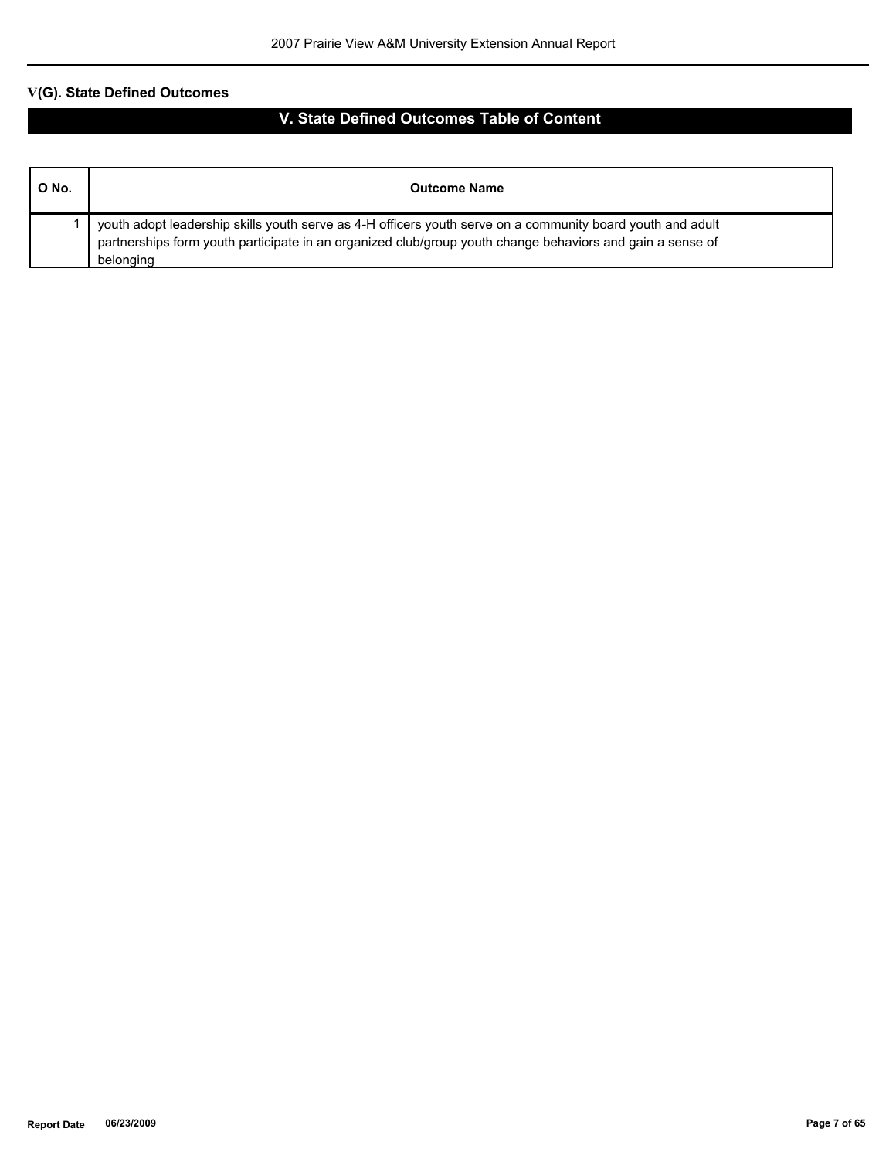| O No. | <b>Outcome Name</b>                                                                                                                                                                                                                  |
|-------|--------------------------------------------------------------------------------------------------------------------------------------------------------------------------------------------------------------------------------------|
|       | youth adopt leadership skills youth serve as 4-H officers youth serve on a community board youth and adult<br>partnerships form youth participate in an organized club/group youth change behaviors and gain a sense of<br>belonging |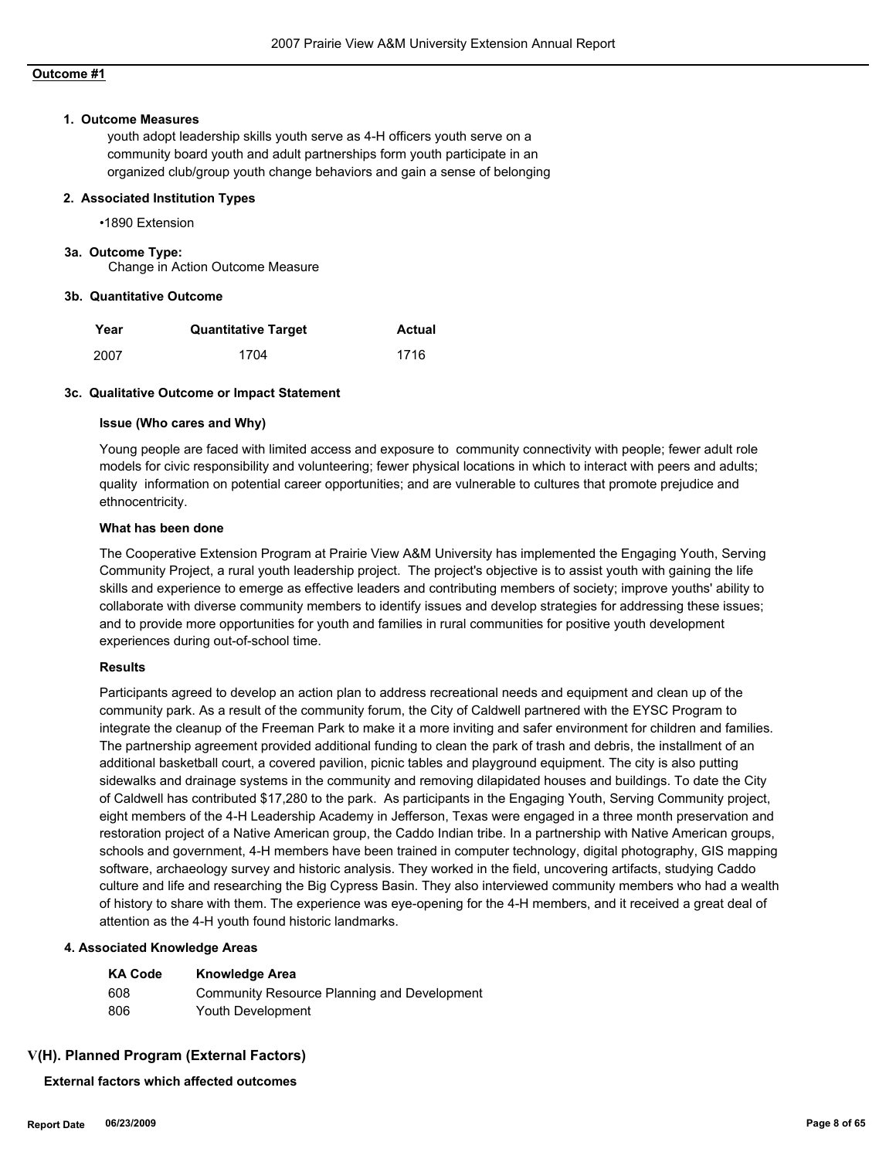#### **1. Outcome Measures**

youth adopt leadership skills youth serve as 4-H officers youth serve on a community board youth and adult partnerships form youth participate in an organized club/group youth change behaviors and gain a sense of belonging

#### **2. Associated Institution Types**

•1890 Extension

#### **3a. Outcome Type:**

Change in Action Outcome Measure

#### **3b. Quantitative Outcome**

| Year | <b>Quantitative Target</b> | <b>Actual</b> |
|------|----------------------------|---------------|
| 2007 | 1704                       | 1716          |

#### **3c. Qualitative Outcome or Impact Statement**

#### **Issue (Who cares and Why)**

Young people are faced with limited access and exposure to community connectivity with people; fewer adult role models for civic responsibility and volunteering; fewer physical locations in which to interact with peers and adults; quality information on potential career opportunities; and are vulnerable to cultures that promote prejudice and ethnocentricity.

#### **What has been done**

The Cooperative Extension Program at Prairie View A&M University has implemented the Engaging Youth, Serving Community Project, a rural youth leadership project. The project's objective is to assist youth with gaining the life skills and experience to emerge as effective leaders and contributing members of society; improve youths' ability to collaborate with diverse community members to identify issues and develop strategies for addressing these issues; and to provide more opportunities for youth and families in rural communities for positive youth development experiences during out-of-school time.

#### **Results**

Participants agreed to develop an action plan to address recreational needs and equipment and clean up of the community park. As a result of the community forum, the City of Caldwell partnered with the EYSC Program to integrate the cleanup of the Freeman Park to make it a more inviting and safer environment for children and families. The partnership agreement provided additional funding to clean the park of trash and debris, the installment of an additional basketball court, a covered pavilion, picnic tables and playground equipment. The city is also putting sidewalks and drainage systems in the community and removing dilapidated houses and buildings. To date the City of Caldwell has contributed \$17,280 to the park. As participants in the Engaging Youth, Serving Community project, eight members of the 4-H Leadership Academy in Jefferson, Texas were engaged in a three month preservation and restoration project of a Native American group, the Caddo Indian tribe. In a partnership with Native American groups, schools and government, 4-H members have been trained in computer technology, digital photography, GIS mapping software, archaeology survey and historic analysis. They worked in the field, uncovering artifacts, studying Caddo culture and life and researching the Big Cypress Basin. They also interviewed community members who had a wealth of history to share with them. The experience was eye-opening for the 4-H members, and it received a great deal of attention as the 4-H youth found historic landmarks.

#### **4. Associated Knowledge Areas**

| <b>KA Code</b> | <b>Knowledge Area</b>                       |
|----------------|---------------------------------------------|
| 608            | Community Resource Planning and Development |
| 806            | Youth Development                           |

#### **V(H). Planned Program (External Factors)**

**External factors which affected outcomes**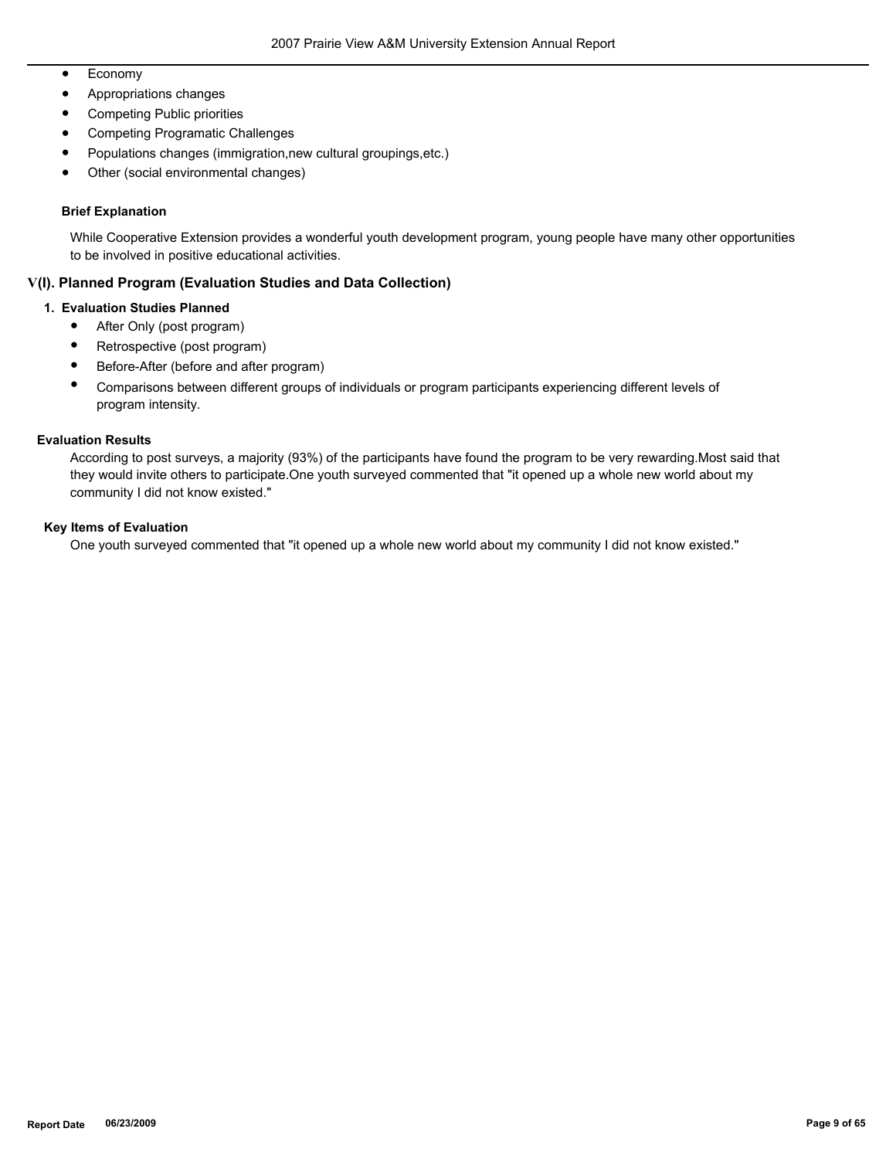- Economy
- Appropriations changes
- Competing Public priorities
- Competing Programatic Challenges
- Populations changes (immigration,new cultural groupings,etc.)
- Other (social environmental changes)

### **Brief Explanation**

While Cooperative Extension provides a wonderful youth development program, young people have many other opportunities to be involved in positive educational activities.

## **V(I). Planned Program (Evaluation Studies and Data Collection)**

#### **1. Evaluation Studies Planned**

- After Only (post program)
- Retrospective (post program)
- Before-After (before and after program)
- Comparisons between different groups of individuals or program participants experiencing different levels of program intensity.

#### **Evaluation Results**

According to post surveys, a majority (93%) of the participants have found the program to be very rewarding.Most said that they would invite others to participate.One youth surveyed commented that "it opened up a whole new world about my community I did not know existed."

#### **Key Items of Evaluation**

One youth surveyed commented that "it opened up a whole new world about my community I did not know existed."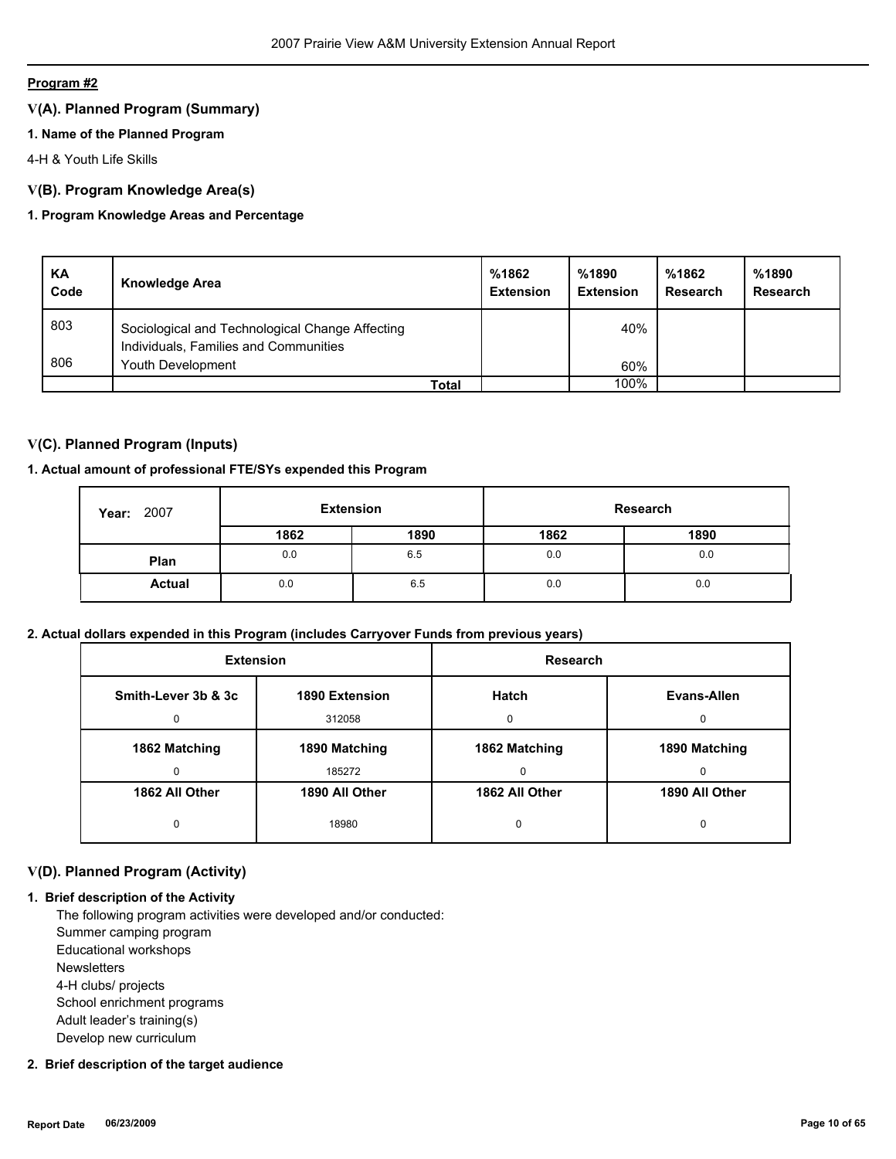## **V(A). Planned Program (Summary)**

## **1. Name of the Planned Program**

4-H & Youth Life Skills

## **V(B). Program Knowledge Area(s)**

## **1. Program Knowledge Areas and Percentage**

| KA<br>Code | <b>Knowledge Area</b>                                                                    | %1862<br><b>Extension</b> | %1890<br><b>Extension</b> | %1862<br>Research | %1890<br>Research |
|------------|------------------------------------------------------------------------------------------|---------------------------|---------------------------|-------------------|-------------------|
| 803        | Sociological and Technological Change Affecting<br>Individuals, Families and Communities |                           | 40%                       |                   |                   |
| 806        | Youth Development                                                                        |                           | 60%                       |                   |                   |
|            | Total                                                                                    |                           | 100%                      |                   |                   |

## **V(C). Planned Program (Inputs)**

## **1. Actual amount of professional FTE/SYs expended this Program**

| 2007<br>Year: | <b>Extension</b> |      | Research |      |
|---------------|------------------|------|----------|------|
|               | 1862             | 1890 | 1862     | 1890 |
| Plan          | 0.0              | 6.5  | 0.0      | 0.0  |
| <b>Actual</b> | 0.0              | 6.5  | 0.0      | 0.0  |

#### **2. Actual dollars expended in this Program (includes Carryover Funds from previous years)**

| <b>Extension</b>    |                | <b>Research</b> |                |
|---------------------|----------------|-----------------|----------------|
| Smith-Lever 3b & 3c | 1890 Extension | <b>Hatch</b>    | Evans-Allen    |
| 0                   | 312058         | <sup>0</sup>    | $\Omega$       |
| 1862 Matching       | 1890 Matching  | 1862 Matching   | 1890 Matching  |
| 0                   | 185272         | $\Omega$        | <sup>0</sup>   |
| 1862 All Other      | 1890 All Other | 1862 All Other  | 1890 All Other |
| 0                   | 18980          | 0               | 0              |

## **V(D). Planned Program (Activity)**

## **1. Brief description of the Activity**

 The following program activities were developed and/or conducted: Summer camping program Educational workshops **Newsletters**  4-H clubs/ projects School enrichment programs Adult leader's training(s) Develop new curriculum

## **2. Brief description of the target audience**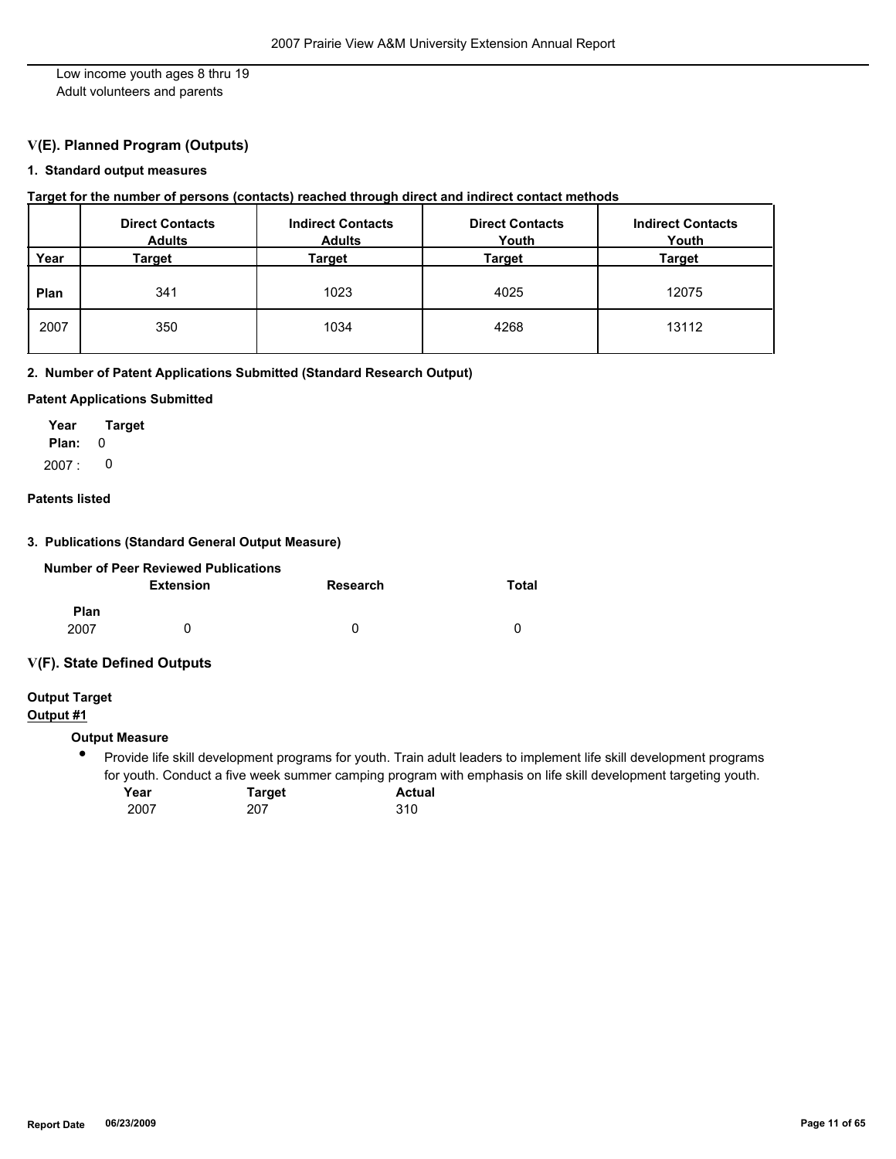Low income youth ages 8 thru 19 Adult volunteers and parents

## **V(E). Planned Program (Outputs)**

## **1. Standard output measures**

#### **Target for the number of persons (contacts) reached through direct and indirect contact methods**

|      | <b>Direct Contacts</b><br><b>Adults</b> | <b>Indirect Contacts</b><br><b>Adults</b> | <b>Direct Contacts</b><br>Youth | <b>Indirect Contacts</b><br>Youth |
|------|-----------------------------------------|-------------------------------------------|---------------------------------|-----------------------------------|
| Year | Target                                  | Target                                    | Target                          | <b>Target</b>                     |
| Plan | 341                                     | 1023                                      | 4025                            | 12075                             |
| 2007 | 350                                     | 1034                                      | 4268                            | 13112                             |

## **2. Number of Patent Applications Submitted (Standard Research Output)**

#### **Patent Applications Submitted**

**Plan:** 0 **Year Target**  $2007: 0$ 

### **Patents listed**

#### **3. Publications (Standard General Output Measure)**

|             | <b>Number of Peer Reviewed Publications</b> |          |       |
|-------------|---------------------------------------------|----------|-------|
|             | Extension                                   | Research | Total |
| <b>Plan</b> |                                             |          |       |
| 2007        | 0                                           | O        |       |

#### **V(F). State Defined Outputs**

**Output Target**

# **Output #1**

## **Output Measure**

 $\bullet$ Provide life skill development programs for youth. Train adult leaders to implement life skill development programs for youth. Conduct a five week summer camping program with emphasis on life skill development targeting youth.

| Year | <b>Target</b> | <b>Actual</b> |
|------|---------------|---------------|
| 2007 | 207           | 310           |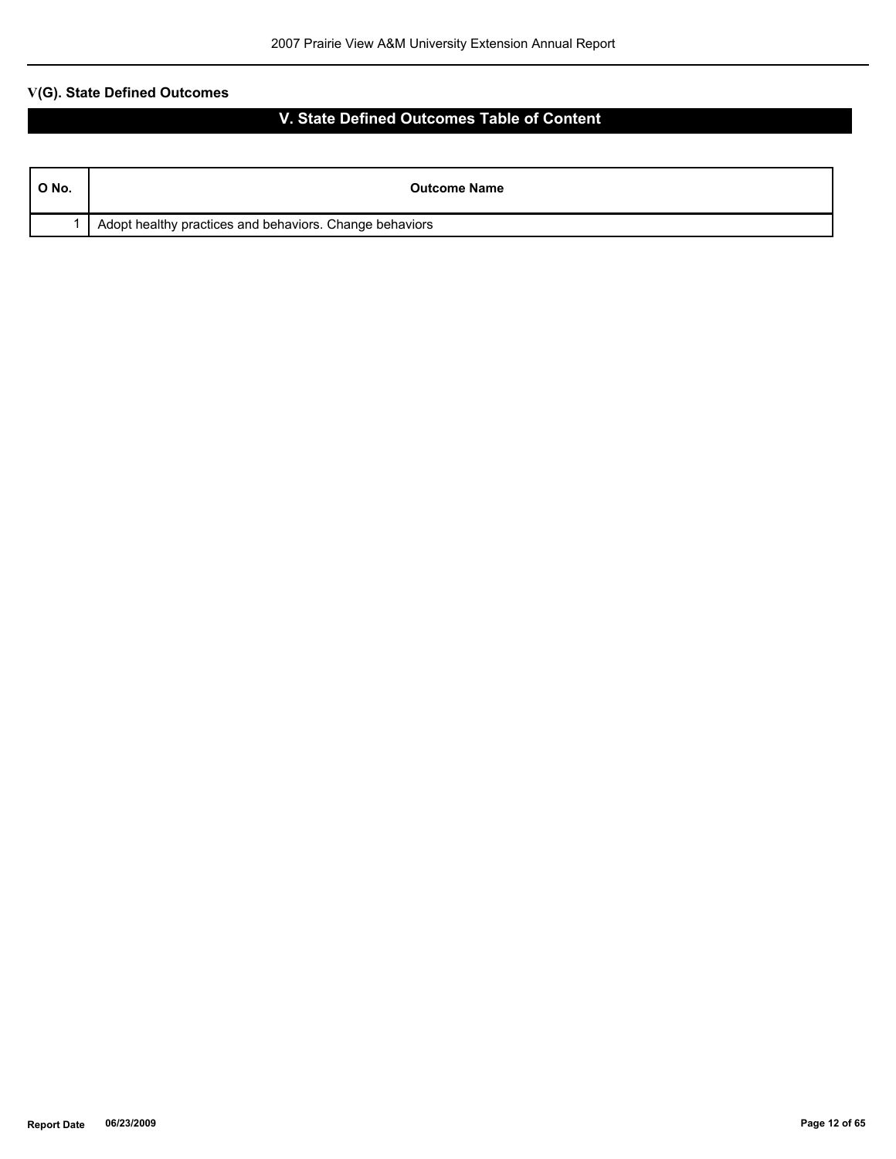| $^{\circ}$ O No. | <b>Outcome Name</b>                                     |
|------------------|---------------------------------------------------------|
|                  | Adopt healthy practices and behaviors. Change behaviors |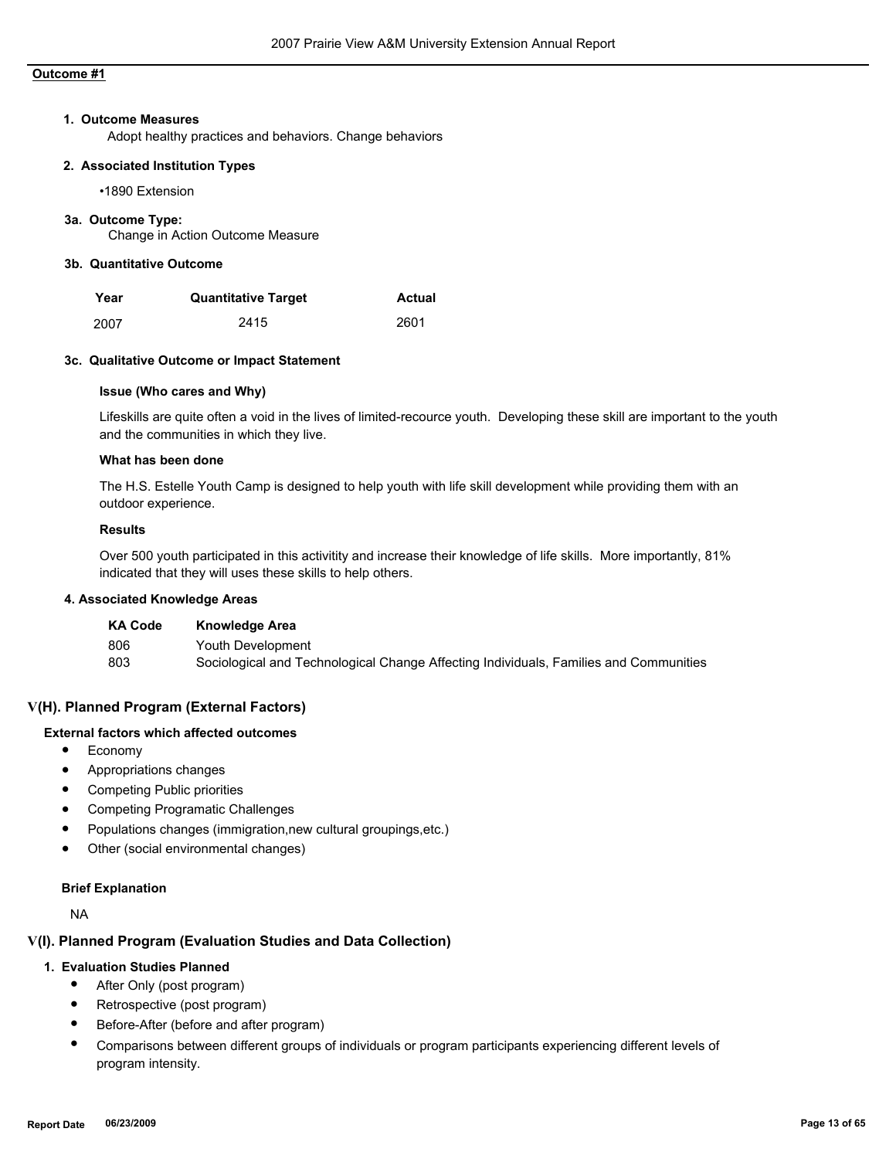#### **1. Outcome Measures**

Adopt healthy practices and behaviors. Change behaviors

#### **2. Associated Institution Types**

•1890 Extension

#### **3a. Outcome Type:**

Change in Action Outcome Measure

### **3b. Quantitative Outcome**

| Year | <b>Quantitative Target</b> | Actual |
|------|----------------------------|--------|
| 2007 | 2415                       | 2601   |

#### **3c. Qualitative Outcome or Impact Statement**

#### **Issue (Who cares and Why)**

Lifeskills are quite often a void in the lives of limited-recource youth. Developing these skill are important to the youth and the communities in which they live.

#### **What has been done**

The H.S. Estelle Youth Camp is designed to help youth with life skill development while providing them with an outdoor experience.

#### **Results**

Over 500 youth participated in this activitity and increase their knowledge of life skills. More importantly, 81% indicated that they will uses these skills to help others.

### **4. Associated Knowledge Areas**

| <b>KA Code</b> | Knowledge Area                                                                        |
|----------------|---------------------------------------------------------------------------------------|
| 806            | Youth Development                                                                     |
| 803            | Sociological and Technological Change Affecting Individuals, Families and Communities |

## **V(H). Planned Program (External Factors)**

#### **External factors which affected outcomes**

- Economy
- Appropriations changes
- Competing Public priorities
- Competing Programatic Challenges
- Populations changes (immigration,new cultural groupings,etc.)
- Other (social environmental changes)

#### **Brief Explanation**

NA

## **V(I). Planned Program (Evaluation Studies and Data Collection)**

#### **1. Evaluation Studies Planned**

- After Only (post program)
- Retrospective (post program)
- Before-After (before and after program)
- Comparisons between different groups of individuals or program participants experiencing different levels of program intensity.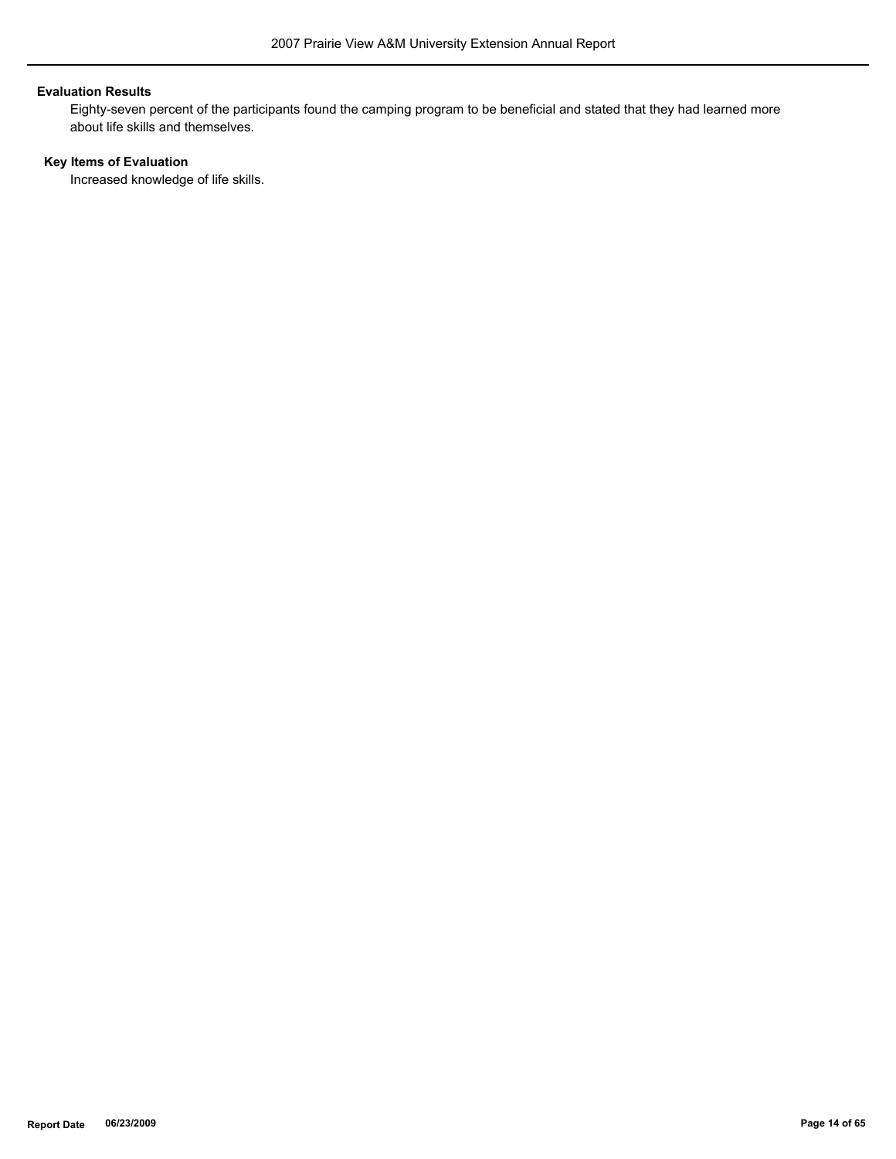#### **Evaluation Results**

Eighty-seven percent of the participants found the camping program to be beneficial and stated that they had learned more about life skills and themselves.

## **Key Items of Evaluation**

Increased knowledge of life skills.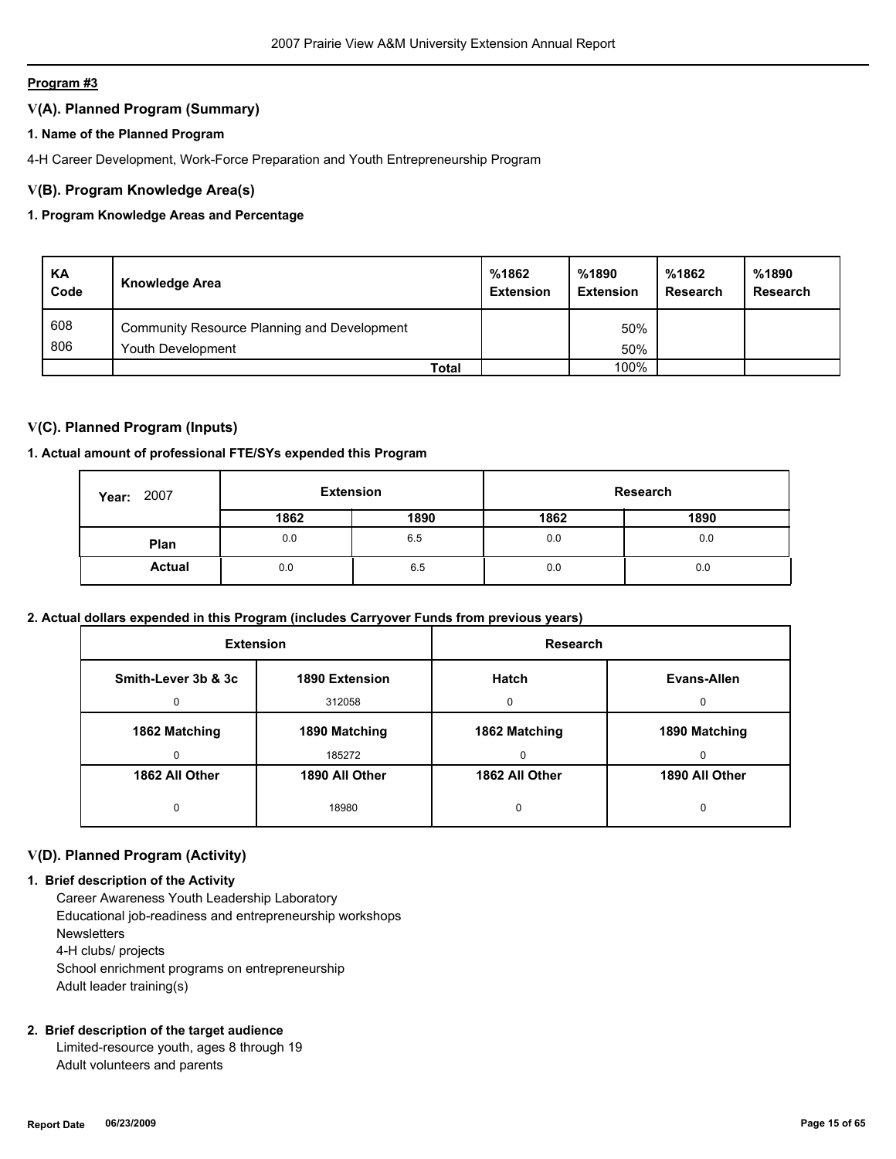## **V(A). Planned Program (Summary)**

## **1. Name of the Planned Program**

4-H Career Development, Work-Force Preparation and Youth Entrepreneurship Program

## **V(B). Program Knowledge Area(s)**

## **1. Program Knowledge Areas and Percentage**

| KA<br>Code | <b>Knowledge Area</b>                       | %1862<br><b>Extension</b> | %1890<br><b>Extension</b> | %1862<br>Research | %1890<br><b>Research</b> |
|------------|---------------------------------------------|---------------------------|---------------------------|-------------------|--------------------------|
| 608        | Community Resource Planning and Development |                           | 50%                       |                   |                          |
| 806        | Youth Development                           |                           | 50%                       |                   |                          |
|            | Total                                       |                           | 100%                      |                   |                          |

## **V(C). Planned Program (Inputs)**

## **1. Actual amount of professional FTE/SYs expended this Program**

| 2007<br>Year: |      | Research |      | <b>Extension</b> |  |  |
|---------------|------|----------|------|------------------|--|--|
|               | 1862 | 1890     | 1862 | 1890             |  |  |
| Plan          | 0.0  | 6.5      | 0.0  | 0.0              |  |  |
| <b>Actual</b> | 0.0  | 6.5      | 0.0  | 0.0              |  |  |

#### **2. Actual dollars expended in this Program (includes Carryover Funds from previous years)**

| <b>Extension</b>                      |                | <b>Research</b> |                |
|---------------------------------------|----------------|-----------------|----------------|
| Smith-Lever 3b & 3c<br>1890 Extension |                | <b>Hatch</b>    | Evans-Allen    |
| $\Omega$                              | 312058         | 0               | $\Omega$       |
| 1862 Matching                         | 1890 Matching  | 1862 Matching   | 1890 Matching  |
| 0                                     | 185272         | 0               | 0              |
| 1862 All Other                        | 1890 All Other | 1862 All Other  | 1890 All Other |
| 0                                     | 18980          | 0               | 0              |

## **V(D). Planned Program (Activity)**

#### **1. Brief description of the Activity**

 Career Awareness Youth Leadership Laboratory Educational job-readiness and entrepreneurship workshops **Newsletters**  4-H clubs/ projects School enrichment programs on entrepreneurship Adult leader training(s)

## **2. Brief description of the target audience**

 Limited-resource youth, ages 8 through 19 Adult volunteers and parents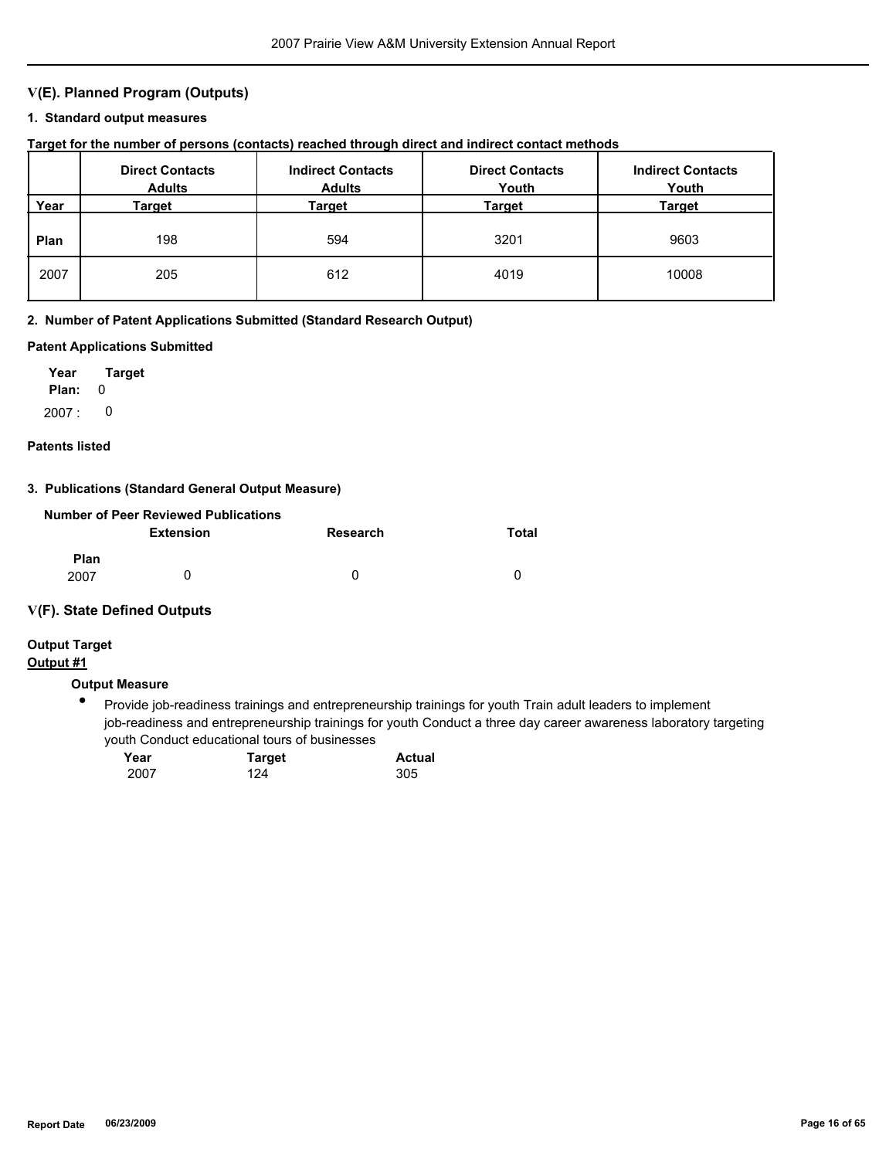## **V(E). Planned Program (Outputs)**

#### **1. Standard output measures**

## **Target for the number of persons (contacts) reached through direct and indirect contact methods**

|      | <b>Direct Contacts</b><br><b>Adults</b> | <b>Indirect Contacts</b><br><b>Adults</b> | <b>Direct Contacts</b><br>Youth | <b>Indirect Contacts</b><br>Youth |
|------|-----------------------------------------|-------------------------------------------|---------------------------------|-----------------------------------|
| Year | Target                                  | Target                                    | Target                          | Target                            |
| Plan | 198                                     | 594                                       | 3201                            | 9603                              |
| 2007 | 205                                     | 612                                       | 4019                            | 10008                             |

#### **2. Number of Patent Applications Submitted (Standard Research Output)**

#### **Patent Applications Submitted**

**Plan:** 0 **Year Target** 2007 : 0

#### **Patents listed**

#### **3. Publications (Standard General Output Measure)**

| Number of Peer Reviewed Publications |                  |          |       |  |  |
|--------------------------------------|------------------|----------|-------|--|--|
|                                      | <b>Extension</b> | Research | Total |  |  |
| <b>Plan</b><br>2007                  | $\mathbf{I}$     | 0        | n     |  |  |

#### **V(F). State Defined Outputs**

# **Output Target**

## **Output #1**

## **Output Measure**

● Provide job-readiness trainings and entrepreneurship trainings for youth Train adult leaders to implement job-readiness and entrepreneurship trainings for youth Conduct a three day career awareness laboratory targeting youth Conduct educational tours of businesses

| Year | <b>Target</b> | <b>Actual</b> |
|------|---------------|---------------|
| 2007 | 124           | 305           |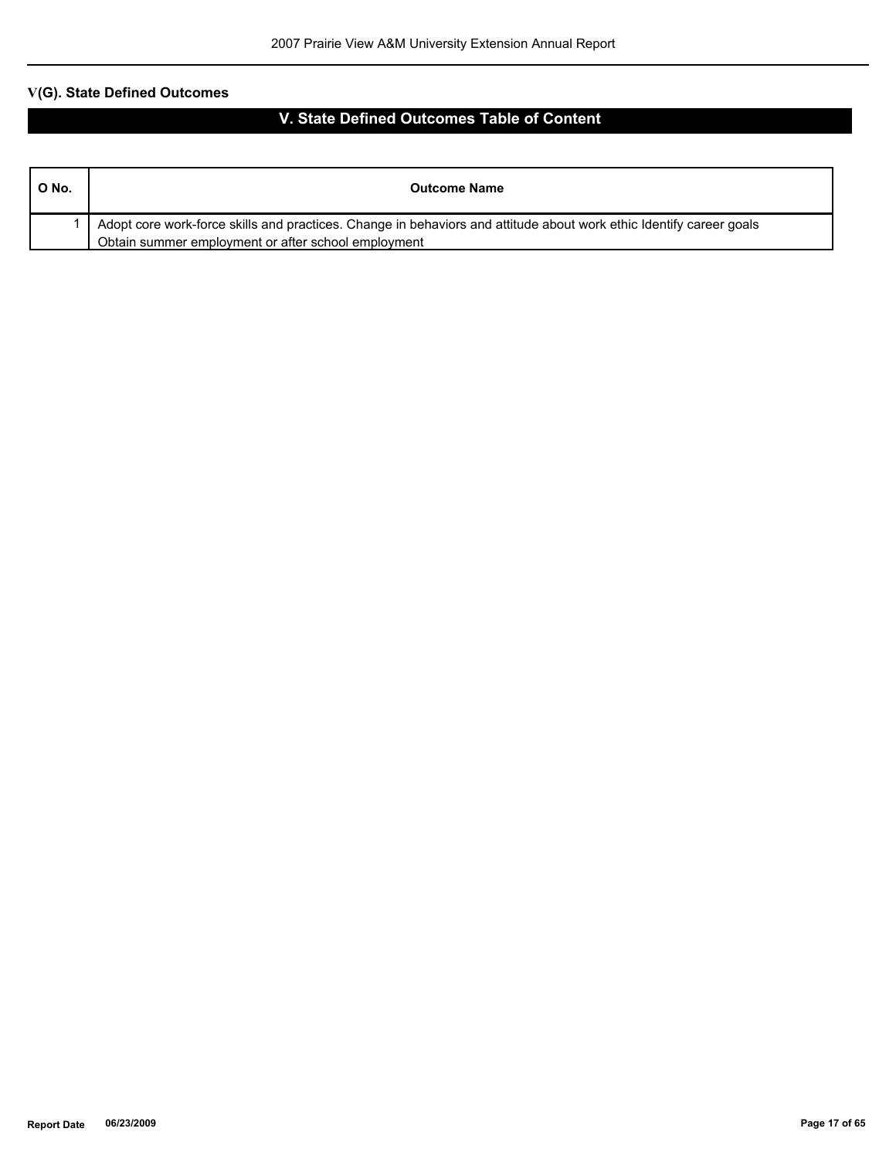| O No. | <b>Outcome Name</b>                                                                                                 |
|-------|---------------------------------------------------------------------------------------------------------------------|
|       | Adopt core work-force skills and practices. Change in behaviors and attitude about work ethic Identify career goals |
|       | Obtain summer employment or after school employment                                                                 |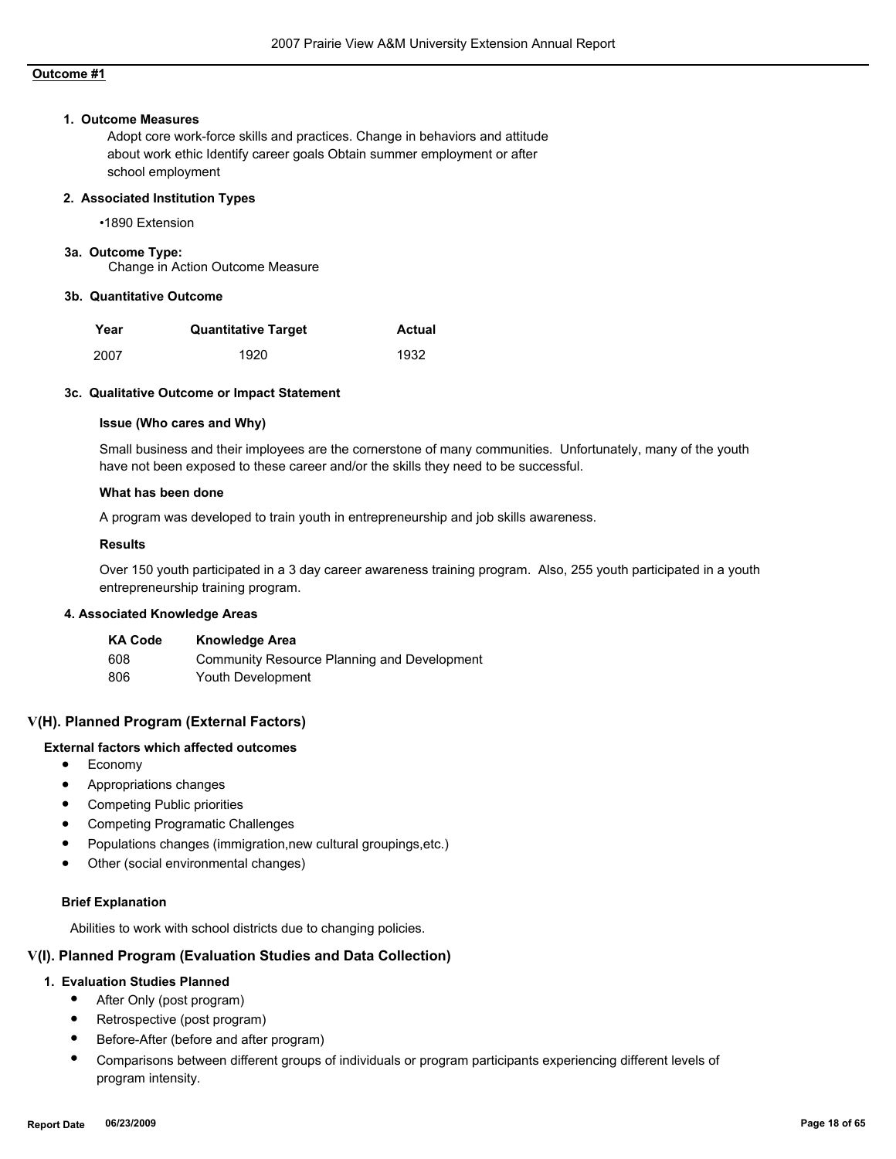#### **1. Outcome Measures**

Adopt core work-force skills and practices. Change in behaviors and attitude about work ethic Identify career goals Obtain summer employment or after school employment

#### **2. Associated Institution Types**

•1890 Extension

#### **3a. Outcome Type:**

Change in Action Outcome Measure

#### **3b. Quantitative Outcome**

| Year | <b>Quantitative Target</b> | <b>Actual</b> |
|------|----------------------------|---------------|
| 2007 | 1920                       | 1932          |

#### **3c. Qualitative Outcome or Impact Statement**

#### **Issue (Who cares and Why)**

Small business and their imployees are the cornerstone of many communities. Unfortunately, many of the youth have not been exposed to these career and/or the skills they need to be successful.

#### **What has been done**

A program was developed to train youth in entrepreneurship and job skills awareness.

#### **Results**

Over 150 youth participated in a 3 day career awareness training program. Also, 255 youth participated in a youth entrepreneurship training program.

#### **4. Associated Knowledge Areas**

| <b>KA Code</b> | <b>Knowledge Area</b>                       |
|----------------|---------------------------------------------|
| 608            | Community Resource Planning and Development |
| 806            | Youth Development                           |

## **V(H). Planned Program (External Factors)**

## **External factors which affected outcomes**

- Economy
- Appropriations changes
- Competing Public priorities
- Competing Programatic Challenges
- Populations changes (immigration,new cultural groupings,etc.)
- Other (social environmental changes)

#### **Brief Explanation**

Abilities to work with school districts due to changing policies.

#### **V(I). Planned Program (Evaluation Studies and Data Collection)**

#### **1. Evaluation Studies Planned**

- After Only (post program)
- Retrospective (post program)
- Before-After (before and after program)
- Comparisons between different groups of individuals or program participants experiencing different levels of program intensity.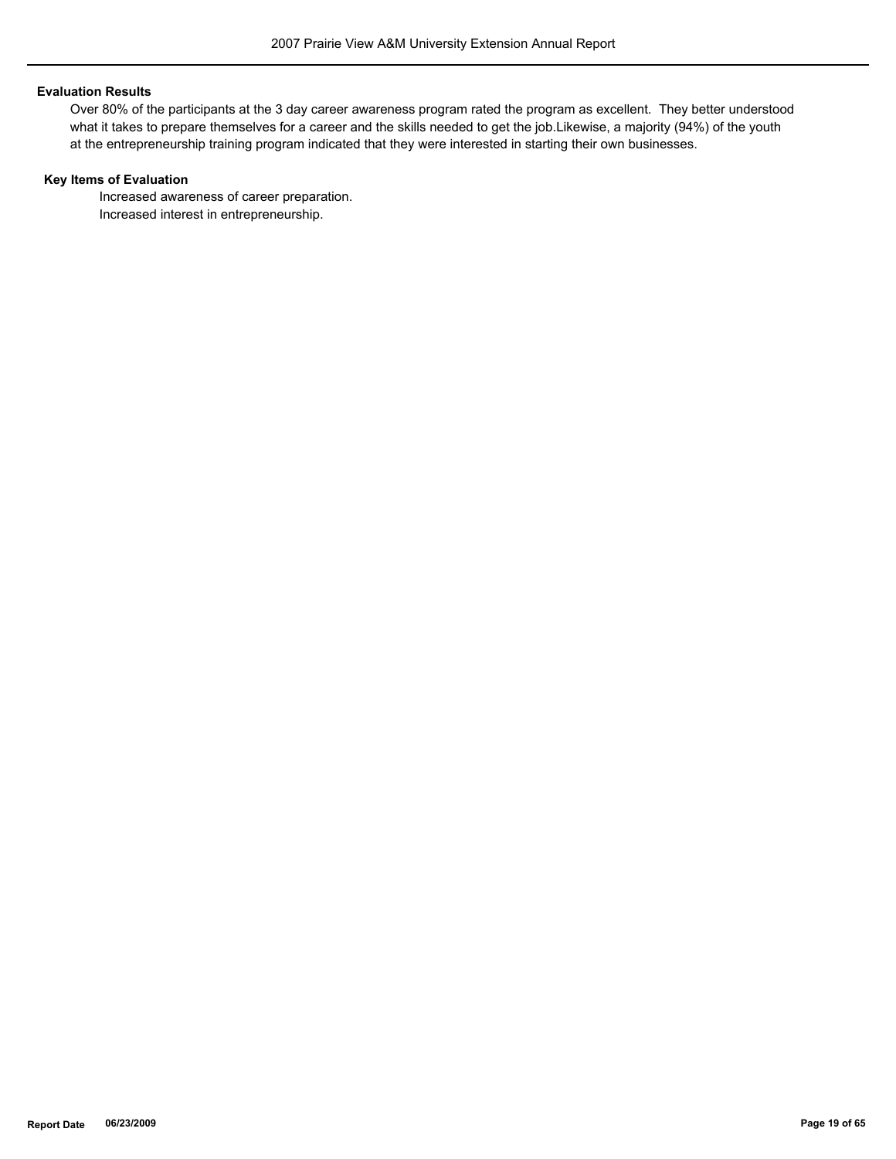#### **Evaluation Results**

Over 80% of the participants at the 3 day career awareness program rated the program as excellent. They better understood what it takes to prepare themselves for a career and the skills needed to get the job.Likewise, a majority (94%) of the youth at the entrepreneurship training program indicated that they were interested in starting their own businesses.

#### **Key Items of Evaluation**

 Increased awareness of career preparation. Increased interest in entrepreneurship.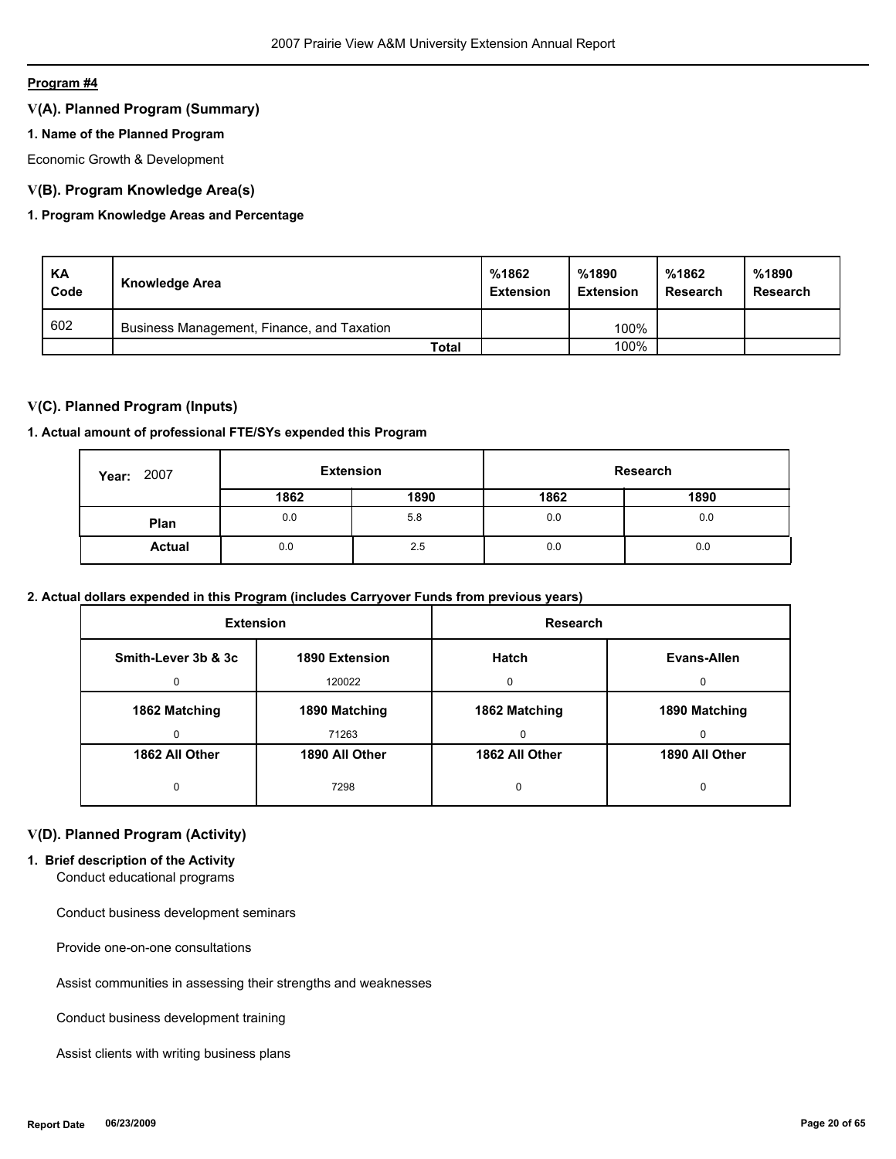## **V(A). Planned Program (Summary)**

## **1. Name of the Planned Program**

Economic Growth & Development

## **V(B). Program Knowledge Area(s)**

## **1. Program Knowledge Areas and Percentage**

| KA<br>Code | Knowledge Area                             | %1862<br><b>Extension</b> | %1890<br><b>Extension</b> | %1862<br>Research | %1890<br>Research |
|------------|--------------------------------------------|---------------------------|---------------------------|-------------------|-------------------|
| 602        | Business Management, Finance, and Taxation |                           | 100%                      |                   |                   |
|            | Total                                      |                           | 100%                      |                   |                   |

## **V(C). Planned Program (Inputs)**

## **1. Actual amount of professional FTE/SYs expended this Program**

| 2007<br>Year: |      | <b>Extension</b> |      | Research |
|---------------|------|------------------|------|----------|
|               | 1862 | 1890             | 1862 | 1890     |
| Plan          | 0.0  | 5.8              | 0.0  | 0.0      |
| <b>Actual</b> | 0.0  | 2.5              | 0.0  | 0.0      |

## **2. Actual dollars expended in this Program (includes Carryover Funds from previous years)**

| <b>Extension</b>                      |                | <b>Research</b> |                |  |
|---------------------------------------|----------------|-----------------|----------------|--|
| Smith-Lever 3b & 3c<br>1890 Extension |                | Hatch           | Evans-Allen    |  |
| $\Omega$                              | 120022         | $\Omega$        | <sup>0</sup>   |  |
| 1862 Matching                         | 1890 Matching  | 1862 Matching   | 1890 Matching  |  |
| 0                                     | 71263          | $\Omega$        | 0              |  |
| 1862 All Other                        | 1890 All Other | 1862 All Other  | 1890 All Other |  |
| 0                                     | 7298           | 0               | 0              |  |

## **V(D). Planned Program (Activity)**

## **1. Brief description of the Activity**

Conduct educational programs

Conduct business development seminars

Provide one-on-one consultations

Assist communities in assessing their strengths and weaknesses

Conduct business development training

Assist clients with writing business plans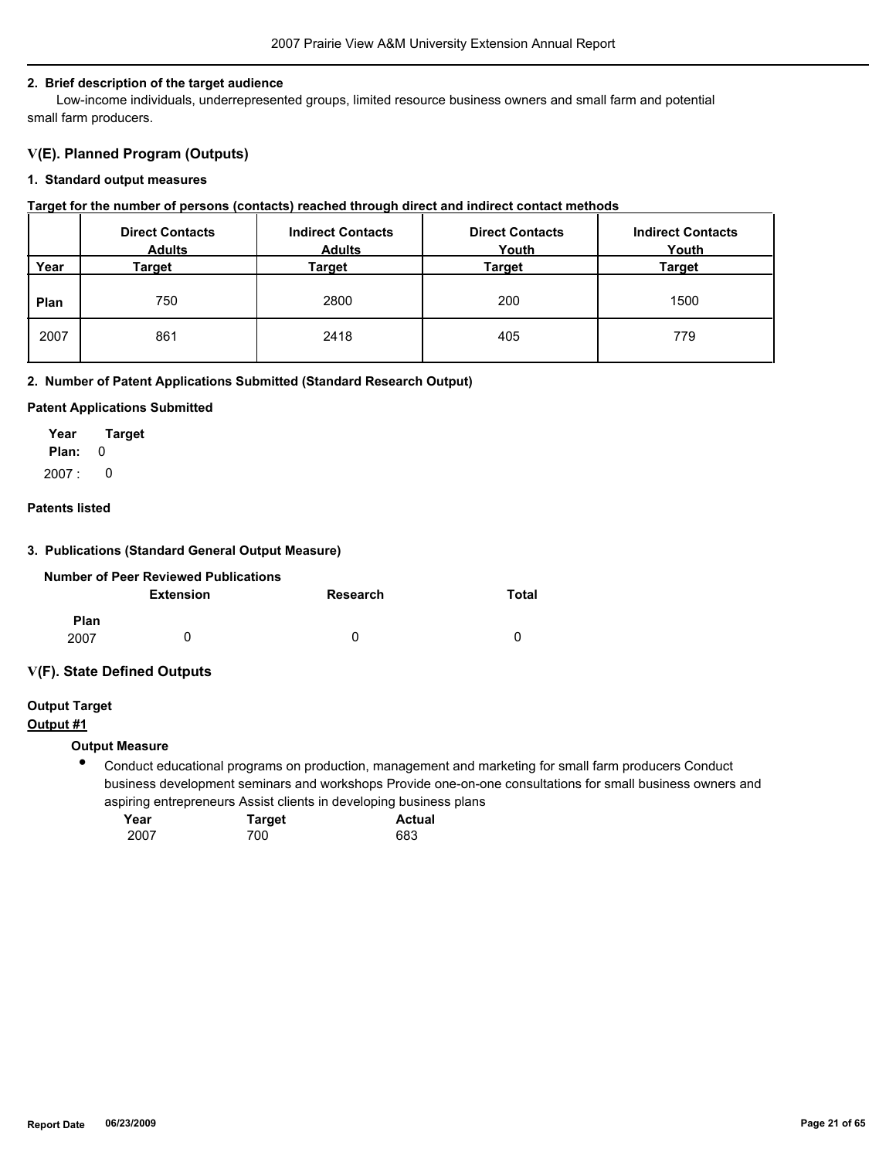#### **2. Brief description of the target audience**

 Low-income individuals, underrepresented groups, limited resource business owners and small farm and potential small farm producers.

## **V(E). Planned Program (Outputs)**

#### **1. Standard output measures**

#### **Target for the number of persons (contacts) reached through direct and indirect contact methods**

|      | <b>Direct Contacts</b><br><b>Adults</b> | <b>Indirect Contacts</b><br><b>Adults</b> | <b>Direct Contacts</b><br>Youth | <b>Indirect Contacts</b><br>Youth |
|------|-----------------------------------------|-------------------------------------------|---------------------------------|-----------------------------------|
| Year | Target                                  | Target                                    | Target                          | Target                            |
| Plan | 750                                     | 2800                                      | 200                             | 1500                              |
| 2007 | 861                                     | 2418                                      | 405                             | 779                               |

#### **2. Number of Patent Applications Submitted (Standard Research Output)**

#### **Patent Applications Submitted**

**Plan:** 0 **Year Target** 2007 : 0

## **Patents listed**

#### **3. Publications (Standard General Output Measure)**

|             | Number of Peer Reviewed Publications |          |       |
|-------------|--------------------------------------|----------|-------|
|             | Extension                            | Research | Total |
| <b>Plan</b> |                                      |          |       |
| 2007        | O                                    | $\Omega$ |       |

## **V(F). State Defined Outputs**

# **Output Target**

# **Output #1**

#### **Output Measure**

 $\bullet$ Conduct educational programs on production, management and marketing for small farm producers Conduct business development seminars and workshops Provide one-on-one consultations for small business owners and aspiring entrepreneurs Assist clients in developing business plans

| Year | <b>Target</b> | <b>Actual</b> |
|------|---------------|---------------|
| 2007 | 700           | 683           |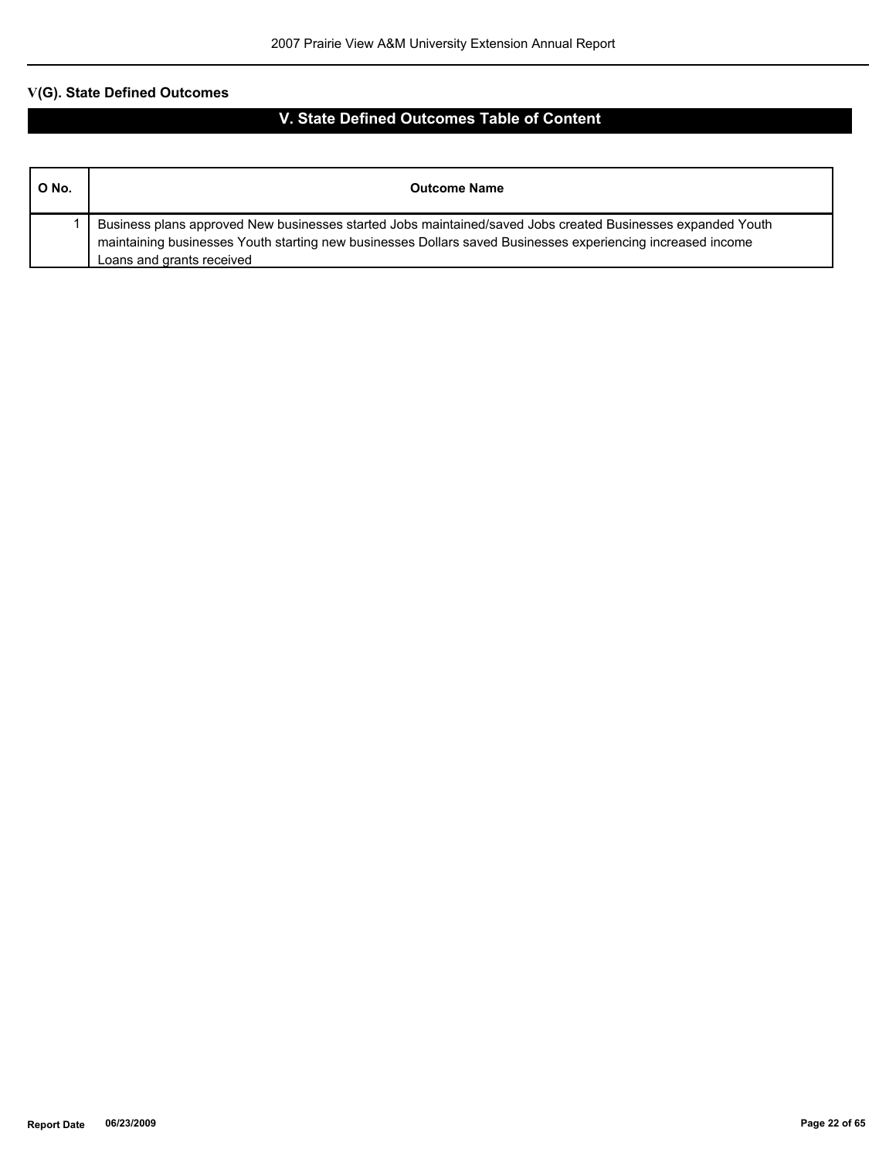| O No. | <b>Outcome Name</b>                                                                                                                                                                                                                                     |
|-------|---------------------------------------------------------------------------------------------------------------------------------------------------------------------------------------------------------------------------------------------------------|
|       | Business plans approved New businesses started Jobs maintained/saved Jobs created Businesses expanded Youth<br>maintaining businesses Youth starting new businesses Dollars saved Businesses experiencing increased income<br>Loans and grants received |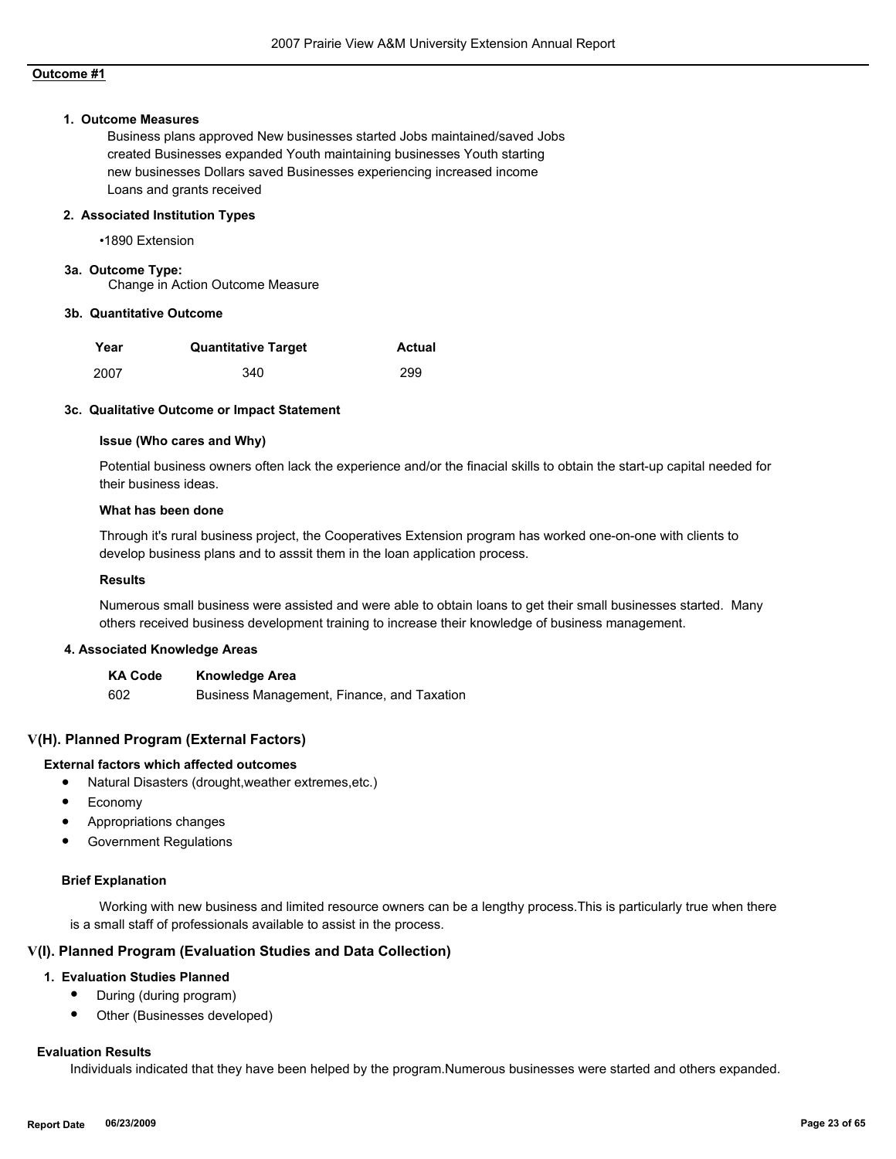#### **1. Outcome Measures**

Business plans approved New businesses started Jobs maintained/saved Jobs created Businesses expanded Youth maintaining businesses Youth starting new businesses Dollars saved Businesses experiencing increased income Loans and grants received

#### **2. Associated Institution Types**

•1890 Extension

**3a. Outcome Type:**

Change in Action Outcome Measure

#### **3b. Quantitative Outcome**

| Year | <b>Quantitative Target</b> | Actual |
|------|----------------------------|--------|
| 2007 | 340                        | 299    |

#### **3c. Qualitative Outcome or Impact Statement**

#### **Issue (Who cares and Why)**

Potential business owners often lack the experience and/or the finacial skills to obtain the start-up capital needed for their business ideas.

#### **What has been done**

Through it's rural business project, the Cooperatives Extension program has worked one-on-one with clients to develop business plans and to asssit them in the loan application process.

#### **Results**

Numerous small business were assisted and were able to obtain loans to get their small businesses started. Many others received business development training to increase their knowledge of business management.

#### **4. Associated Knowledge Areas**

**KA Code Knowledge Area** 602 Business Management, Finance, and Taxation

#### **V(H). Planned Program (External Factors)**

#### **External factors which affected outcomes**

- Natural Disasters (drought,weather extremes,etc.)
- Economy
- Appropriations changes
- Government Regulations

#### **Brief Explanation**

 Working with new business and limited resource owners can be a lengthy process.This is particularly true when there is a small staff of professionals available to assist in the process.

#### **V(I). Planned Program (Evaluation Studies and Data Collection)**

#### **1. Evaluation Studies Planned**

- During (during program)
- Other (Businesses developed)

#### **Evaluation Results**

Individuals indicated that they have been helped by the program.Numerous businesses were started and others expanded.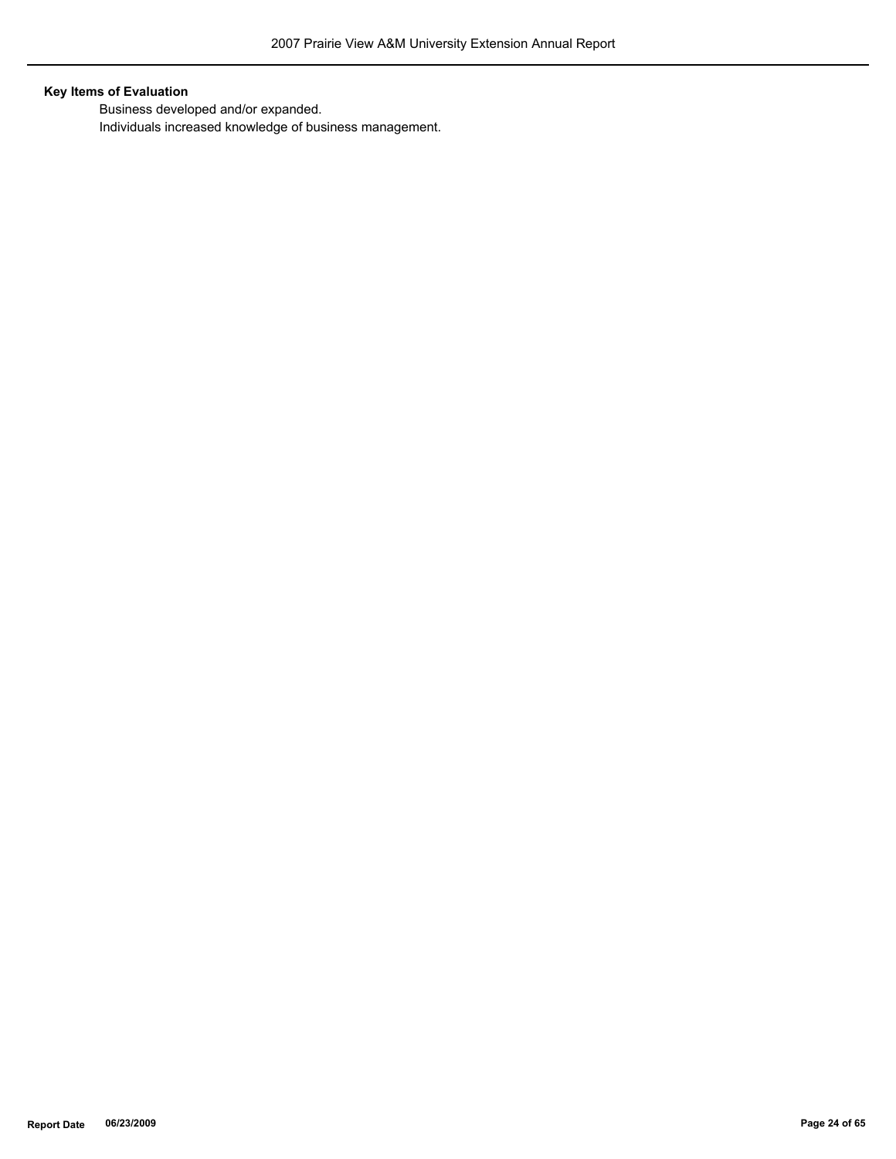## **Key Items of Evaluation**

 Business developed and/or expanded. Individuals increased knowledge of business management.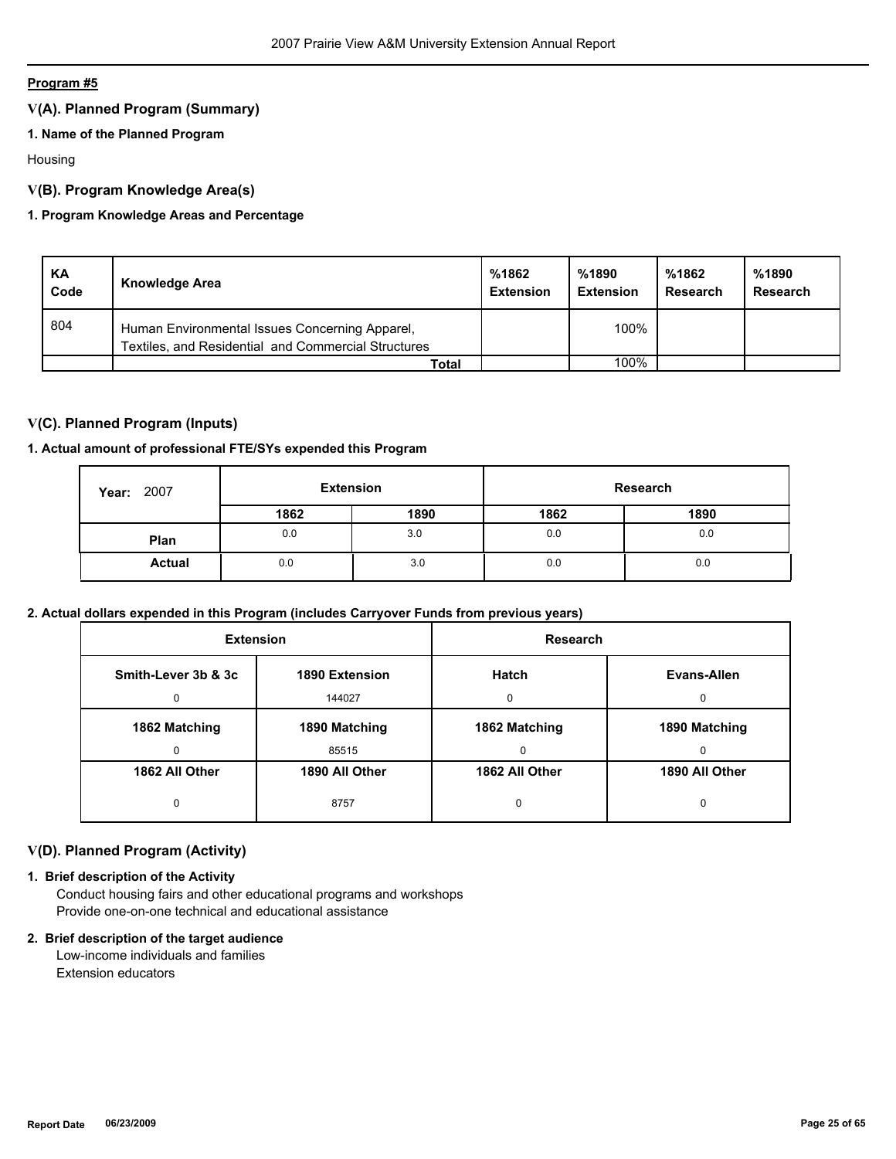## **V(A). Planned Program (Summary)**

## **1. Name of the Planned Program**

Housing

## **V(B). Program Knowledge Area(s)**

## **1. Program Knowledge Areas and Percentage**

| <b>KA</b><br>Code | <b>Knowledge Area</b>                                                                                 | %1862<br><b>Extension</b> | %1890<br><b>Extension</b> | %1862<br>Research | %1890<br>Research |
|-------------------|-------------------------------------------------------------------------------------------------------|---------------------------|---------------------------|-------------------|-------------------|
| 804               | Human Environmental Issues Concerning Apparel,<br>Textiles, and Residential and Commercial Structures |                           | 100%                      |                   |                   |
|                   | Total                                                                                                 |                           | 100%                      |                   |                   |

## **V(C). Planned Program (Inputs)**

## **1. Actual amount of professional FTE/SYs expended this Program**

| 2007<br>Year: | <b>Extension</b> |      |      | Research |
|---------------|------------------|------|------|----------|
|               | 1862             | 1890 | 1862 | 1890     |
| Plan          | 0.0              | 3.0  | 0.0  | 0.0      |
| <b>Actual</b> | 0.0              | 3.0  | 0.0  | 0.0      |

## **2. Actual dollars expended in this Program (includes Carryover Funds from previous years)**

| <b>Extension</b>    |                | Research       |                |
|---------------------|----------------|----------------|----------------|
| Smith-Lever 3b & 3c | 1890 Extension | Hatch          | Evans-Allen    |
| 0                   | 144027         | $\Omega$       | 0              |
| 1862 Matching       | 1890 Matching  | 1862 Matching  | 1890 Matching  |
| 0                   | 85515          | 0              | 0              |
| 1862 All Other      | 1890 All Other | 1862 All Other | 1890 All Other |
| 0                   | 8757           | 0              | 0              |

## **V(D). Planned Program (Activity)**

## **1. Brief description of the Activity**

 Conduct housing fairs and other educational programs and workshops Provide one-on-one technical and educational assistance

#### **2. Brief description of the target audience**

 Low-income individuals and families Extension educators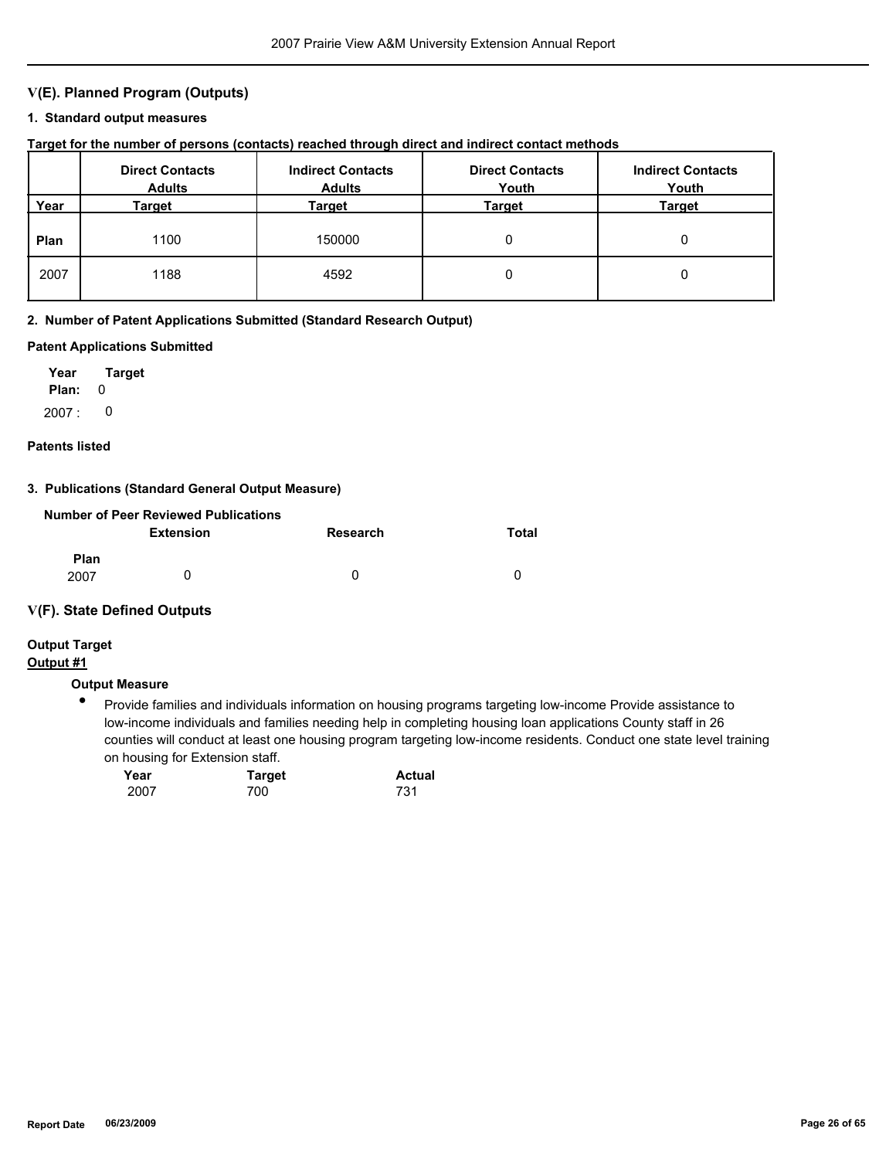## **V(E). Planned Program (Outputs)**

#### **1. Standard output measures**

## **Target for the number of persons (contacts) reached through direct and indirect contact methods**

|      | <b>Direct Contacts</b><br><b>Adults</b> | <b>Indirect Contacts</b><br><b>Adults</b> | <b>Direct Contacts</b><br>Youth | <b>Indirect Contacts</b><br>Youth |
|------|-----------------------------------------|-------------------------------------------|---------------------------------|-----------------------------------|
| Year | Target                                  | Target                                    | Target                          | <b>Target</b>                     |
| Plan | 1100                                    | 150000                                    | 0                               |                                   |
| 2007 | 1188                                    | 4592                                      | 0                               |                                   |

#### **2. Number of Patent Applications Submitted (Standard Research Output)**

#### **Patent Applications Submitted**

**Plan:** 0 **Year Target**  $2007: 0$ 

#### **Patents listed**

#### **3. Publications (Standard General Output Measure)**

|                     | Number of Peer Reviewed Publications |          |          |
|---------------------|--------------------------------------|----------|----------|
|                     | <b>Extension</b>                     | Research | Total    |
| <b>Plan</b><br>2007 |                                      | 0        | $\Omega$ |

## **V(F). State Defined Outputs**

# **Output Target**

## **Output #1**

## **Output Measure**

 $\bullet$ Provide families and individuals information on housing programs targeting low-income Provide assistance to low-income individuals and families needing help in completing housing loan applications County staff in 26 counties will conduct at least one housing program targeting low-income residents. Conduct one state level training on housing for Extension staff.

| Year | <b>Target</b> | <b>Actual</b> |
|------|---------------|---------------|
| 2007 | 700           | 731           |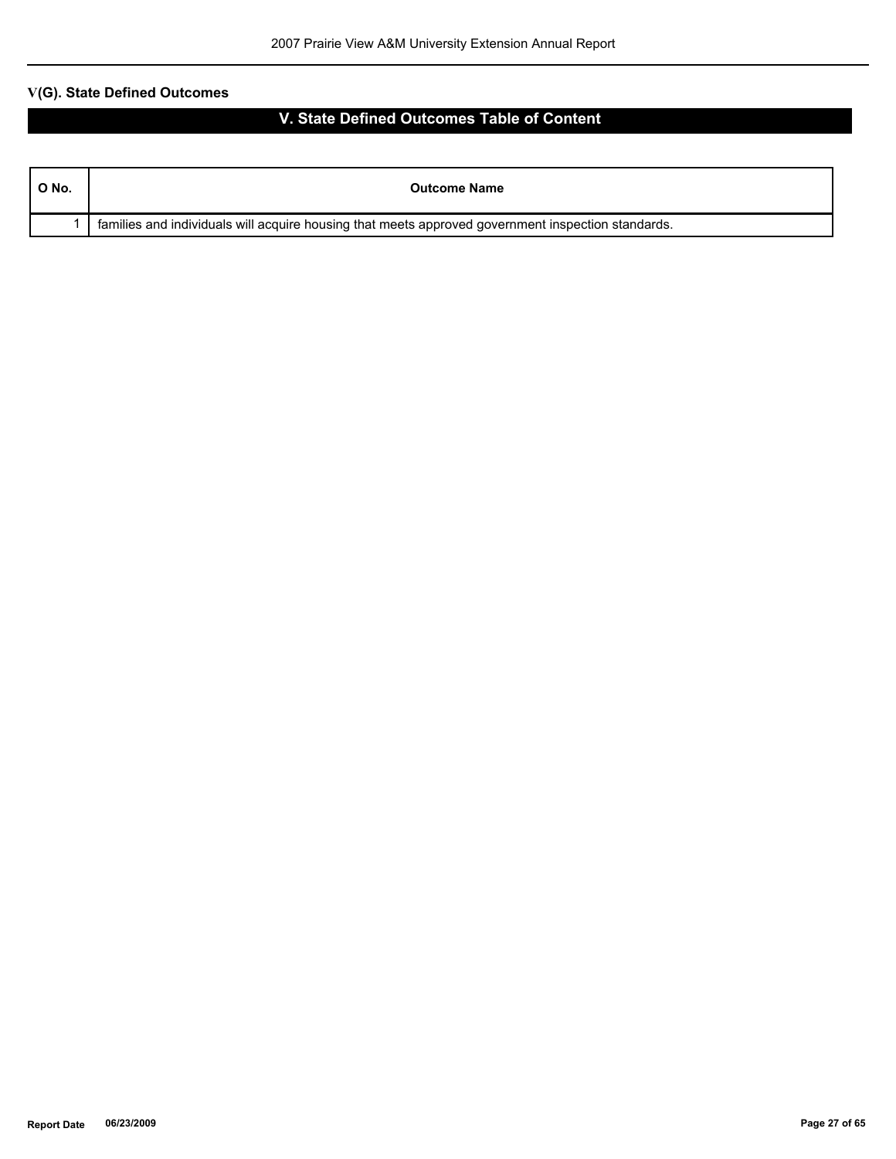| $^{\circ}$ O No. | <b>Outcome Name</b>                                                                                |
|------------------|----------------------------------------------------------------------------------------------------|
|                  | families and individuals will acquire housing that meets approved government inspection standards. |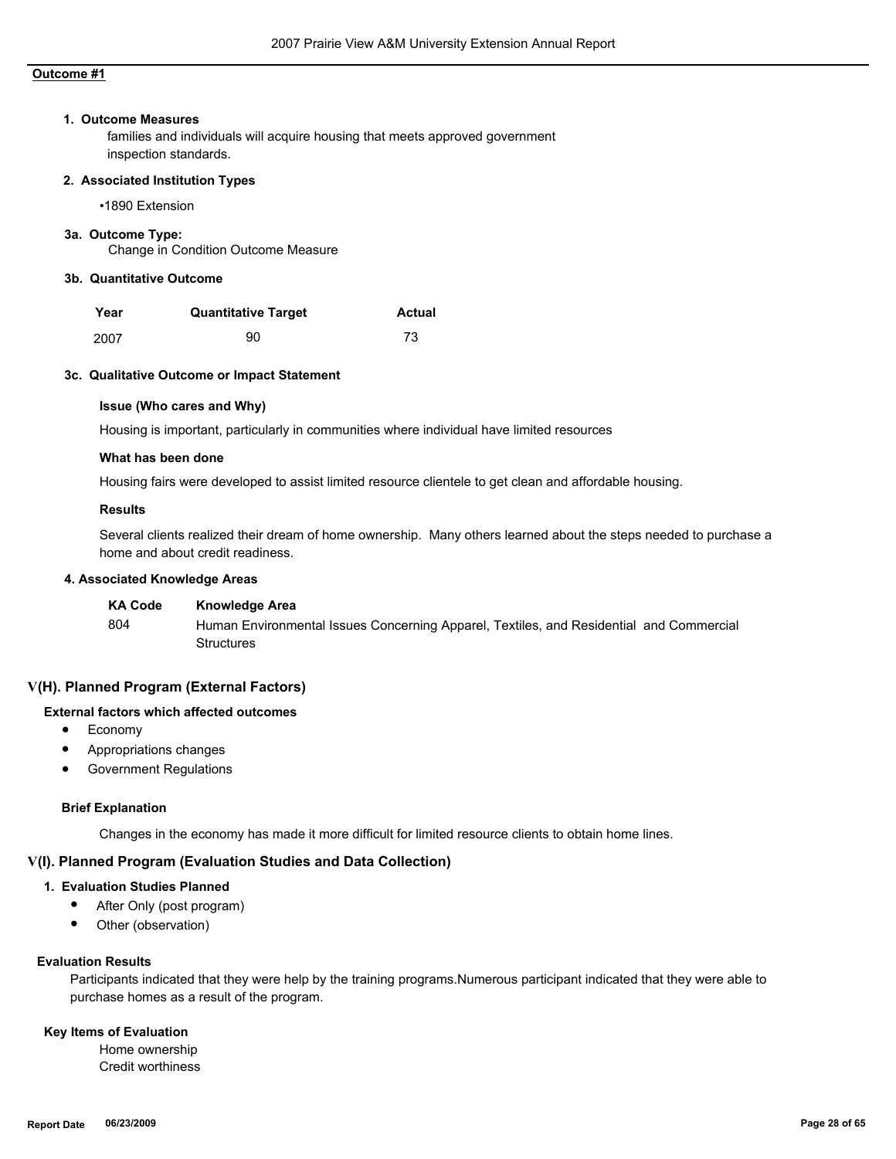#### **1. Outcome Measures**

families and individuals will acquire housing that meets approved government inspection standards.

#### **2. Associated Institution Types**

•1890 Extension

#### **3a. Outcome Type:**

Change in Condition Outcome Measure

#### **3b. Quantitative Outcome**

| Year | <b>Quantitative Target</b> | <b>Actual</b> |
|------|----------------------------|---------------|
| 2007 | 90                         | 73            |

#### **3c. Qualitative Outcome or Impact Statement**

#### **Issue (Who cares and Why)**

Housing is important, particularly in communities where individual have limited resources

#### **What has been done**

Housing fairs were developed to assist limited resource clientele to get clean and affordable housing.

#### **Results**

Several clients realized their dream of home ownership. Many others learned about the steps needed to purchase a home and about credit readiness.

#### **4. Associated Knowledge Areas**

| <b>KA Code</b> | Knowledge Area                                                                          |
|----------------|-----------------------------------------------------------------------------------------|
| 804            | Human Environmental Issues Concerning Apparel, Textiles, and Residential and Commercial |
|                | Structures                                                                              |

#### **V(H). Planned Program (External Factors)**

## **External factors which affected outcomes**

- Economy
- Appropriations changes
- Government Regulations

#### **Brief Explanation**

Changes in the economy has made it more difficult for limited resource clients to obtain home lines.

## **V(I). Planned Program (Evaluation Studies and Data Collection)**

## **1. Evaluation Studies Planned**

- After Only (post program)
- Other (observation)

#### **Evaluation Results**

Participants indicated that they were help by the training programs.Numerous participant indicated that they were able to purchase homes as a result of the program.

#### **Key Items of Evaluation**

 Home ownership Credit worthiness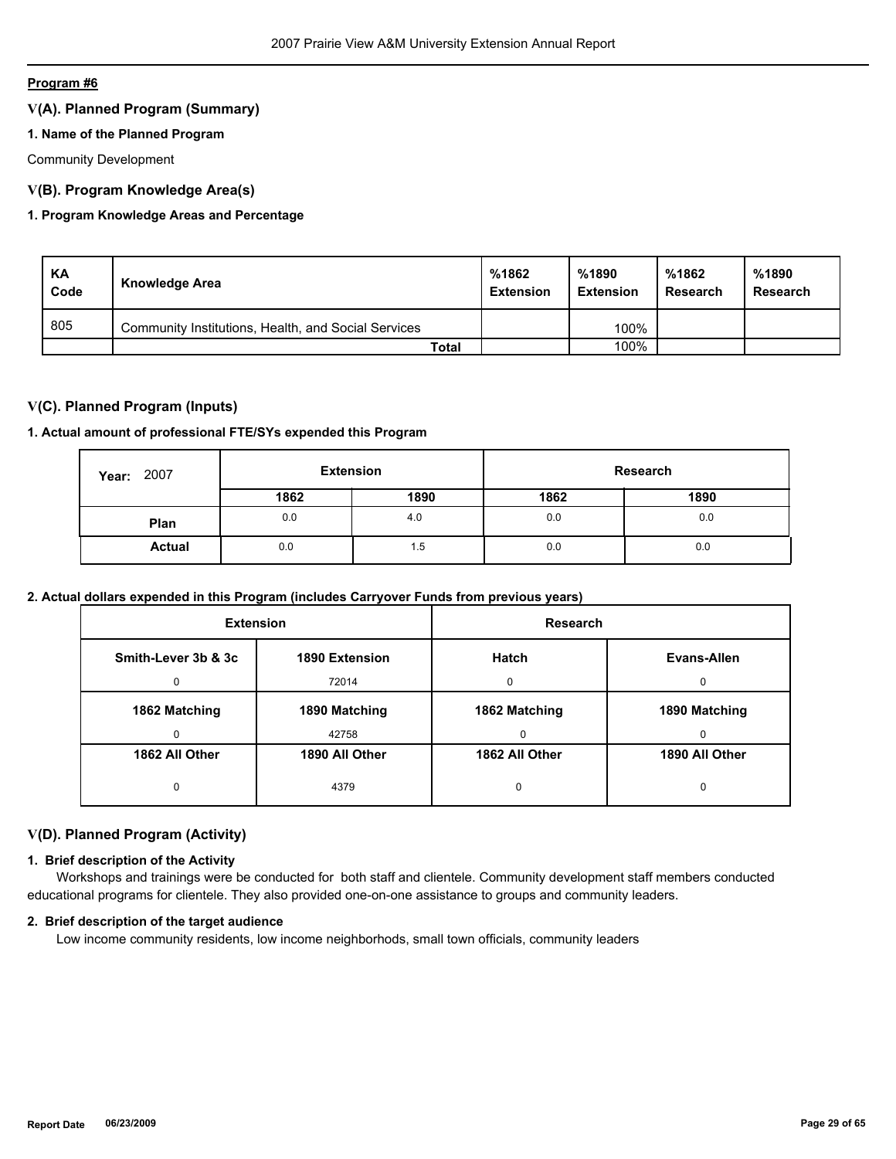## **V(A). Planned Program (Summary)**

## **1. Name of the Planned Program**

Community Development

## **V(B). Program Knowledge Area(s)**

## **1. Program Knowledge Areas and Percentage**

| KA<br>Code | Knowledge Area                                      | %1862<br><b>Extension</b> | %1890<br><b>Extension</b> | %1862<br>Research | %1890<br>Research |
|------------|-----------------------------------------------------|---------------------------|---------------------------|-------------------|-------------------|
| 805        | Community Institutions, Health, and Social Services |                           | 100%                      |                   |                   |
|            | Total                                               |                           | 100%                      |                   |                   |

## **V(C). Planned Program (Inputs)**

## **1. Actual amount of professional FTE/SYs expended this Program**

| 2007<br>Year: | <b>Extension</b> |      | Research |      |
|---------------|------------------|------|----------|------|
|               | 1862             | 1890 | 1862     | 1890 |
| Plan          | 0.0              | 4.0  | 0.0      | 0.0  |
| <b>Actual</b> | 0.0              | 1.5  | 0.0      | 0.0  |

## **2. Actual dollars expended in this Program (includes Carryover Funds from previous years)**

| <b>Extension</b>                      |                | <b>Research</b> |                |
|---------------------------------------|----------------|-----------------|----------------|
| Smith-Lever 3b & 3c<br>1890 Extension |                | <b>Hatch</b>    | Evans-Allen    |
| 0                                     | 72014          | 0               | $\Omega$       |
| 1862 Matching<br>1890 Matching        |                | 1862 Matching   | 1890 Matching  |
| 0                                     | 42758          | 0               | $\Omega$       |
| 1862 All Other                        | 1890 All Other | 1862 All Other  | 1890 All Other |
| 0                                     | 4379           | 0               | 0              |

## **V(D). Planned Program (Activity)**

## **1. Brief description of the Activity**

 Workshops and trainings were be conducted for both staff and clientele. Community development staff members conducted educational programs for clientele. They also provided one-on-one assistance to groups and community leaders.

#### **2. Brief description of the target audience**

Low income community residents, low income neighborhods, small town officials, community leaders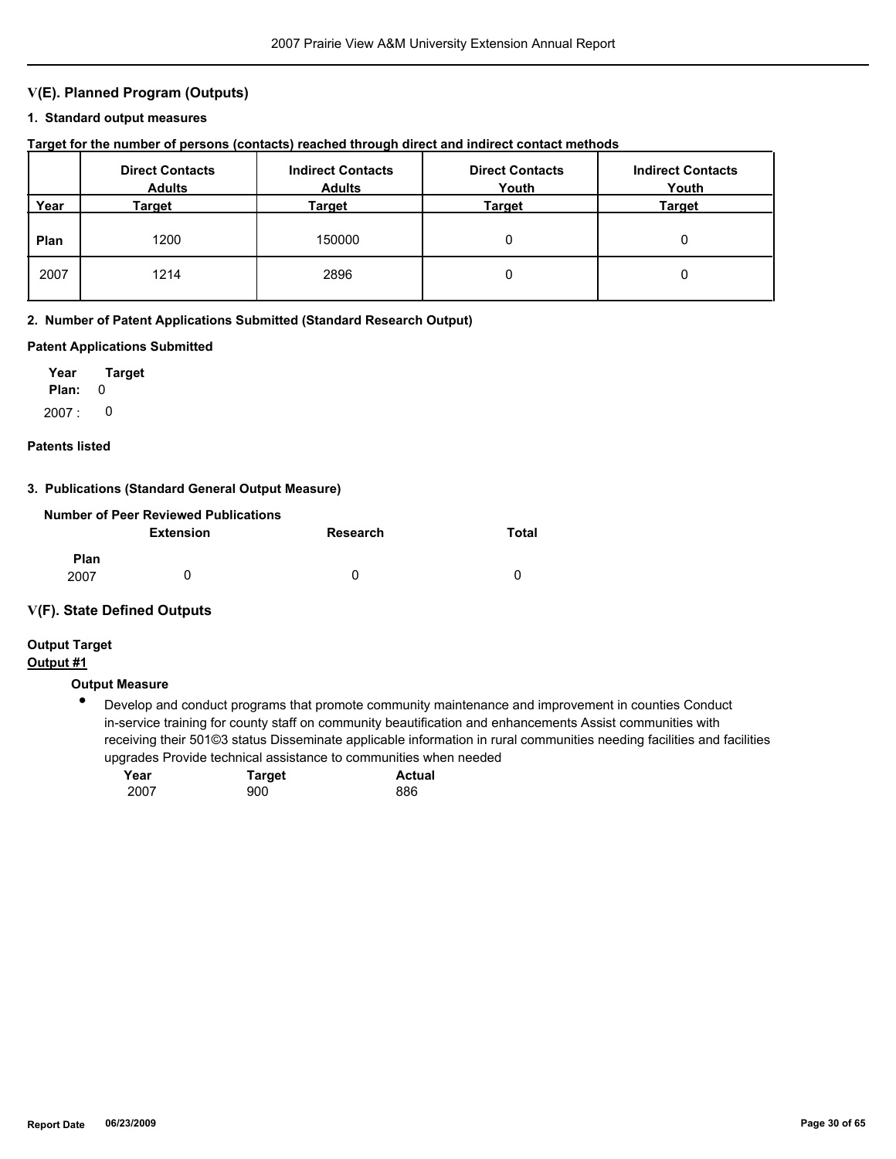## **V(E). Planned Program (Outputs)**

#### **1. Standard output measures**

## **Target for the number of persons (contacts) reached through direct and indirect contact methods**

|      | <b>Direct Contacts</b><br><b>Adults</b> | <b>Indirect Contacts</b><br><b>Adults</b> | <b>Direct Contacts</b><br>Youth | <b>Indirect Contacts</b><br>Youth |
|------|-----------------------------------------|-------------------------------------------|---------------------------------|-----------------------------------|
| Year | Target                                  | Target                                    | Target                          | <b>Target</b>                     |
| Plan | 1200                                    | 150000                                    | 0                               |                                   |
| 2007 | 1214                                    | 2896                                      | 0                               |                                   |

#### **2. Number of Patent Applications Submitted (Standard Research Output)**

#### **Patent Applications Submitted**

**Plan:** 0 **Year Target**  $2007: 0$ 

#### **Patents listed**

#### **3. Publications (Standard General Output Measure)**

| Number of Peer Reviewed Publications |           |          |       |  |  |  |
|--------------------------------------|-----------|----------|-------|--|--|--|
|                                      | Extension | Research | Total |  |  |  |
| <b>Plan</b><br>2007                  |           | 0        | 0     |  |  |  |

## **V(F). State Defined Outputs**

## **Output Target**

## **Output #1**

## **Output Measure**

 $\bullet$ Develop and conduct programs that promote community maintenance and improvement in counties Conduct in-service training for county staff on community beautification and enhancements Assist communities with receiving their 501©3 status Disseminate applicable information in rural communities needing facilities and facilities upgrades Provide technical assistance to communities when needed

| Year | <b>Target</b> | <b>Actual</b> |
|------|---------------|---------------|
| 2007 | 900           | 886           |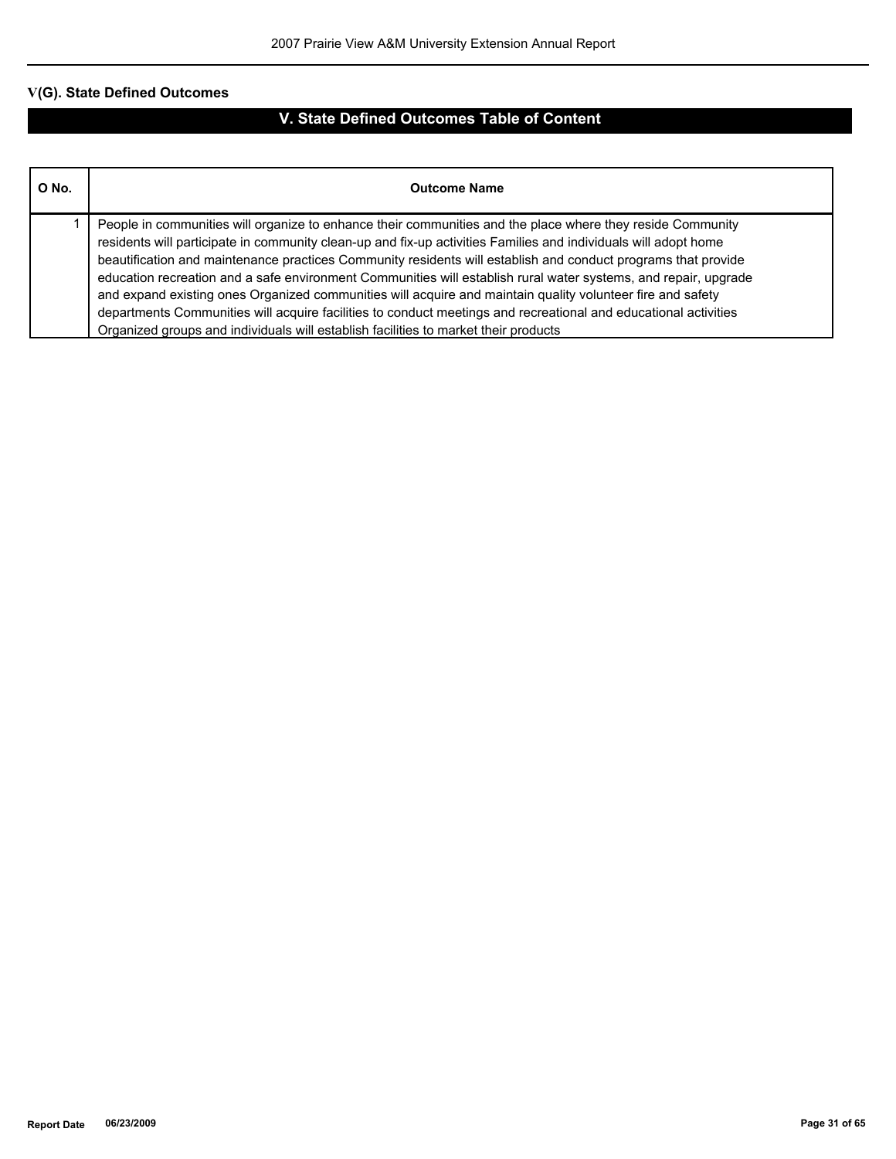| O No. | <b>Outcome Name</b>                                                                                                                                                                                                                                                                                                                                                                                                                                                                                                                                                                                                                                                                                                                                                                       |
|-------|-------------------------------------------------------------------------------------------------------------------------------------------------------------------------------------------------------------------------------------------------------------------------------------------------------------------------------------------------------------------------------------------------------------------------------------------------------------------------------------------------------------------------------------------------------------------------------------------------------------------------------------------------------------------------------------------------------------------------------------------------------------------------------------------|
|       | People in communities will organize to enhance their communities and the place where they reside Community<br>residents will participate in community clean-up and fix-up activities Families and individuals will adopt home<br>beautification and maintenance practices Community residents will establish and conduct programs that provide<br>education recreation and a safe environment Communities will establish rural water systems, and repair, upgrade<br>and expand existing ones Organized communities will acquire and maintain quality volunteer fire and safety<br>departments Communities will acquire facilities to conduct meetings and recreational and educational activities<br>Organized groups and individuals will establish facilities to market their products |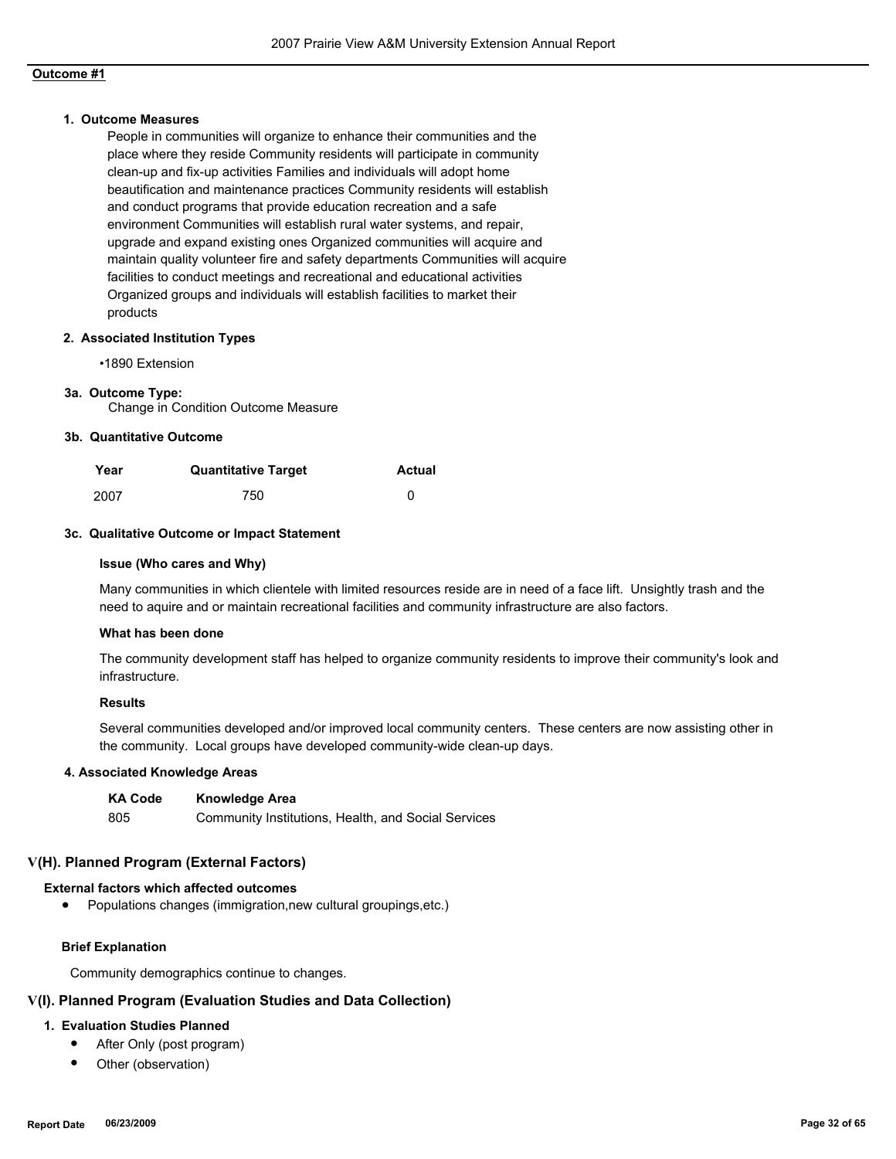#### **1. Outcome Measures**

People in communities will organize to enhance their communities and the place where they reside Community residents will participate in community clean-up and fix-up activities Families and individuals will adopt home beautification and maintenance practices Community residents will establish and conduct programs that provide education recreation and a safe environment Communities will establish rural water systems, and repair, upgrade and expand existing ones Organized communities will acquire and maintain quality volunteer fire and safety departments Communities will acquire facilities to conduct meetings and recreational and educational activities Organized groups and individuals will establish facilities to market their products

#### **2. Associated Institution Types**

•1890 Extension

#### **3a. Outcome Type:**

Change in Condition Outcome Measure

#### **3b. Quantitative Outcome**

| Year | <b>Quantitative Target</b> | <b>Actual</b> |
|------|----------------------------|---------------|
| 2007 | 750                        |               |

#### **3c. Qualitative Outcome or Impact Statement**

#### **Issue (Who cares and Why)**

Many communities in which clientele with limited resources reside are in need of a face lift. Unsightly trash and the need to aquire and or maintain recreational facilities and community infrastructure are also factors.

#### **What has been done**

The community development staff has helped to organize community residents to improve their community's look and infrastructure.

#### **Results**

Several communities developed and/or improved local community centers. These centers are now assisting other in the community. Local groups have developed community-wide clean-up days.

#### **4. Associated Knowledge Areas**

| <b>KA Code</b> | <b>Knowledge Area</b>                               |
|----------------|-----------------------------------------------------|
| -805           | Community Institutions, Health, and Social Services |

## **V(H). Planned Program (External Factors)**

## **External factors which affected outcomes**

● Populations changes (immigration,new cultural groupings,etc.)

## **Brief Explanation**

Community demographics continue to changes.

## **V(I). Planned Program (Evaluation Studies and Data Collection)**

## **1. Evaluation Studies Planned**

- After Only (post program)
- Other (observation)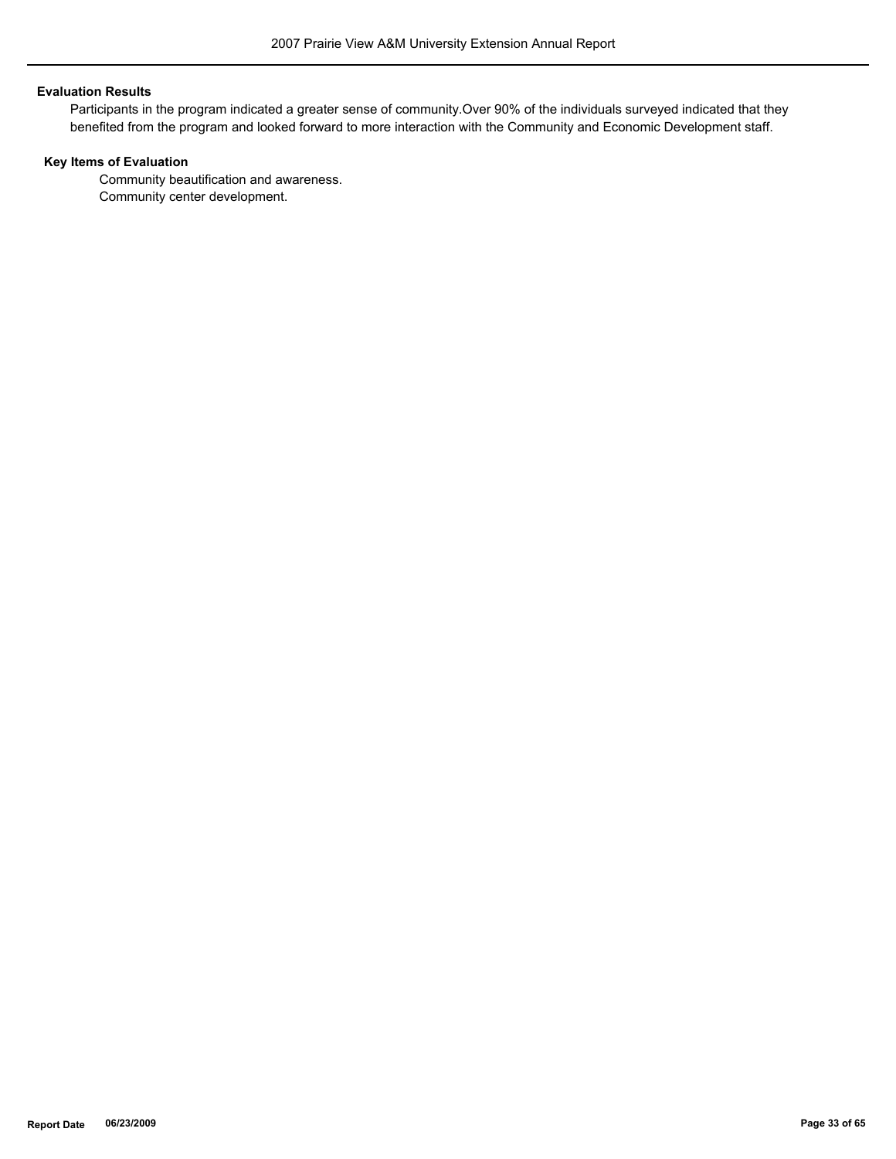#### **Evaluation Results**

Participants in the program indicated a greater sense of community.Over 90% of the individuals surveyed indicated that they benefited from the program and looked forward to more interaction with the Community and Economic Development staff.

## **Key Items of Evaluation**

 Community beautification and awareness. Community center development.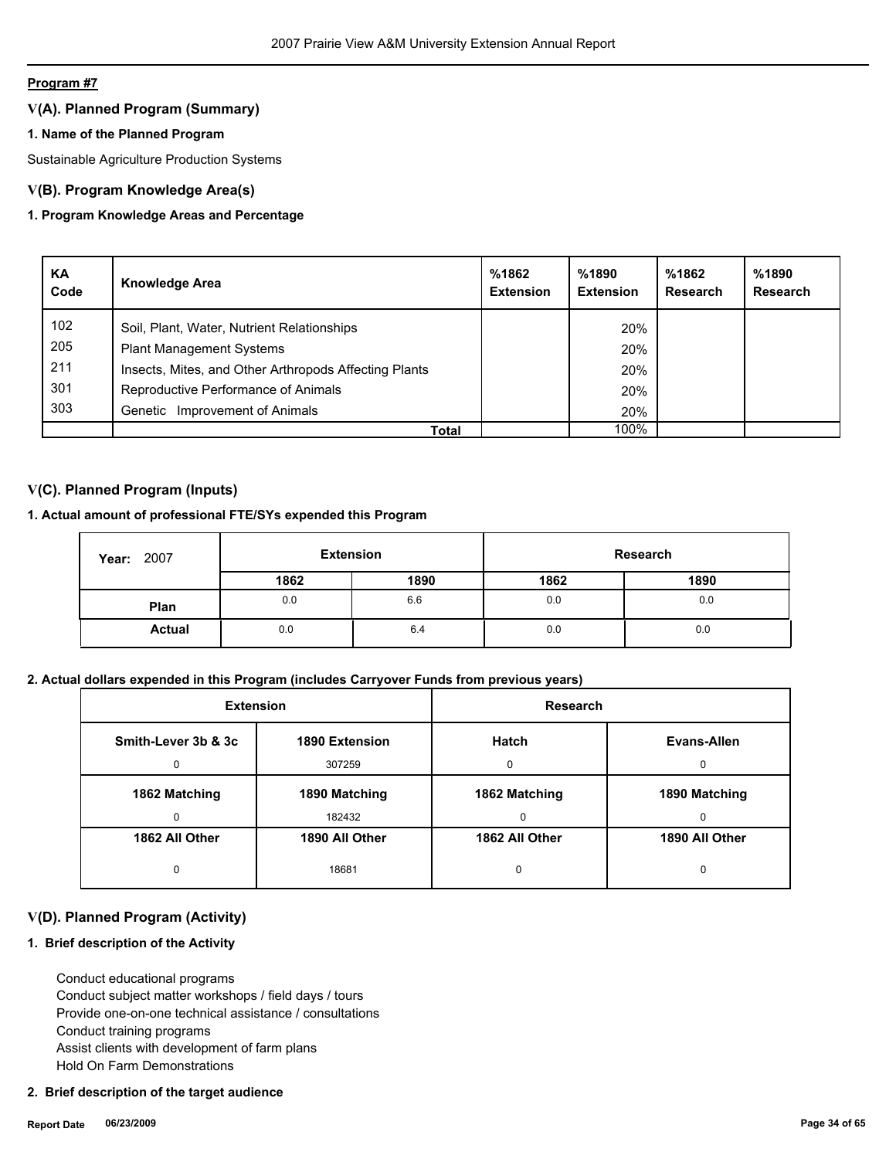## **V(A). Planned Program (Summary)**

## **1. Name of the Planned Program**

Sustainable Agriculture Production Systems

## **V(B). Program Knowledge Area(s)**

## **1. Program Knowledge Areas and Percentage**

| KA<br>Code | <b>Knowledge Area</b>                                 | %1862<br><b>Extension</b> | %1890<br><b>Extension</b> | %1862<br>Research | %1890<br>Research |
|------------|-------------------------------------------------------|---------------------------|---------------------------|-------------------|-------------------|
| 102        | Soil, Plant, Water, Nutrient Relationships            |                           | 20%                       |                   |                   |
| 205        | <b>Plant Management Systems</b>                       |                           | 20%                       |                   |                   |
| 211        | Insects, Mites, and Other Arthropods Affecting Plants |                           | 20%                       |                   |                   |
| 301        | Reproductive Performance of Animals                   |                           | 20%                       |                   |                   |
| 303        | Improvement of Animals<br>Genetic                     |                           | 20%                       |                   |                   |
|            | Total                                                 |                           | 100%                      |                   |                   |

## **V(C). Planned Program (Inputs)**

## **1. Actual amount of professional FTE/SYs expended this Program**

| 2007<br>Year: | <b>Extension</b> |      |      | Research |
|---------------|------------------|------|------|----------|
|               | 1862             | 1890 | 1862 | 1890     |
| Plan          | 0.0              | 6.6  | 0.0  | 0.0      |
| <b>Actual</b> | 0.0              | 6.4  | 0.0  | 0.0      |

## **2. Actual dollars expended in this Program (includes Carryover Funds from previous years)**

| <b>Extension</b>    |                | Research       |                |
|---------------------|----------------|----------------|----------------|
| Smith-Lever 3b & 3c | 1890 Extension | Hatch          | Evans-Allen    |
| 0                   | 307259         | $\Omega$       | 0              |
| 1862 Matching       | 1890 Matching  | 1862 Matching  | 1890 Matching  |
| 0                   | 182432         | 0              | 0              |
| 1862 All Other      | 1890 All Other | 1862 All Other | 1890 All Other |
| 0                   | 18681          | 0              | 0              |

## **V(D). Planned Program (Activity)**

## **1. Brief description of the Activity**

 Conduct educational programs Conduct subject matter workshops / field days / tours Provide one-on-one technical assistance / consultations Conduct training programs Assist clients with development of farm plans Hold On Farm Demonstrations

#### **2. Brief description of the target audience**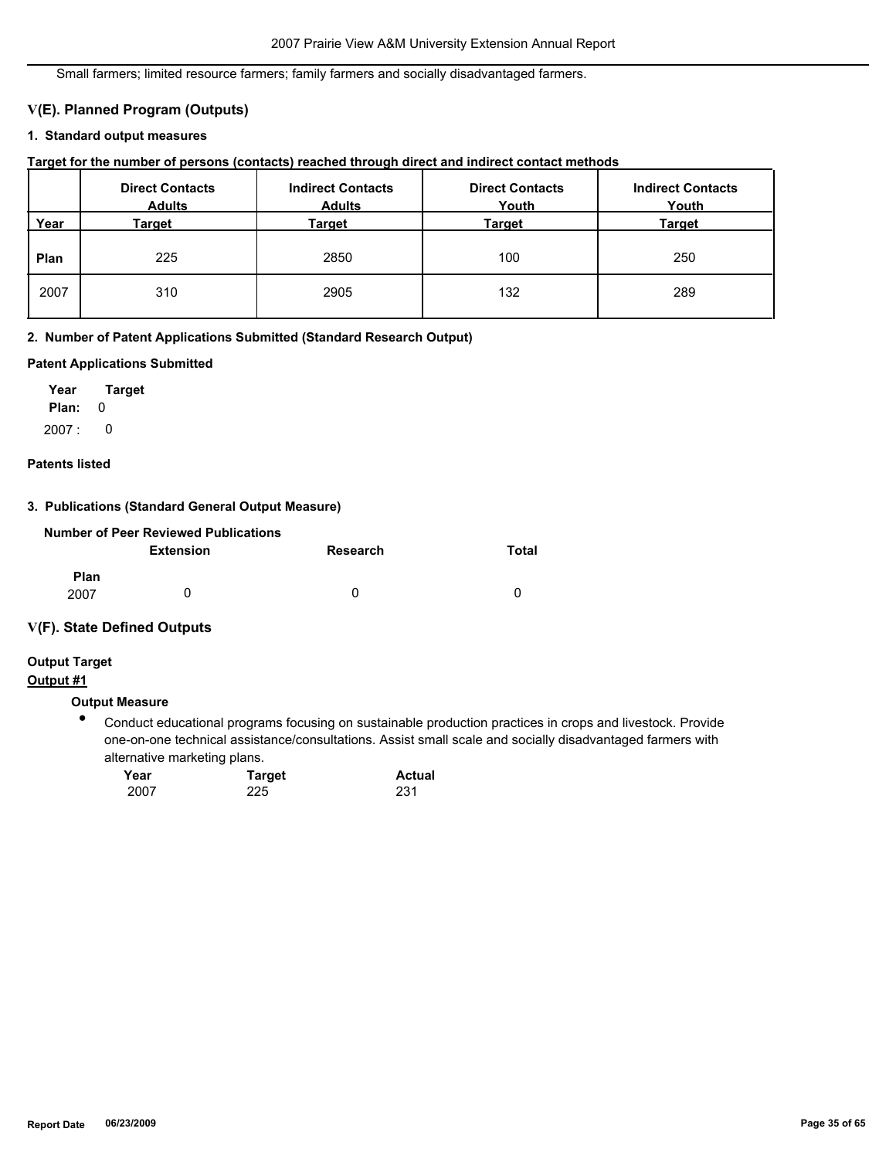Small farmers; limited resource farmers; family farmers and socially disadvantaged farmers.

## **V(E). Planned Program (Outputs)**

## **1. Standard output measures**

| Target for the number of persons (contacts) reached through direct and indirect contact methods |  |  |  |  |  |  |
|-------------------------------------------------------------------------------------------------|--|--|--|--|--|--|
|-------------------------------------------------------------------------------------------------|--|--|--|--|--|--|

|      | <b>Direct Contacts</b><br><b>Adults</b> | <b>Indirect Contacts</b><br><b>Adults</b> | <b>Direct Contacts</b><br>Youth | <b>Indirect Contacts</b><br>Youth |
|------|-----------------------------------------|-------------------------------------------|---------------------------------|-----------------------------------|
| Year | Target                                  | Target                                    | <b>Target</b>                   | <b>Target</b>                     |
| Plan | 225                                     | 2850                                      | 100                             | 250                               |
| 2007 | 310                                     | 2905                                      | 132                             | 289                               |

## **2. Number of Patent Applications Submitted (Standard Research Output)**

### **Patent Applications Submitted**

**Plan:** 0 **Year Target**  $2007: 0$ 

#### **Patents listed**

## **3. Publications (Standard General Output Measure)**

| <b>Number of Peer Reviewed Publications</b> |                  |          |       |  |  |  |  |
|---------------------------------------------|------------------|----------|-------|--|--|--|--|
|                                             | <b>Extension</b> | Research | Total |  |  |  |  |
| <b>Plan</b><br>2007                         |                  | 0        |       |  |  |  |  |

## **V(F). State Defined Outputs**

# **Output Target**

# **Output #1**

#### **Output Measure**

● Conduct educational programs focusing on sustainable production practices in crops and livestock. Provide one-on-one technical assistance/consultations. Assist small scale and socially disadvantaged farmers with alternative marketing plans.

| Year | <b>Target</b> | <b>Actual</b> |  |
|------|---------------|---------------|--|
| 2007 | 225           | 231           |  |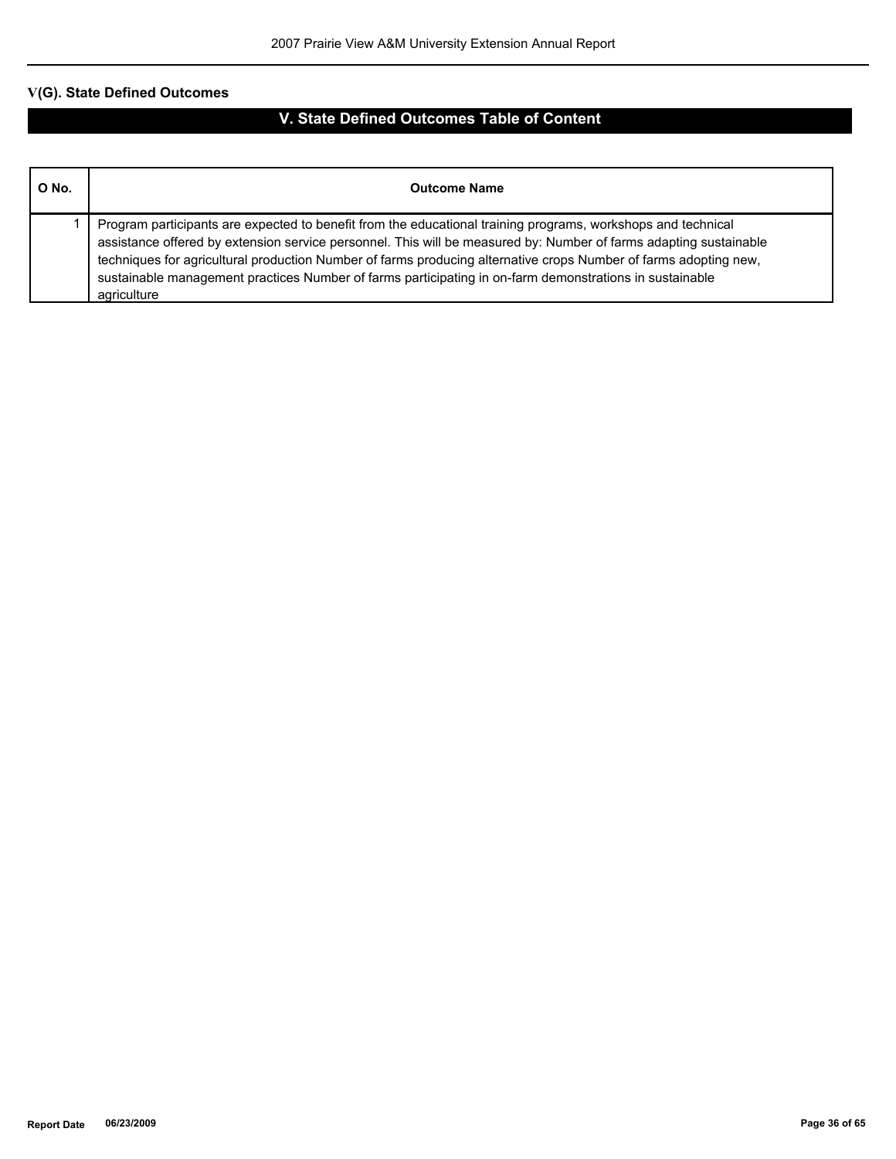| O No. | <b>Outcome Name</b>                                                                                                                                                                                                                                                                                                                                                                                                                                                             |
|-------|---------------------------------------------------------------------------------------------------------------------------------------------------------------------------------------------------------------------------------------------------------------------------------------------------------------------------------------------------------------------------------------------------------------------------------------------------------------------------------|
|       | Program participants are expected to benefit from the educational training programs, workshops and technical<br>assistance offered by extension service personnel. This will be measured by: Number of farms adapting sustainable<br>techniques for agricultural production Number of farms producing alternative crops Number of farms adopting new,<br>sustainable management practices Number of farms participating in on-farm demonstrations in sustainable<br>agriculture |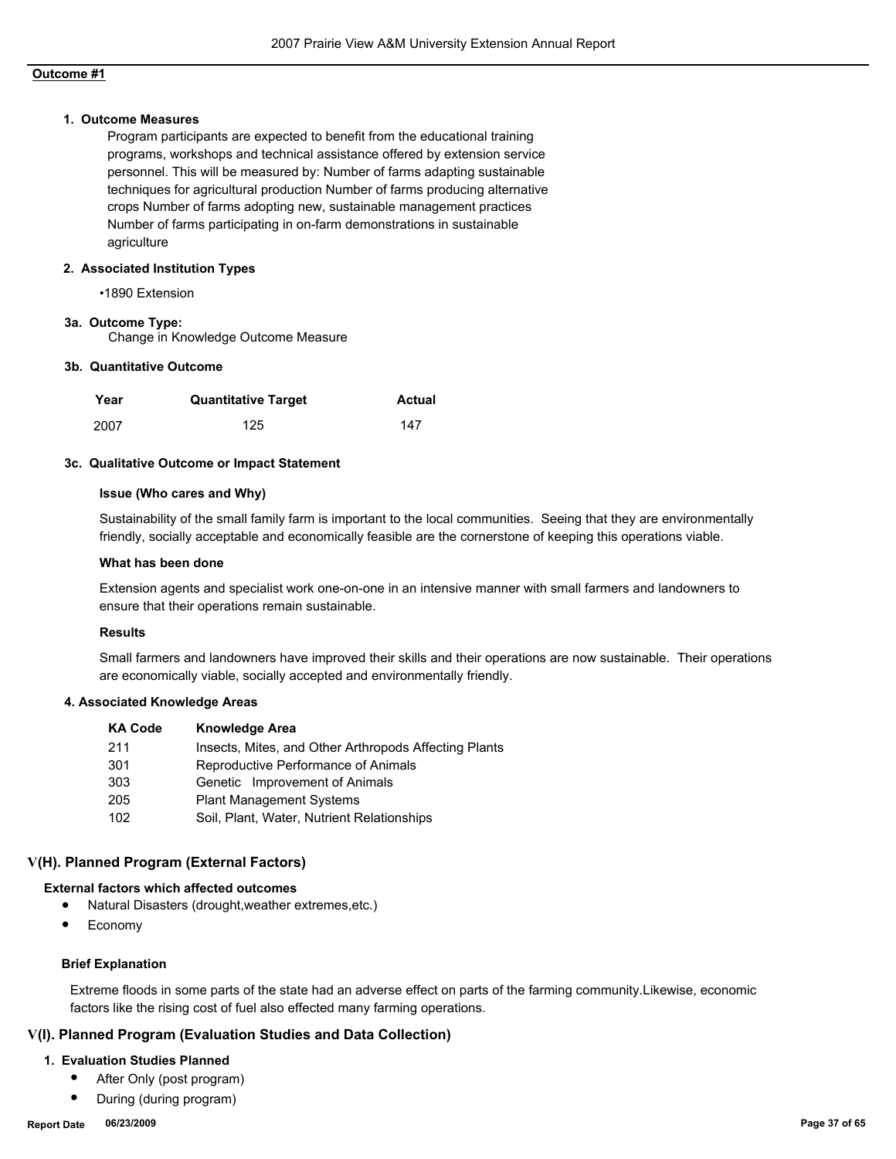#### **1. Outcome Measures**

Program participants are expected to benefit from the educational training programs, workshops and technical assistance offered by extension service personnel. This will be measured by: Number of farms adapting sustainable techniques for agricultural production Number of farms producing alternative crops Number of farms adopting new, sustainable management practices Number of farms participating in on-farm demonstrations in sustainable agriculture

#### **2. Associated Institution Types**

•1890 Extension

#### **3a. Outcome Type:**

Change in Knowledge Outcome Measure

#### **3b. Quantitative Outcome**

| Year | <b>Quantitative Target</b> | Actual |
|------|----------------------------|--------|
| 2007 | 125                        | 147    |

#### **3c. Qualitative Outcome or Impact Statement**

#### **Issue (Who cares and Why)**

Sustainability of the small family farm is important to the local communities. Seeing that they are environmentally friendly, socially acceptable and economically feasible are the cornerstone of keeping this operations viable.

#### **What has been done**

Extension agents and specialist work one-on-one in an intensive manner with small farmers and landowners to ensure that their operations remain sustainable.

### **Results**

Small farmers and landowners have improved their skills and their operations are now sustainable. Their operations are economically viable, socially accepted and environmentally friendly.

#### **4. Associated Knowledge Areas**

| <b>KA Code</b> | <b>Knowledge Area</b>                                 |
|----------------|-------------------------------------------------------|
| 211            | Insects, Mites, and Other Arthropods Affecting Plants |
| 301            | Reproductive Performance of Animals                   |
| 303            | Genetic Improvement of Animals                        |
| 205            | <b>Plant Management Systems</b>                       |
| 102            | Soil, Plant, Water, Nutrient Relationships            |

## **V(H). Planned Program (External Factors)**

#### **External factors which affected outcomes**

- Natural Disasters (drought,weather extremes,etc.)
- **Economy**

#### **Brief Explanation**

Extreme floods in some parts of the state had an adverse effect on parts of the farming community.Likewise, economic factors like the rising cost of fuel also effected many farming operations.

## **V(I). Planned Program (Evaluation Studies and Data Collection)**

#### **1. Evaluation Studies Planned**

- After Only (post program)
- During (during program)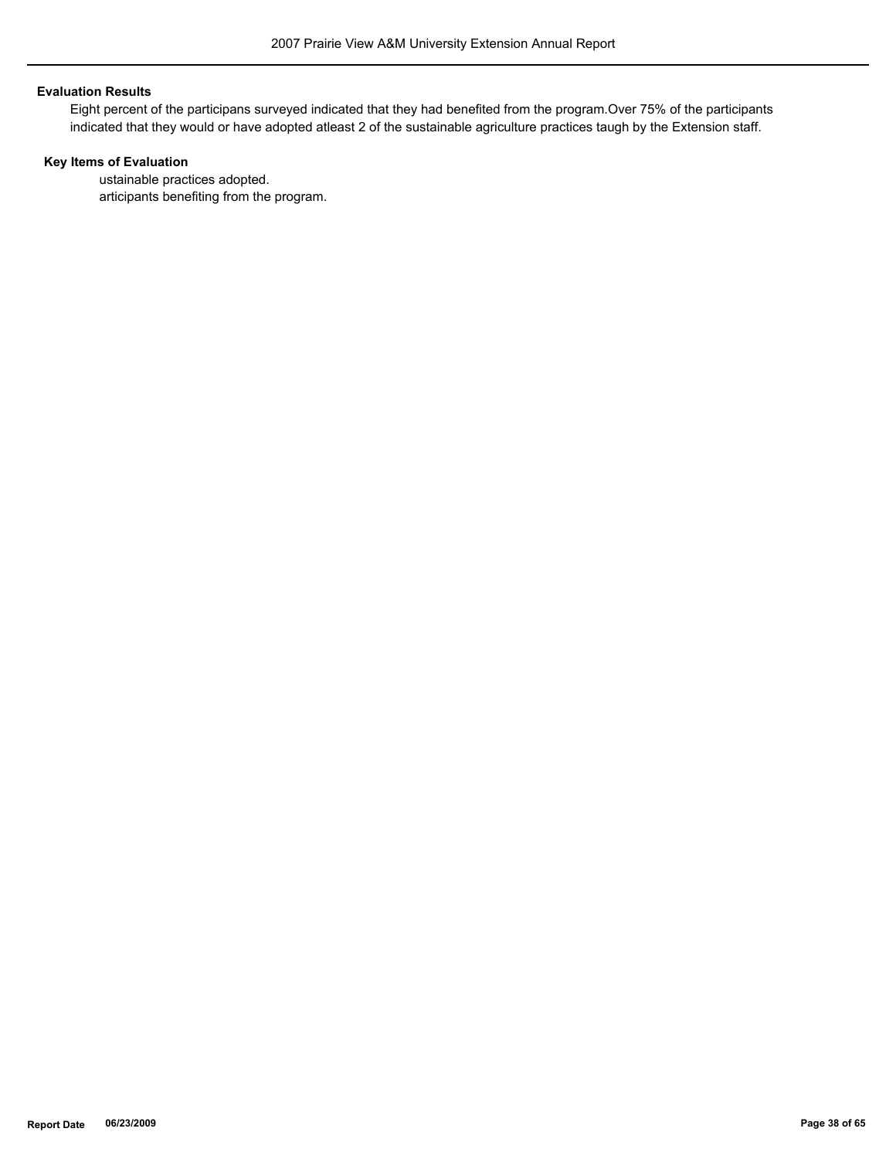#### **Evaluation Results**

Eight percent of the participans surveyed indicated that they had benefited from the program.Over 75% of the participants indicated that they would or have adopted atleast 2 of the sustainable agriculture practices taugh by the Extension staff.

## **Key Items of Evaluation**

 ustainable practices adopted. articipants benefiting from the program.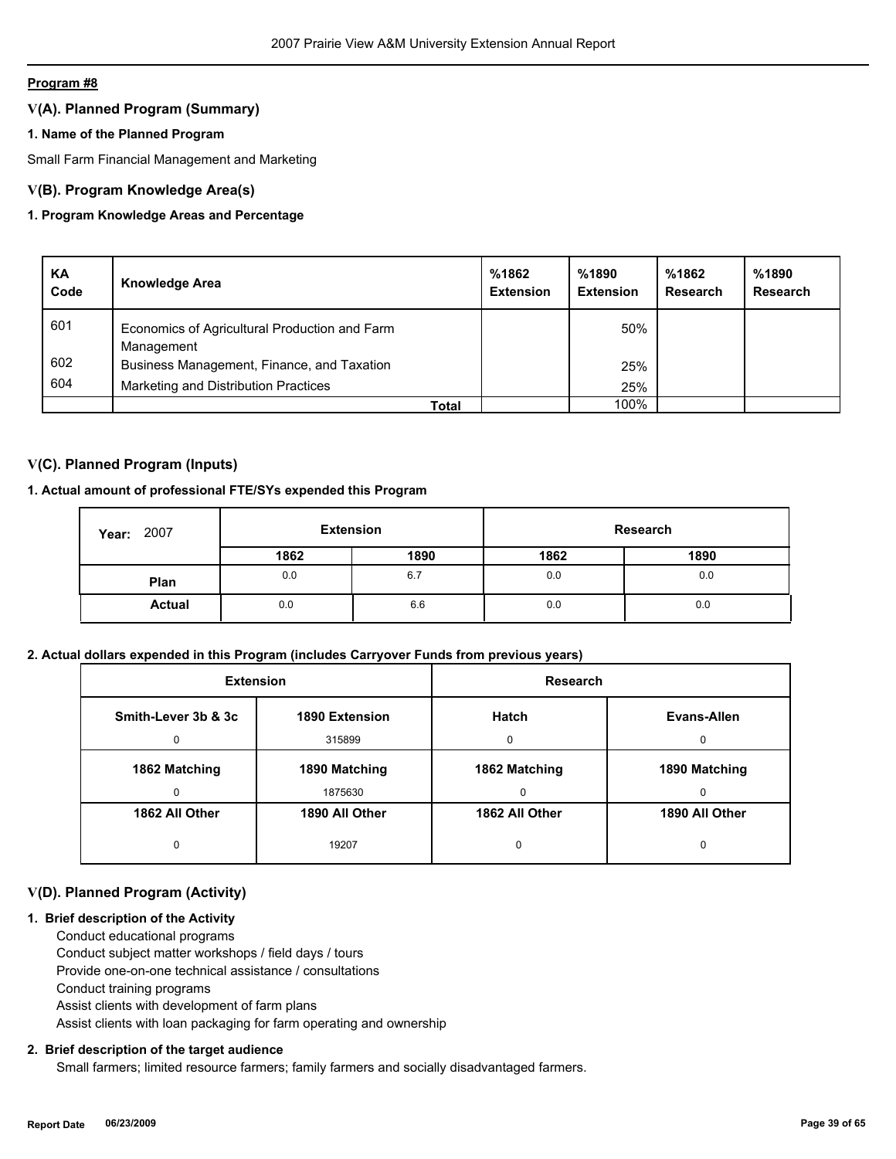## **V(A). Planned Program (Summary)**

## **1. Name of the Planned Program**

Small Farm Financial Management and Marketing

## **V(B). Program Knowledge Area(s)**

## **1. Program Knowledge Areas and Percentage**

| KA<br>Code | <b>Knowledge Area</b>                                       | %1862<br><b>Extension</b> | %1890<br><b>Extension</b> | %1862<br><b>Research</b> | %1890<br>Research |
|------------|-------------------------------------------------------------|---------------------------|---------------------------|--------------------------|-------------------|
| 601        | Economics of Agricultural Production and Farm<br>Management |                           | 50%                       |                          |                   |
| 602        | Business Management, Finance, and Taxation                  |                           | 25%                       |                          |                   |
| 604        | Marketing and Distribution Practices                        |                           | 25%                       |                          |                   |
|            | Total                                                       |                           | 100%                      |                          |                   |

## **V(C). Planned Program (Inputs)**

## **1. Actual amount of professional FTE/SYs expended this Program**

| 2007<br>Year: | <b>Extension</b> |      | Research |      |
|---------------|------------------|------|----------|------|
|               | 1862             | 1890 | 1862     | 1890 |
| Plan          | 0.0              | 6.7  | 0.0      | 0.0  |
| <b>Actual</b> | 0.0              | 6.6  | 0.0      | 0.0  |

## **2. Actual dollars expended in this Program (includes Carryover Funds from previous years)**

| <b>Extension</b>    |                | <b>Research</b> |                |
|---------------------|----------------|-----------------|----------------|
| Smith-Lever 3b & 3c | 1890 Extension | Hatch           | Evans-Allen    |
|                     | 315899         | O               | <sup>0</sup>   |
| 1862 Matching       | 1890 Matching  | 1862 Matching   | 1890 Matching  |
|                     | 1875630        | $\Omega$        | n              |
| 1862 All Other      | 1890 All Other | 1862 All Other  | 1890 All Other |
| 0                   | 19207          | 0               | $\Omega$       |

## **V(D). Planned Program (Activity)**

## **1. Brief description of the Activity**

 Conduct educational programs Conduct subject matter workshops / field days / tours Provide one-on-one technical assistance / consultations Conduct training programs Assist clients with development of farm plans Assist clients with loan packaging for farm operating and ownership

#### **2. Brief description of the target audience**

Small farmers; limited resource farmers; family farmers and socially disadvantaged farmers.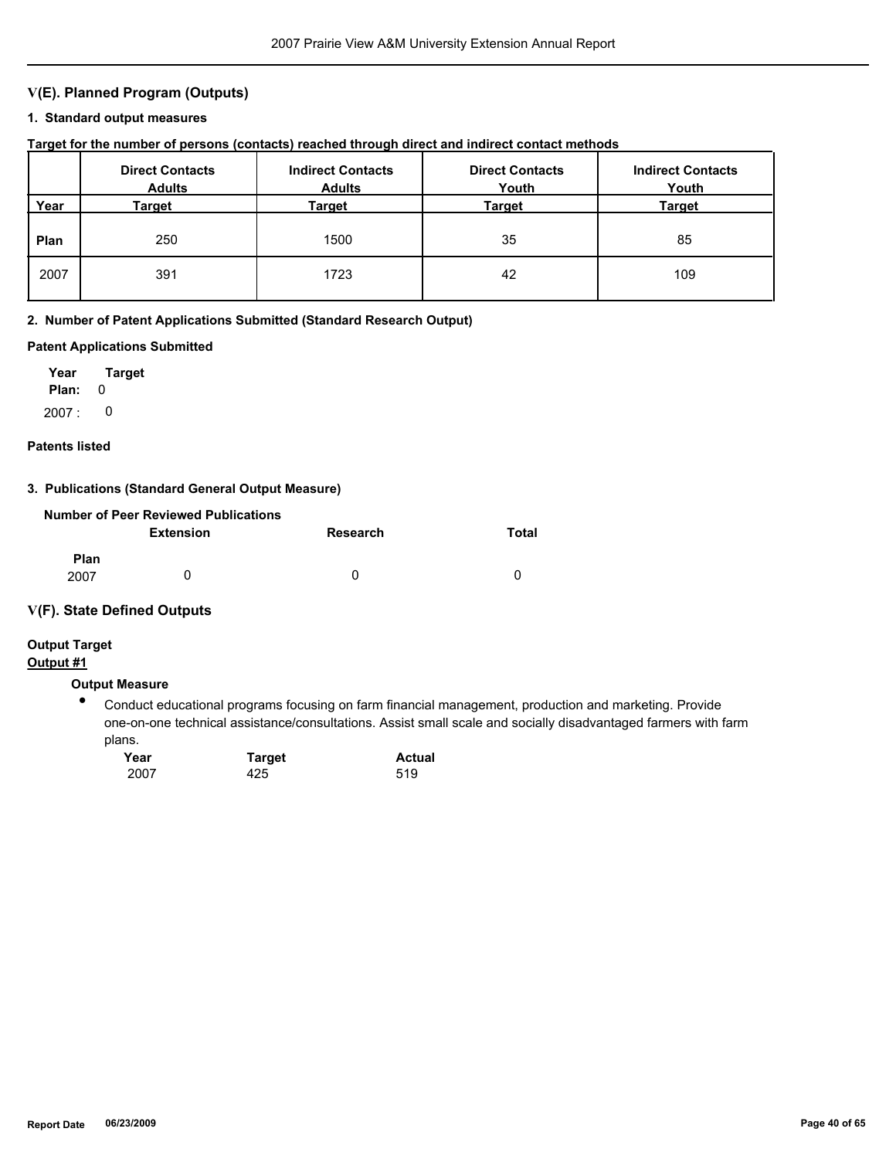## **V(E). Planned Program (Outputs)**

#### **1. Standard output measures**

## **Target for the number of persons (contacts) reached through direct and indirect contact methods**

|      | <b>Direct Contacts</b><br><b>Adults</b> | <b>Indirect Contacts</b><br><b>Adults</b> | <b>Direct Contacts</b><br>Youth | <b>Indirect Contacts</b><br>Youth |
|------|-----------------------------------------|-------------------------------------------|---------------------------------|-----------------------------------|
| Year | Target                                  | Target                                    | Target                          | <b>Target</b>                     |
| Plan | 250                                     | 1500                                      | 35                              | 85                                |
| 2007 | 391                                     | 1723                                      | 42                              | 109                               |

#### **2. Number of Patent Applications Submitted (Standard Research Output)**

#### **Patent Applications Submitted**

**Plan:** 0 **Year Target** 2007 : 0

#### **Patents listed**

## **3. Publications (Standard General Output Measure)**

|                     | Number of Peer Reviewed Publications |          |       |
|---------------------|--------------------------------------|----------|-------|
|                     | <b>Extension</b>                     | Research | Total |
| <b>Plan</b><br>2007 |                                      | 0        | 0     |

#### **V(F). State Defined Outputs**

# **Output Target**

## **Output #1**

## **Output Measure**

● Conduct educational programs focusing on farm financial management, production and marketing. Provide one-on-one technical assistance/consultations. Assist small scale and socially disadvantaged farmers with farm plans.

| Year | <b>Target</b> | <b>Actual</b> |
|------|---------------|---------------|
| 2007 | 425           | 519           |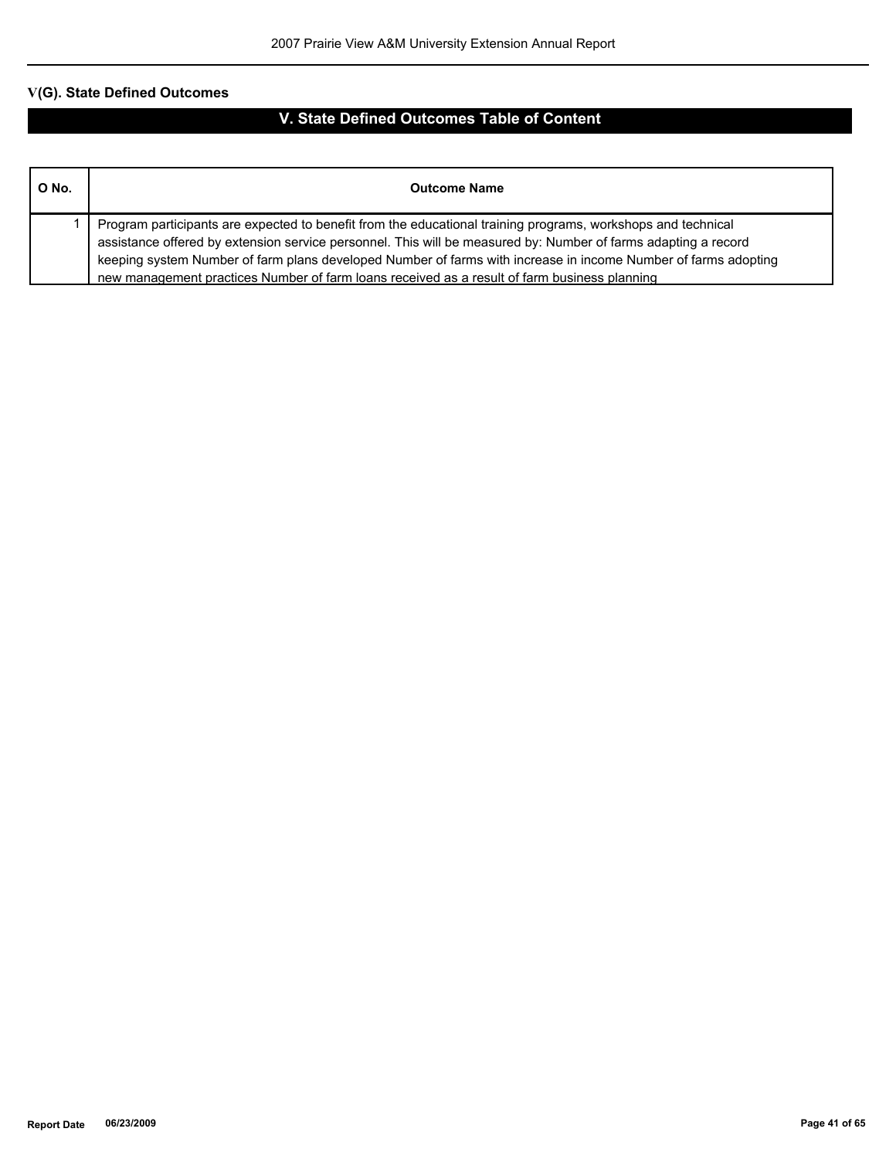| O No. | <b>Outcome Name</b>                                                                                                                                                                                                                                                                                                                                                                                                                              |
|-------|--------------------------------------------------------------------------------------------------------------------------------------------------------------------------------------------------------------------------------------------------------------------------------------------------------------------------------------------------------------------------------------------------------------------------------------------------|
|       | Program participants are expected to benefit from the educational training programs, workshops and technical<br>assistance offered by extension service personnel. This will be measured by: Number of farms adapting a record<br>keeping system Number of farm plans developed Number of farms with increase in income Number of farms adopting<br>new management practices Number of farm loans received as a result of farm business planning |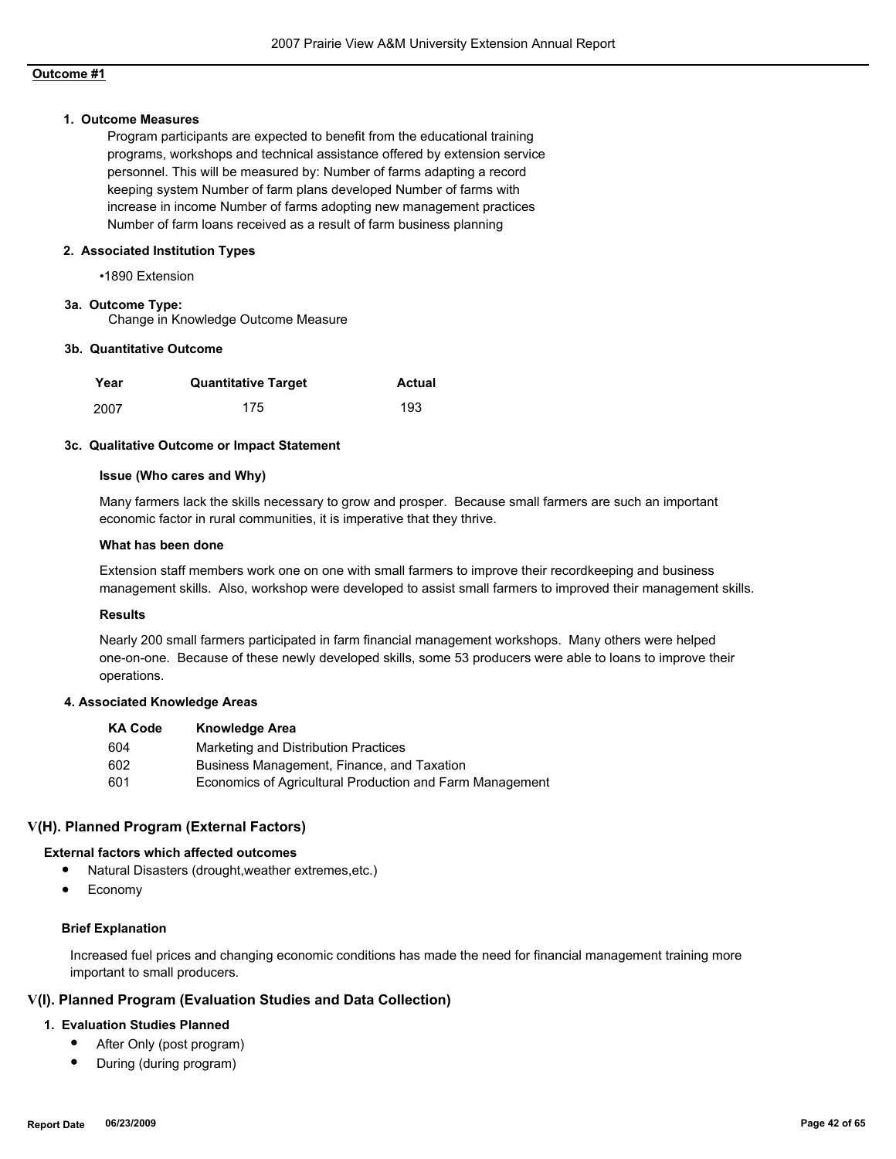#### **1. Outcome Measures**

Program participants are expected to benefit from the educational training programs, workshops and technical assistance offered by extension service personnel. This will be measured by: Number of farms adapting a record keeping system Number of farm plans developed Number of farms with increase in income Number of farms adopting new management practices Number of farm loans received as a result of farm business planning

#### **2. Associated Institution Types**

•1890 Extension

#### **3a. Outcome Type:**

Change in Knowledge Outcome Measure

#### **3b. Quantitative Outcome**

| Year | <b>Quantitative Target</b> | Actual |
|------|----------------------------|--------|
| 2007 | 175                        | 193    |

#### **3c. Qualitative Outcome or Impact Statement**

#### **Issue (Who cares and Why)**

Many farmers lack the skills necessary to grow and prosper. Because small farmers are such an important economic factor in rural communities, it is imperative that they thrive.

#### **What has been done**

Extension staff members work one on one with small farmers to improve their recordkeeping and business management skills. Also, workshop were developed to assist small farmers to improved their management skills.

#### **Results**

Nearly 200 small farmers participated in farm financial management workshops. Many others were helped one-on-one. Because of these newly developed skills, some 53 producers were able to loans to improve their operations.

#### **4. Associated Knowledge Areas**

| <b>KA Code</b> | <b>Knowledge Area</b>                                    |
|----------------|----------------------------------------------------------|
| 604            | Marketing and Distribution Practices                     |
| 602            | Business Management, Finance, and Taxation               |
| 601            | Economics of Agricultural Production and Farm Management |

#### **V(H). Planned Program (External Factors)**

#### **External factors which affected outcomes**

- Natural Disasters (drought,weather extremes,etc.)
- **Economy**

#### **Brief Explanation**

Increased fuel prices and changing economic conditions has made the need for financial management training more important to small producers.

#### **V(I). Planned Program (Evaluation Studies and Data Collection)**

#### **1. Evaluation Studies Planned**

- After Only (post program)
- During (during program)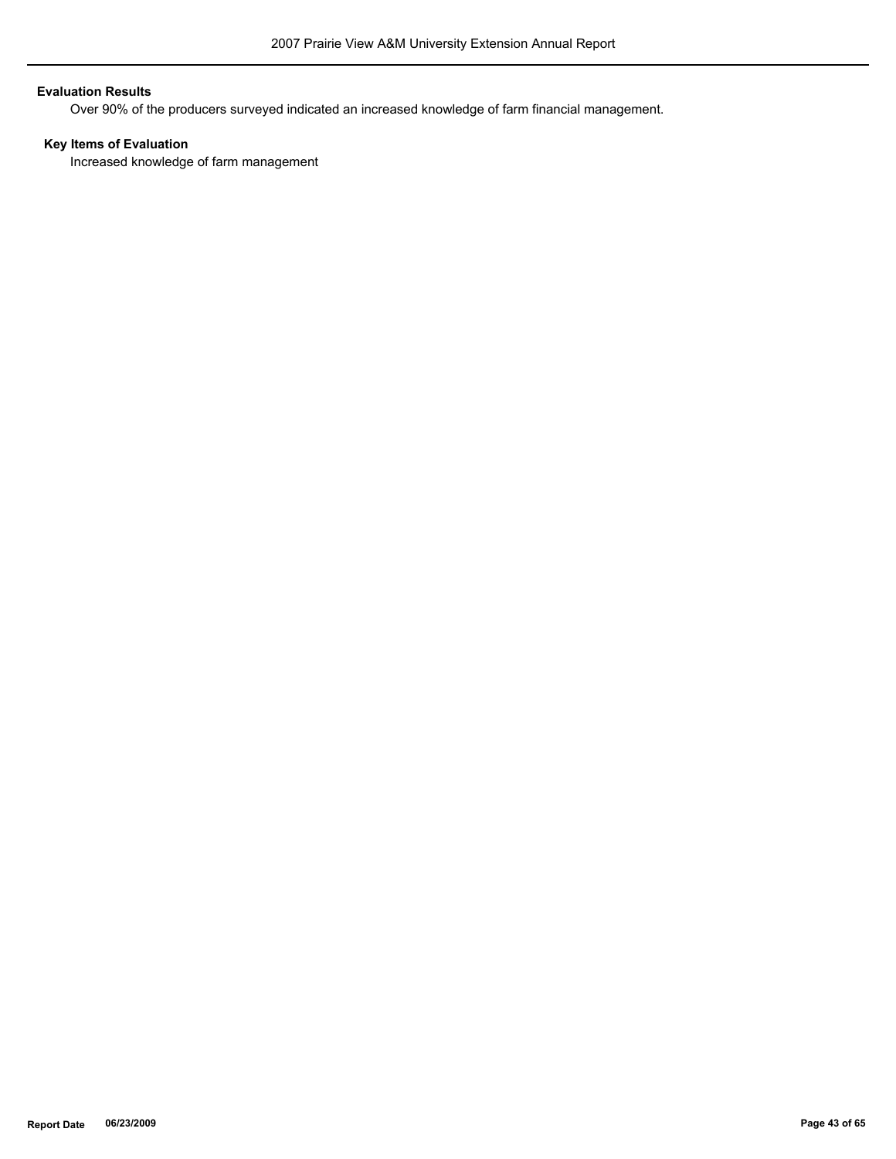## **Evaluation Results**

Over 90% of the producers surveyed indicated an increased knowledge of farm financial management.

## **Key Items of Evaluation**

Increased knowledge of farm management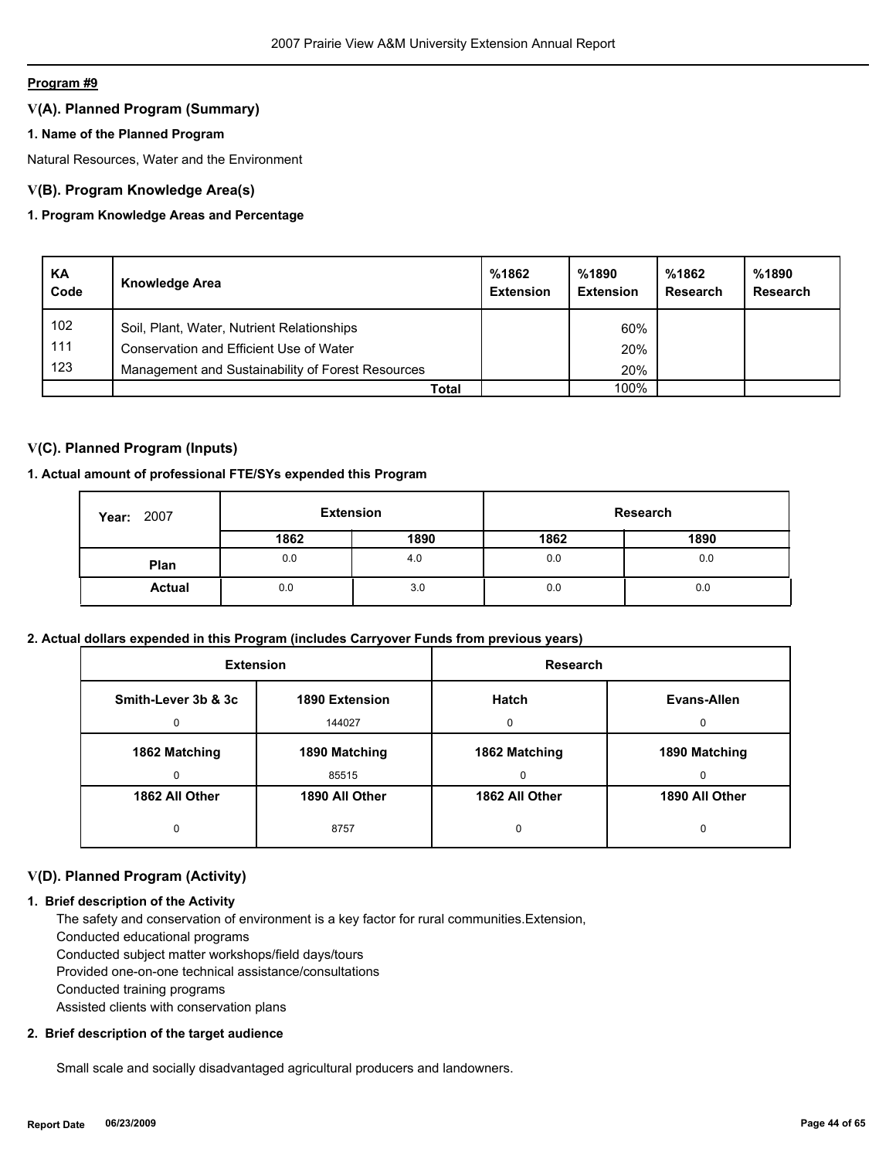## **V(A). Planned Program (Summary)**

## **1. Name of the Planned Program**

Natural Resources, Water and the Environment

## **V(B). Program Knowledge Area(s)**

## **1. Program Knowledge Areas and Percentage**

| KA<br>Code | <b>Knowledge Area</b>                             | %1862<br><b>Extension</b> | %1890<br><b>Extension</b> | %1862<br>Research | %1890<br>Research |
|------------|---------------------------------------------------|---------------------------|---------------------------|-------------------|-------------------|
| 102        | Soil, Plant, Water, Nutrient Relationships        |                           | 60%                       |                   |                   |
| 111        | Conservation and Efficient Use of Water           |                           | 20%                       |                   |                   |
| 123        | Management and Sustainability of Forest Resources |                           | 20%                       |                   |                   |
|            | Total                                             |                           | 100%                      |                   |                   |

## **V(C). Planned Program (Inputs)**

## **1. Actual amount of professional FTE/SYs expended this Program**

| <b>Year: 2007</b> | <b>Extension</b><br>Research |      |      |      |
|-------------------|------------------------------|------|------|------|
|                   | 1862                         | 1890 | 1862 | 1890 |
| Plan              | 0.0                          | 4.0  | 0.0  | 0.0  |
| <b>Actual</b>     | 0.0                          | 3.0  | 0.0  | 0.0  |

## **2. Actual dollars expended in this Program (includes Carryover Funds from previous years)**

| <b>Extension</b>    |                | <b>Research</b> |                |
|---------------------|----------------|-----------------|----------------|
| Smith-Lever 3b & 3c | 1890 Extension | <b>Hatch</b>    | Evans-Allen    |
| 0                   | 144027         | $\Omega$        | U              |
| 1862 Matching       | 1890 Matching  | 1862 Matching   | 1890 Matching  |
| 0                   | 85515          | $\Omega$        | <sup>0</sup>   |
| 1862 All Other      | 1890 All Other | 1862 All Other  | 1890 All Other |
| 0                   | 8757           | 0               | 0              |

## **V(D). Planned Program (Activity)**

## **1. Brief description of the Activity**

 The safety and conservation of environment is a key factor for rural communities.Extension, Conducted educational programs Conducted subject matter workshops/field days/tours

Provided one-on-one technical assistance/consultations

Conducted training programs

Assisted clients with conservation plans

## **2. Brief description of the target audience**

Small scale and socially disadvantaged agricultural producers and landowners.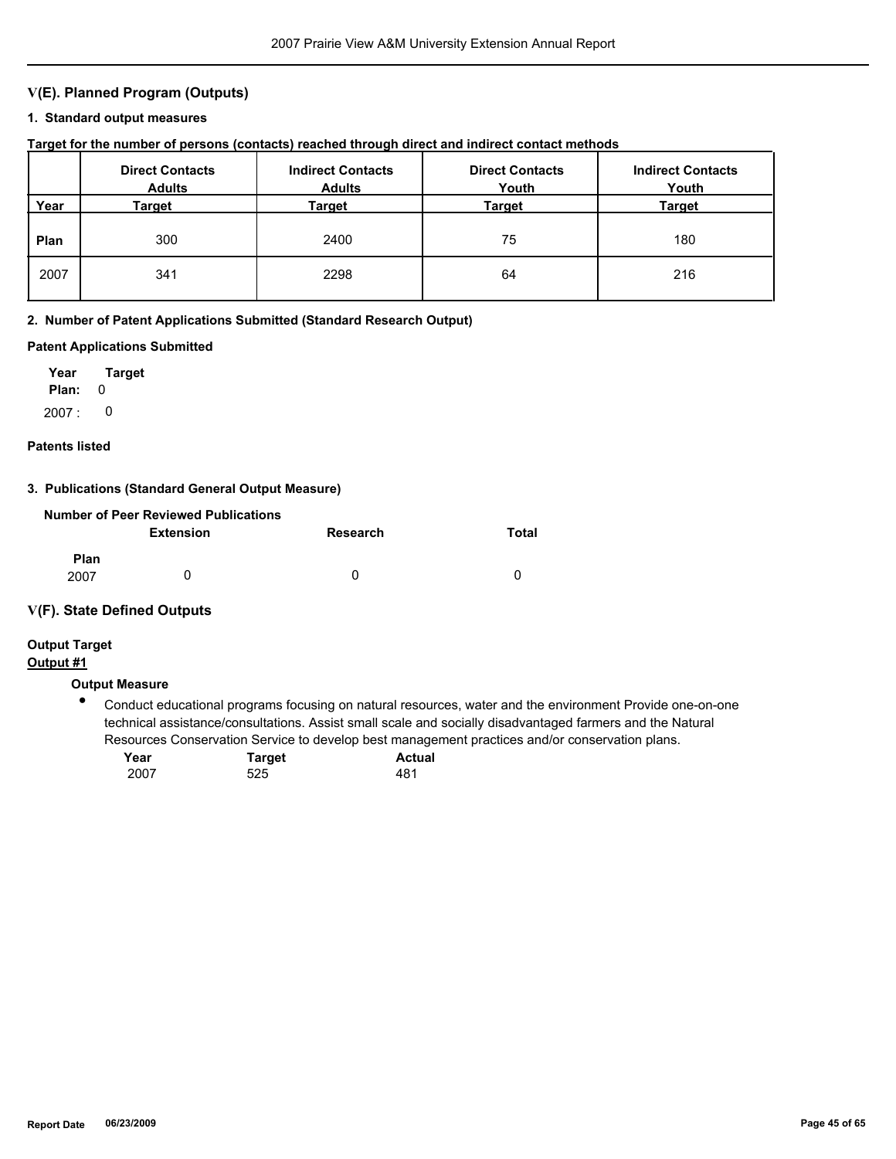## **V(E). Planned Program (Outputs)**

#### **1. Standard output measures**

**Target for the number of persons (contacts) reached through direct and indirect contact methods**

|      | <b>Direct Contacts</b><br><b>Adults</b> | <b>Indirect Contacts</b><br><b>Adults</b> | <b>Direct Contacts</b><br>Youth | <b>Indirect Contacts</b><br>Youth |
|------|-----------------------------------------|-------------------------------------------|---------------------------------|-----------------------------------|
| Year | Target                                  | Target                                    | Target                          | <b>Target</b>                     |
| Plan | 300                                     | 2400                                      | 75                              | 180                               |
| 2007 | 341                                     | 2298                                      | 64                              | 216                               |

#### **2. Number of Patent Applications Submitted (Standard Research Output)**

#### **Patent Applications Submitted**

**Plan:** 0 **Year Target** 2007 : 0

#### **Patents listed**

#### **3. Publications (Standard General Output Measure)**

|                     | Number of Peer Reviewed Publications |          |       |
|---------------------|--------------------------------------|----------|-------|
|                     | <b>Extension</b>                     | Research | Total |
| <b>Plan</b><br>2007 | $\mathbf{I}$                         | 0        | n     |

#### **V(F). State Defined Outputs**

# **Output Target**

## **Output #1**

## **Output Measure**

● Conduct educational programs focusing on natural resources, water and the environment Provide one-on-one technical assistance/consultations. Assist small scale and socially disadvantaged farmers and the Natural Resources Conservation Service to develop best management practices and/or conservation plans.

| Year | <b>Target</b> | <b>Actual</b> |
|------|---------------|---------------|
| 2007 | 525           | 481           |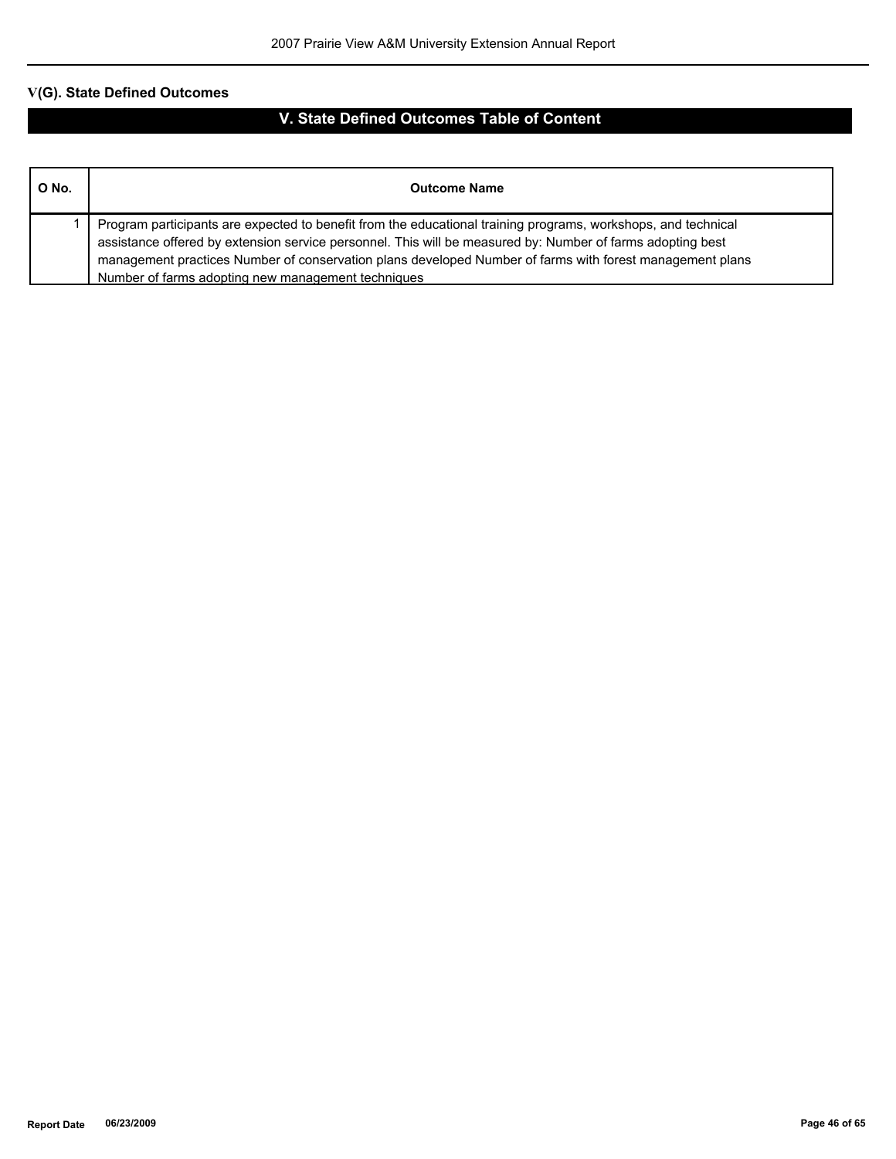| O No. | <b>Outcome Name</b>                                                                                                                                                                                                                                                                                                                                                                           |
|-------|-----------------------------------------------------------------------------------------------------------------------------------------------------------------------------------------------------------------------------------------------------------------------------------------------------------------------------------------------------------------------------------------------|
|       | Program participants are expected to benefit from the educational training programs, workshops, and technical<br>assistance offered by extension service personnel. This will be measured by: Number of farms adopting best<br>management practices Number of conservation plans developed Number of farms with forest management plans<br>Number of farms adopting new management techniques |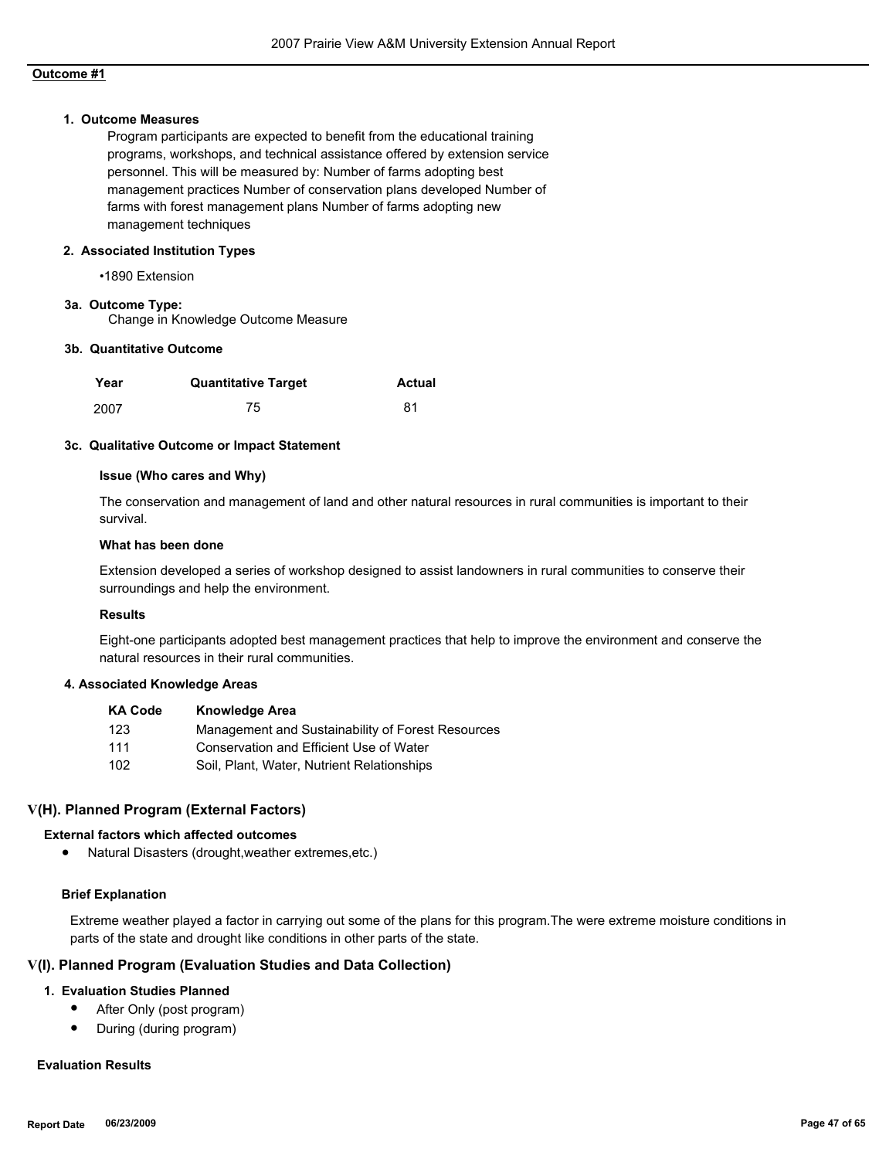#### **1. Outcome Measures**

Program participants are expected to benefit from the educational training programs, workshops, and technical assistance offered by extension service personnel. This will be measured by: Number of farms adopting best management practices Number of conservation plans developed Number of farms with forest management plans Number of farms adopting new management techniques

#### **2. Associated Institution Types**

•1890 Extension

#### **3a. Outcome Type:**

Change in Knowledge Outcome Measure

#### **3b. Quantitative Outcome**

| Year | <b>Quantitative Target</b> | <b>Actual</b> |
|------|----------------------------|---------------|
| 2007 | 75                         | 81            |

#### **3c. Qualitative Outcome or Impact Statement**

#### **Issue (Who cares and Why)**

The conservation and management of land and other natural resources in rural communities is important to their survival.

#### **What has been done**

Extension developed a series of workshop designed to assist landowners in rural communities to conserve their surroundings and help the environment.

#### **Results**

Eight-one participants adopted best management practices that help to improve the environment and conserve the natural resources in their rural communities.

#### **4. Associated Knowledge Areas**

| <b>KA Code</b> | <b>Knowledge Area</b>                             |
|----------------|---------------------------------------------------|
| 123            | Management and Sustainability of Forest Resources |
| 111            | Conservation and Efficient Use of Water           |
| 102            | Soil, Plant, Water, Nutrient Relationships        |

## **V(H). Planned Program (External Factors)**

## **External factors which affected outcomes**

● Natural Disasters (drought,weather extremes,etc.)

## **Brief Explanation**

Extreme weather played a factor in carrying out some of the plans for this program.The were extreme moisture conditions in parts of the state and drought like conditions in other parts of the state.

## **V(I). Planned Program (Evaluation Studies and Data Collection)**

## **1. Evaluation Studies Planned**

- After Only (post program)
- During (during program)

## **Evaluation Results**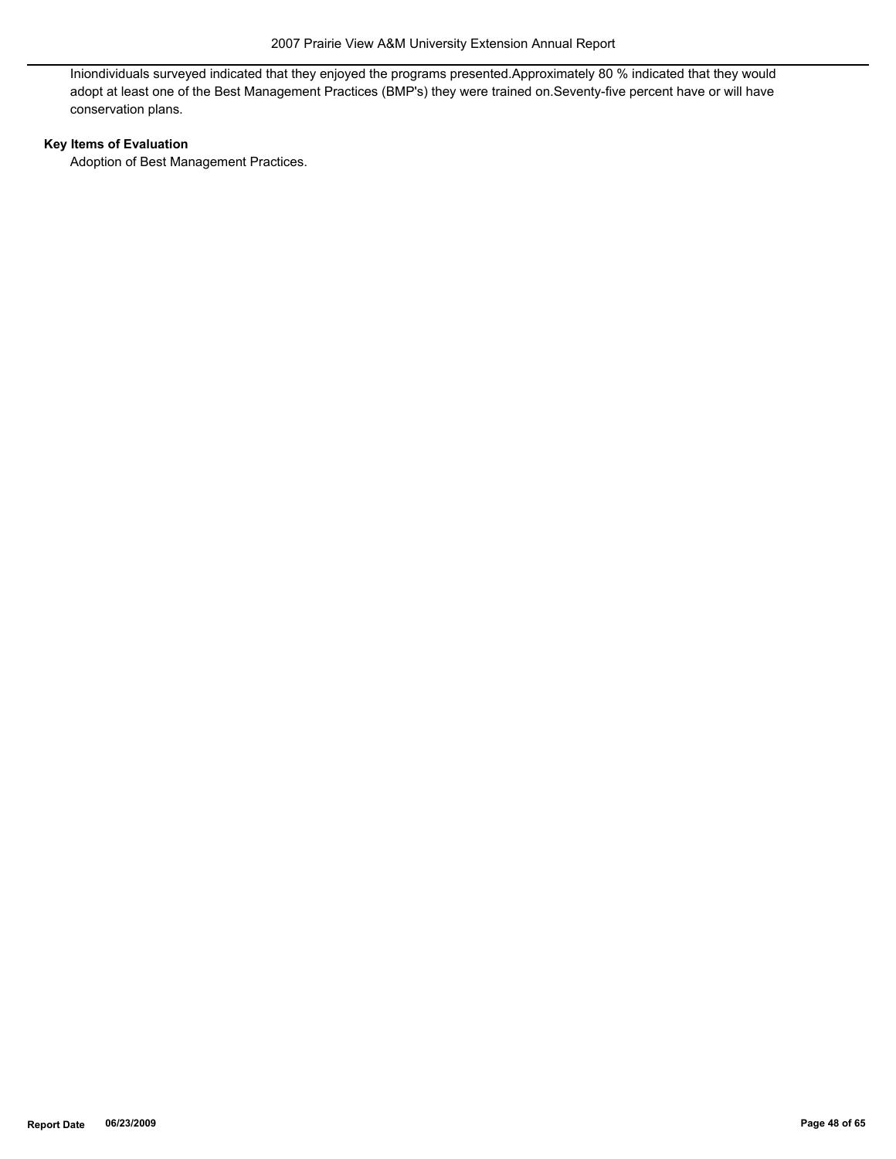Iniondividuals surveyed indicated that they enjoyed the programs presented.Approximately 80 % indicated that they would adopt at least one of the Best Management Practices (BMP's) they were trained on.Seventy-five percent have or will have conservation plans.

## **Key Items of Evaluation**

Adoption of Best Management Practices.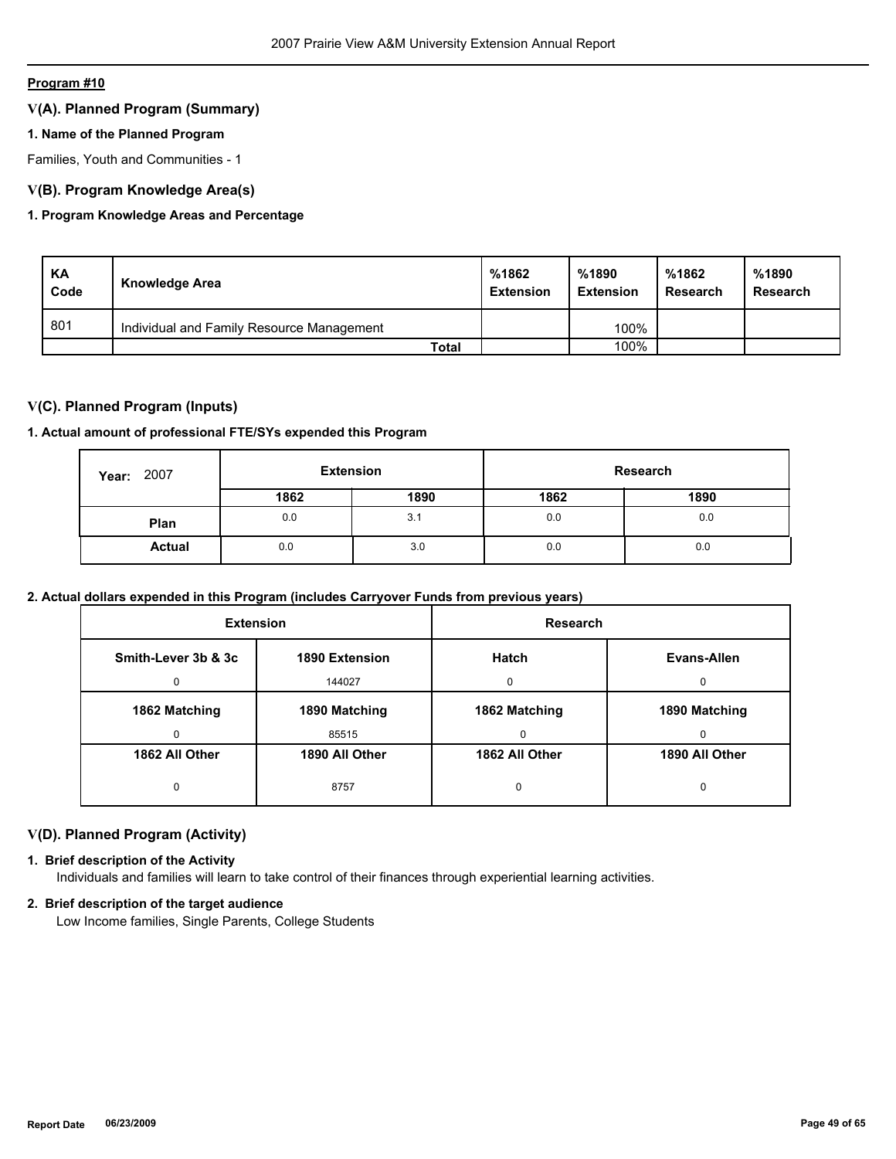## **V(A). Planned Program (Summary)**

## **1. Name of the Planned Program**

Families, Youth and Communities - 1

## **V(B). Program Knowledge Area(s)**

## **1. Program Knowledge Areas and Percentage**

| KA<br>Code | Knowledge Area                            | %1862<br><b>Extension</b> | %1890<br><b>Extension</b> | %1862<br>Research | %1890<br>Research |
|------------|-------------------------------------------|---------------------------|---------------------------|-------------------|-------------------|
| 801        | Individual and Family Resource Management |                           | 100%                      |                   |                   |
|            | Total                                     |                           | 100%                      |                   |                   |

## **V(C). Planned Program (Inputs)**

#### **1. Actual amount of professional FTE/SYs expended this Program**

| 2007<br>Year: |      | Research<br><b>Extension</b> |      |      |
|---------------|------|------------------------------|------|------|
|               | 1862 | 1890                         | 1862 | 1890 |
| Plan          | 0.0  | 3.1                          | 0.0  | 0.0  |
| <b>Actual</b> | 0.0  | 3.0                          | 0.0  | 0.0  |

## **2. Actual dollars expended in this Program (includes Carryover Funds from previous years)**

| <b>Extension</b>         |                          | <b>Research</b>    |                    |
|--------------------------|--------------------------|--------------------|--------------------|
| Smith-Lever 3b & 3c<br>0 | 1890 Extension<br>144027 | Hatch<br>$\Omega$  | Evans-Allen<br>0   |
| 1862 Matching<br>0       | 1890 Matching<br>85515   | 1862 Matching<br>0 | 1890 Matching<br>0 |
| 1862 All Other           | 1890 All Other           | 1862 All Other     | 1890 All Other     |
| 0                        | 8757                     | 0                  | 0                  |

## **V(D). Planned Program (Activity)**

## **1. Brief description of the Activity**

Individuals and families will learn to take control of their finances through experiential learning activities.

## **2. Brief description of the target audience**

Low Income families, Single Parents, College Students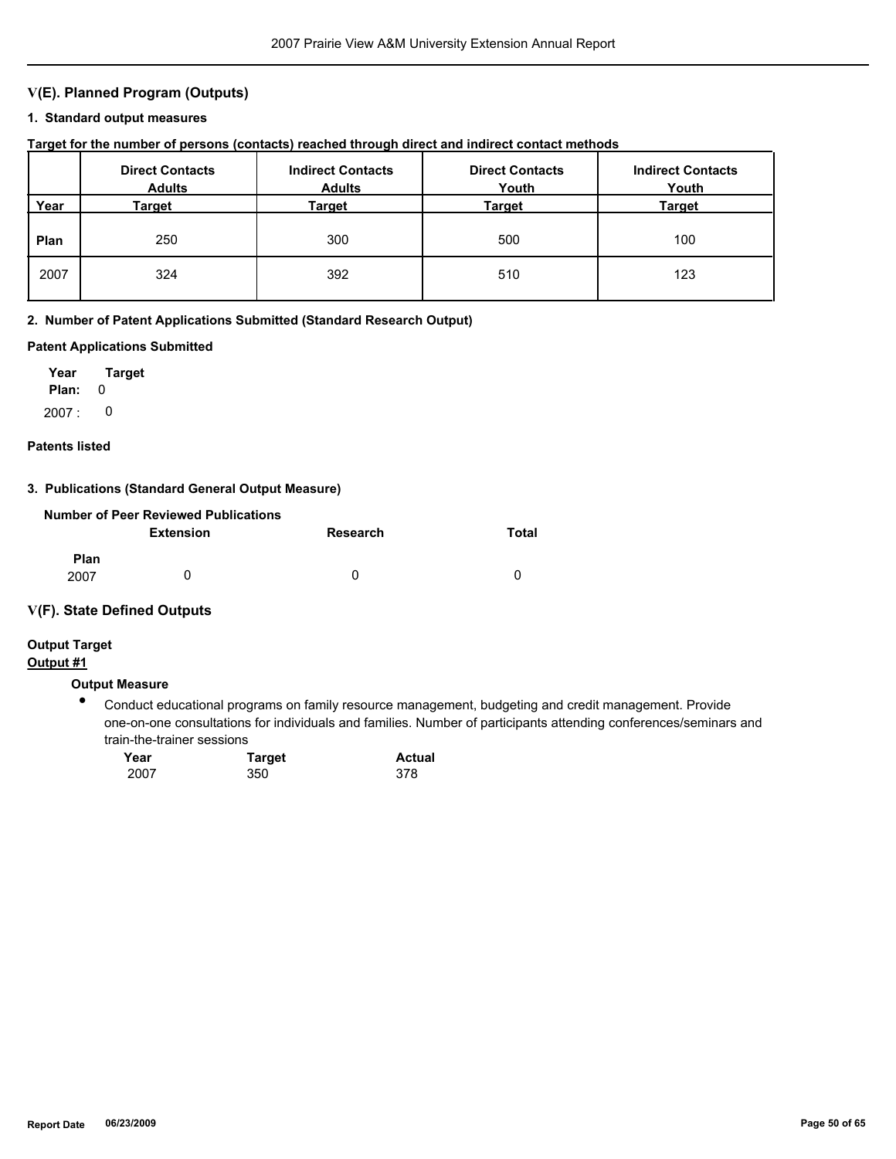## **V(E). Planned Program (Outputs)**

## **1. Standard output measures**

## **Target for the number of persons (contacts) reached through direct and indirect contact methods**

|      | <b>Direct Contacts</b><br><b>Adults</b> | <b>Indirect Contacts</b><br><b>Adults</b> | <b>Direct Contacts</b><br>Youth | <b>Indirect Contacts</b><br>Youth |
|------|-----------------------------------------|-------------------------------------------|---------------------------------|-----------------------------------|
| Year | Target                                  | Target                                    | Target                          | Target                            |
| Plan | 250                                     | 300                                       | 500                             | 100                               |
| 2007 | 324                                     | 392                                       | 510                             | 123                               |

#### **2. Number of Patent Applications Submitted (Standard Research Output)**

#### **Patent Applications Submitted**

**Plan:** 0 **Year Target** 2007 : 0

#### **Patents listed**

## **3. Publications (Standard General Output Measure)**

|             | <b>Number of Peer Reviewed Publications</b> |          |          |
|-------------|---------------------------------------------|----------|----------|
|             | Extension                                   | Research | Total    |
| <b>Plan</b> |                                             |          |          |
| 2007        |                                             | 0        | $\Omega$ |

#### **V(F). State Defined Outputs**

# **Output Target**

## **Output #1**

## **Output Measure**

● Conduct educational programs on family resource management, budgeting and credit management. Provide one-on-one consultations for individuals and families. Number of participants attending conferences/seminars and train-the-trainer sessions

| Year | <b>Target</b> | <b>Actual</b> |
|------|---------------|---------------|
| 2007 | 350           | 378           |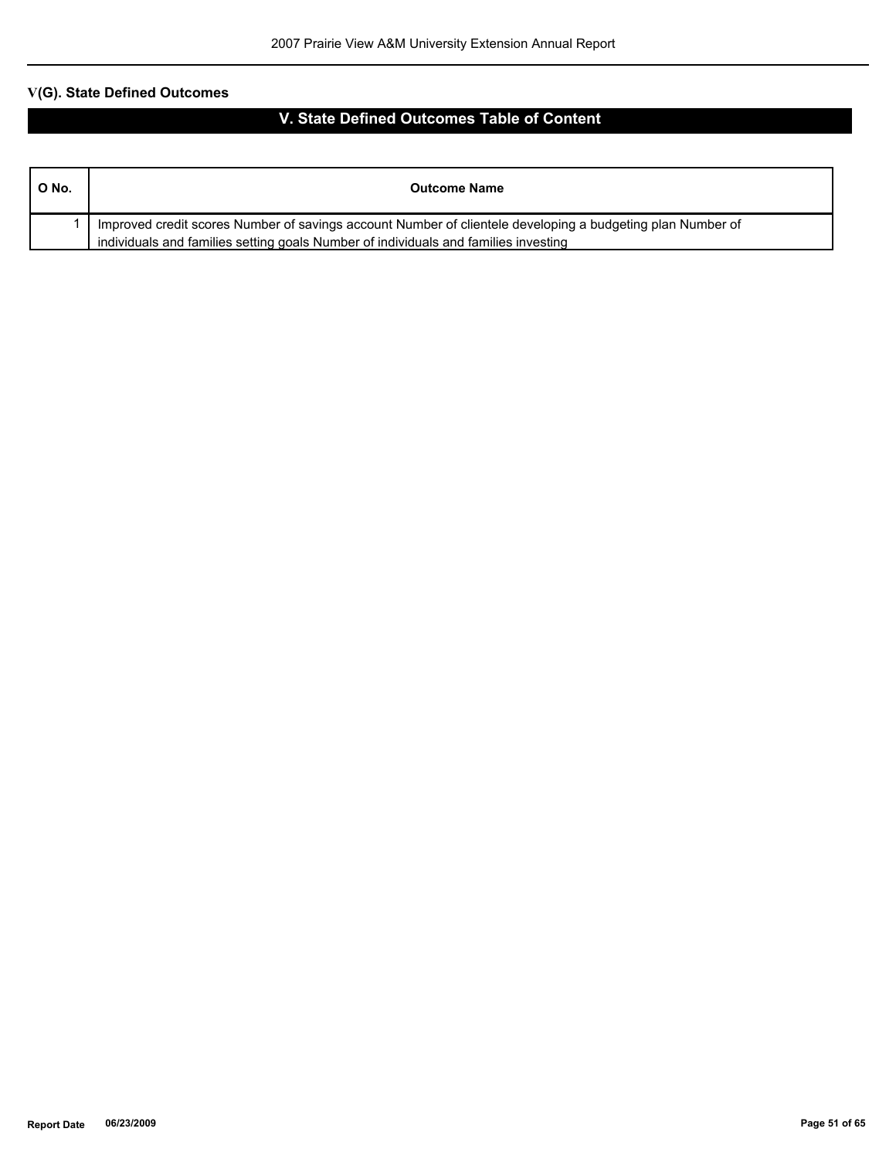| O No. | <b>Outcome Name</b>                                                                                                                                                                               |
|-------|---------------------------------------------------------------------------------------------------------------------------------------------------------------------------------------------------|
|       | Improved credit scores Number of savings account Number of clientele developing a budgeting plan Number of<br>individuals and families setting goals Number of individuals and families investing |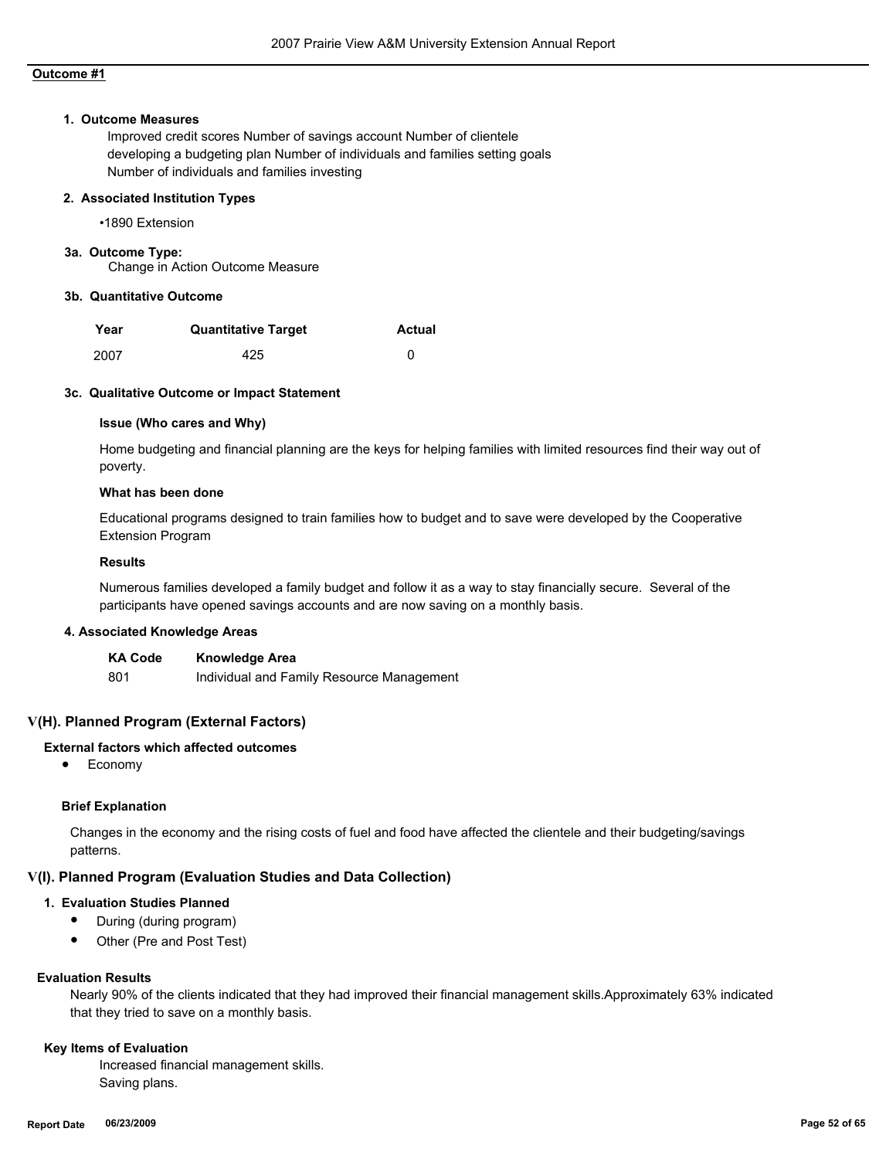#### **1. Outcome Measures**

Improved credit scores Number of savings account Number of clientele developing a budgeting plan Number of individuals and families setting goals Number of individuals and families investing

#### **2. Associated Institution Types**

•1890 Extension

#### **3a. Outcome Type:**

Change in Action Outcome Measure

#### **3b. Quantitative Outcome**

| Year | <b>Quantitative Target</b> | <b>Actual</b> |
|------|----------------------------|---------------|
| 2007 | 425                        |               |

#### **3c. Qualitative Outcome or Impact Statement**

#### **Issue (Who cares and Why)**

Home budgeting and financial planning are the keys for helping families with limited resources find their way out of poverty.

#### **What has been done**

Educational programs designed to train families how to budget and to save were developed by the Cooperative Extension Program

#### **Results**

Numerous families developed a family budget and follow it as a way to stay financially secure. Several of the participants have opened savings accounts and are now saving on a monthly basis.

#### **4. Associated Knowledge Areas**

| <b>KA Code</b> | <b>Knowledge Area</b>                     |
|----------------|-------------------------------------------|
| 801            | Individual and Family Resource Management |

#### **V(H). Planned Program (External Factors)**

## **External factors which affected outcomes**

● Economy

#### **Brief Explanation**

Changes in the economy and the rising costs of fuel and food have affected the clientele and their budgeting/savings patterns.

#### **V(I). Planned Program (Evaluation Studies and Data Collection)**

#### **1. Evaluation Studies Planned**

- During (during program)
- Other (Pre and Post Test)

#### **Evaluation Results**

Nearly 90% of the clients indicated that they had improved their financial management skills.Approximately 63% indicated that they tried to save on a monthly basis.

#### **Key Items of Evaluation**

 Increased financial management skills. Saving plans.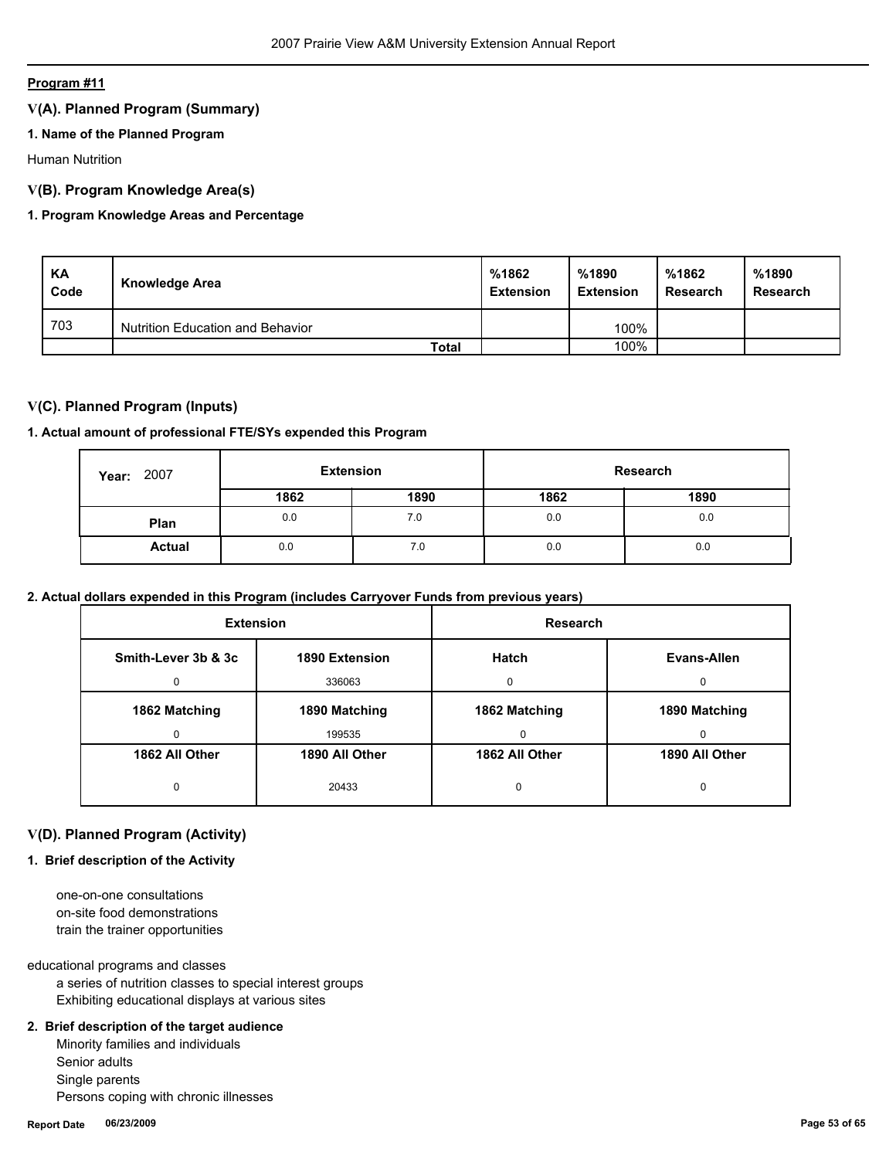## **V(A). Planned Program (Summary)**

## **1. Name of the Planned Program**

Human Nutrition

## **V(B). Program Knowledge Area(s)**

## **1. Program Knowledge Areas and Percentage**

| KA<br>Code | Knowledge Area                   | %1862<br><b>Extension</b> | %1890<br><b>Extension</b> | %1862<br>Research | %1890<br><b>Research</b> |
|------------|----------------------------------|---------------------------|---------------------------|-------------------|--------------------------|
| 703        | Nutrition Education and Behavior |                           | 100%                      |                   |                          |
|            | Total                            |                           | 100%                      |                   |                          |

## **V(C). Planned Program (Inputs)**

#### **1. Actual amount of professional FTE/SYs expended this Program**

| 2007<br>Year: | <b>Extension</b> |      | Research |      |
|---------------|------------------|------|----------|------|
|               | 1862             | 1890 | 1862     | 1890 |
| Plan          | 0.0              | 7.0  | 0.0      | 0.0  |
| <b>Actual</b> | 0.0              | 7.0  | 0.0      | 0.0  |

## **2. Actual dollars expended in this Program (includes Carryover Funds from previous years)**

| <b>Extension</b>    |                | Research       |                |
|---------------------|----------------|----------------|----------------|
| Smith-Lever 3b & 3c | 1890 Extension | Hatch          | Evans-Allen    |
|                     | 336063         | $\Omega$       | <sup>0</sup>   |
| 1862 Matching       | 1890 Matching  | 1862 Matching  | 1890 Matching  |
|                     | 199535         | 0              | $\Omega$       |
| 1862 All Other      | 1890 All Other | 1862 All Other | 1890 All Other |
| 0                   | 20433          | 0              | O              |

## **V(D). Planned Program (Activity)**

## **1. Brief description of the Activity**

 one-on-one consultations on-site food demonstrations train the trainer opportunities

educational programs and classes

 a series of nutrition classes to special interest groups Exhibiting educational displays at various sites

## **2. Brief description of the target audience**

 Minority families and individuals Senior adults Single parents Persons coping with chronic illnesses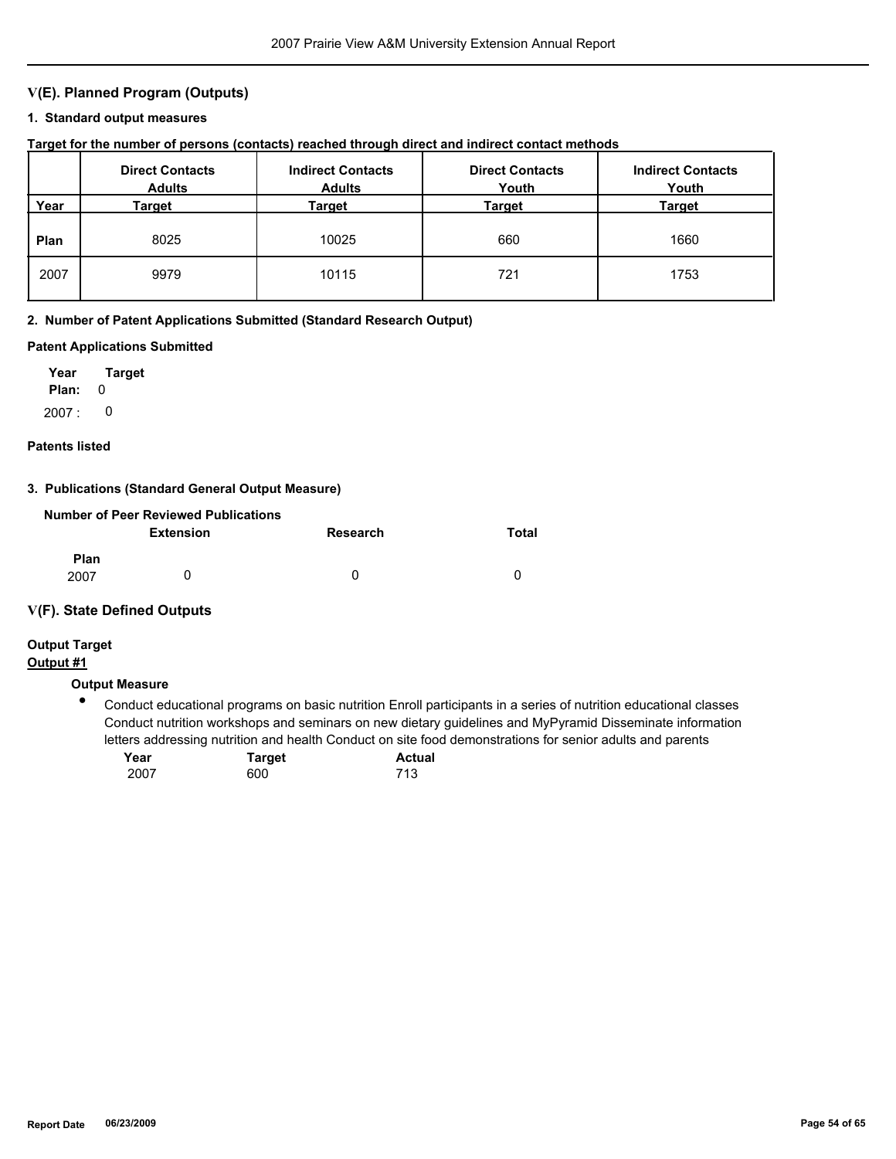## **V(E). Planned Program (Outputs)**

#### **1. Standard output measures**

## **Target for the number of persons (contacts) reached through direct and indirect contact methods**

|      | <b>Direct Contacts</b><br><b>Adults</b> | <b>Indirect Contacts</b><br><b>Adults</b> | <b>Direct Contacts</b><br>Youth | <b>Indirect Contacts</b><br>Youth |
|------|-----------------------------------------|-------------------------------------------|---------------------------------|-----------------------------------|
| Year | Target                                  | Target                                    | Target                          | <b>Target</b>                     |
| Plan | 8025                                    | 10025                                     | 660                             | 1660                              |
| 2007 | 9979                                    | 10115                                     | 721                             | 1753                              |

#### **2. Number of Patent Applications Submitted (Standard Research Output)**

#### **Patent Applications Submitted**

**Plan:** 0 **Year Target**  $2007: 0$ 

#### **Patents listed**

#### **3. Publications (Standard General Output Measure)**

|                     | Number of Peer Reviewed Publications |          |       |
|---------------------|--------------------------------------|----------|-------|
|                     | <b>Extension</b>                     | Research | Total |
| <b>Plan</b><br>2007 |                                      | 0        | n     |

#### **V(F). State Defined Outputs**

## **Output Target**

## **Output #1**

## **Output Measure**

● Conduct educational programs on basic nutrition Enroll participants in a series of nutrition educational classes Conduct nutrition workshops and seminars on new dietary guidelines and MyPyramid Disseminate information letters addressing nutrition and health Conduct on site food demonstrations for senior adults and parents

| Year | Target | <b>Actual</b> |
|------|--------|---------------|
| 2007 | 600    | 713           |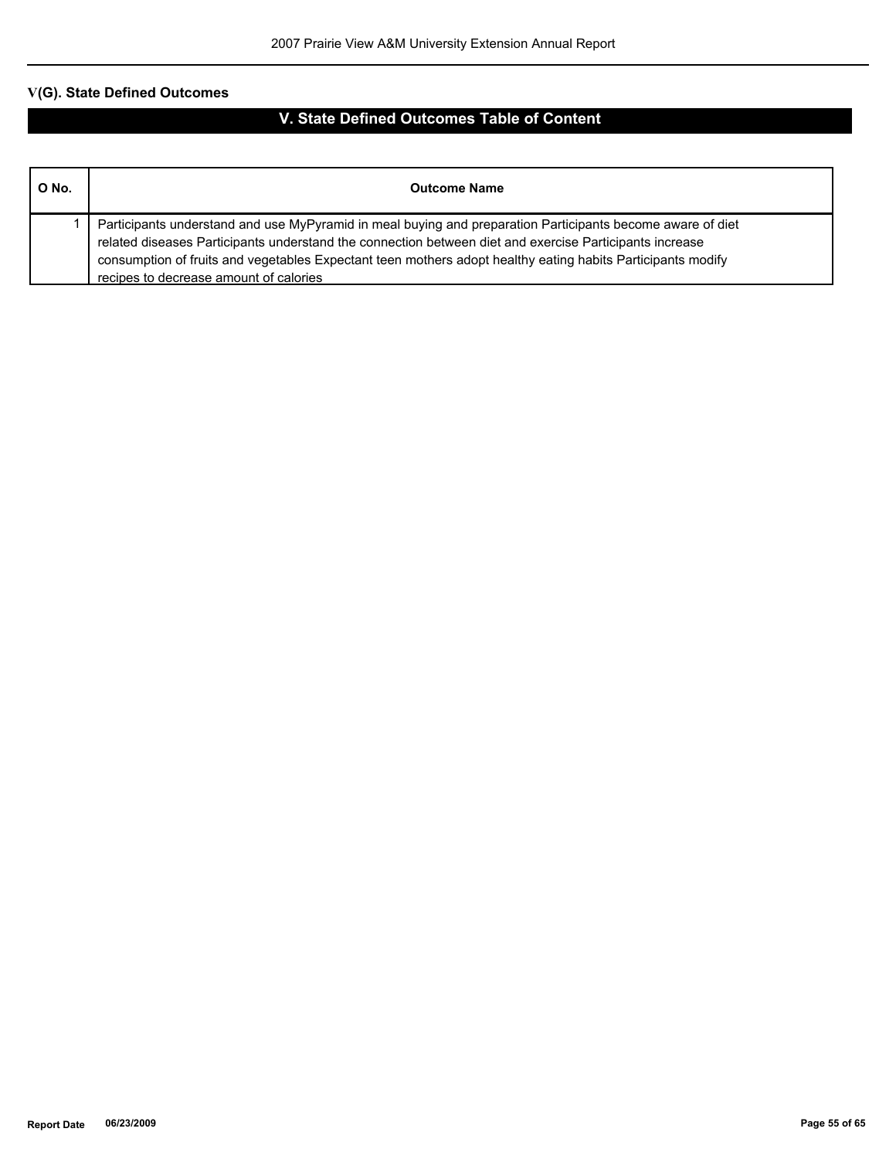| O No. | <b>Outcome Name</b>                                                                                                                                                                                                                                                                                                                                                            |
|-------|--------------------------------------------------------------------------------------------------------------------------------------------------------------------------------------------------------------------------------------------------------------------------------------------------------------------------------------------------------------------------------|
|       | Participants understand and use MyPyramid in meal buying and preparation Participants become aware of diet<br>related diseases Participants understand the connection between diet and exercise Participants increase<br>consumption of fruits and vegetables Expectant teen mothers adopt healthy eating habits Participants modify<br>recipes to decrease amount of calories |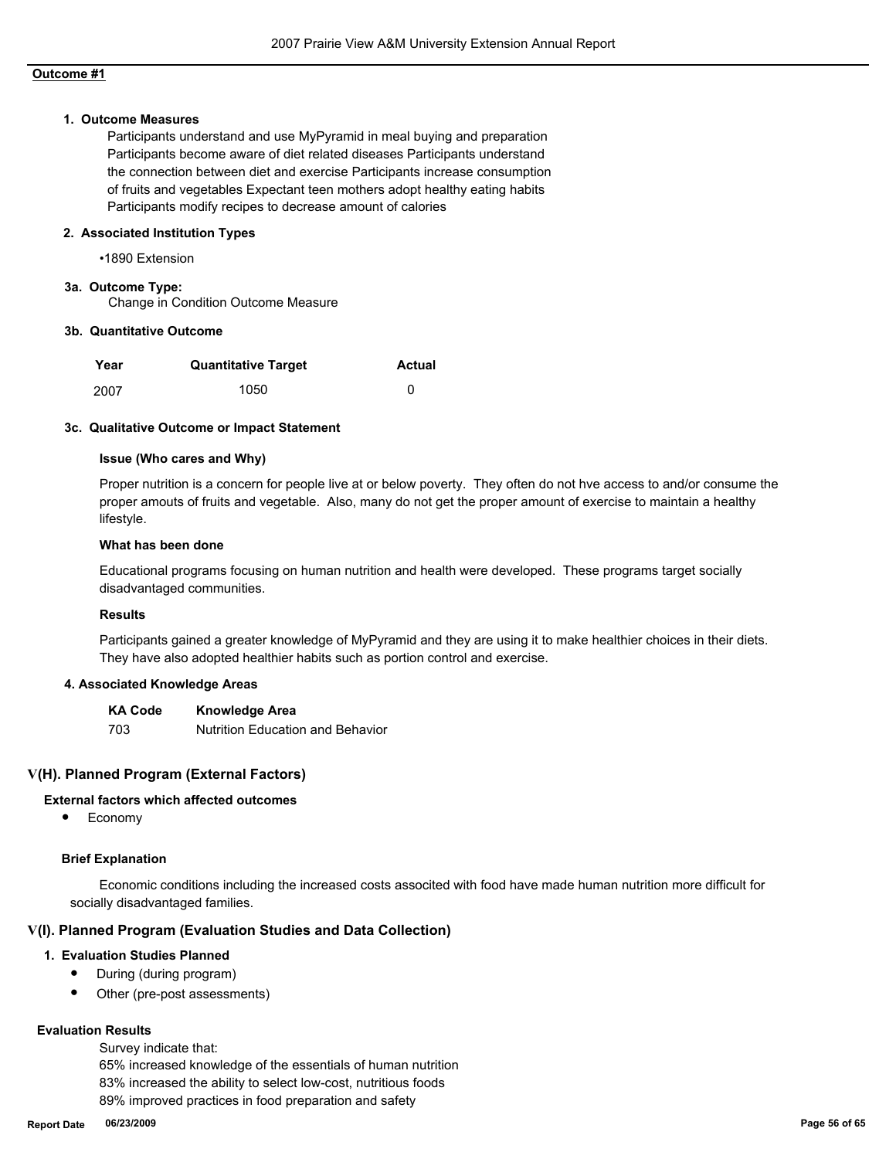#### **1. Outcome Measures**

Participants understand and use MyPyramid in meal buying and preparation Participants become aware of diet related diseases Participants understand the connection between diet and exercise Participants increase consumption of fruits and vegetables Expectant teen mothers adopt healthy eating habits Participants modify recipes to decrease amount of calories

#### **2. Associated Institution Types**

•1890 Extension

## **3a. Outcome Type:**

Change in Condition Outcome Measure

#### **3b. Quantitative Outcome**

| Year | <b>Quantitative Target</b> | <b>Actual</b> |
|------|----------------------------|---------------|
| 2007 | 1050                       |               |

#### **3c. Qualitative Outcome or Impact Statement**

#### **Issue (Who cares and Why)**

Proper nutrition is a concern for people live at or below poverty. They often do not hve access to and/or consume the proper amouts of fruits and vegetable. Also, many do not get the proper amount of exercise to maintain a healthy lifestyle.

#### **What has been done**

Educational programs focusing on human nutrition and health were developed. These programs target socially disadvantaged communities.

#### **Results**

Participants gained a greater knowledge of MyPyramid and they are using it to make healthier choices in their diets. They have also adopted healthier habits such as portion control and exercise.

#### **4. Associated Knowledge Areas**

**KA Code Knowledge Area** 703 Nutrition Education and Behavior

## **V(H). Planned Program (External Factors)**

#### **External factors which affected outcomes**

● Economy

#### **Brief Explanation**

 Economic conditions including the increased costs associted with food have made human nutrition more difficult for socially disadvantaged families.

#### **V(I). Planned Program (Evaluation Studies and Data Collection)**

#### **1. Evaluation Studies Planned**

- During (during program)
- Other (pre-post assessments)

#### **Evaluation Results**

Survey indicate that:

 65% increased knowledge of the essentials of human nutrition 83% increased the ability to select low-cost, nutritious foods 89% improved practices in food preparation and safety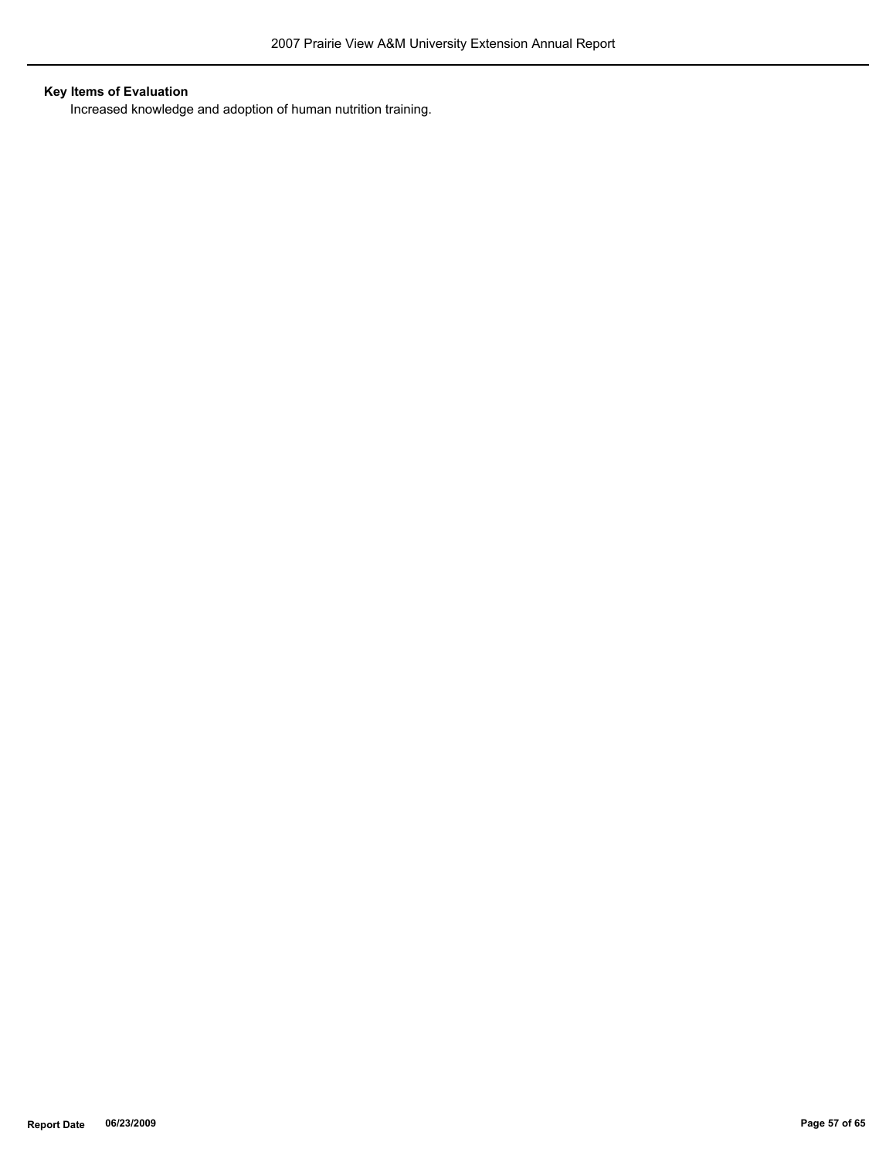# **Key Items of Evaluation**

Increased knowledge and adoption of human nutrition training.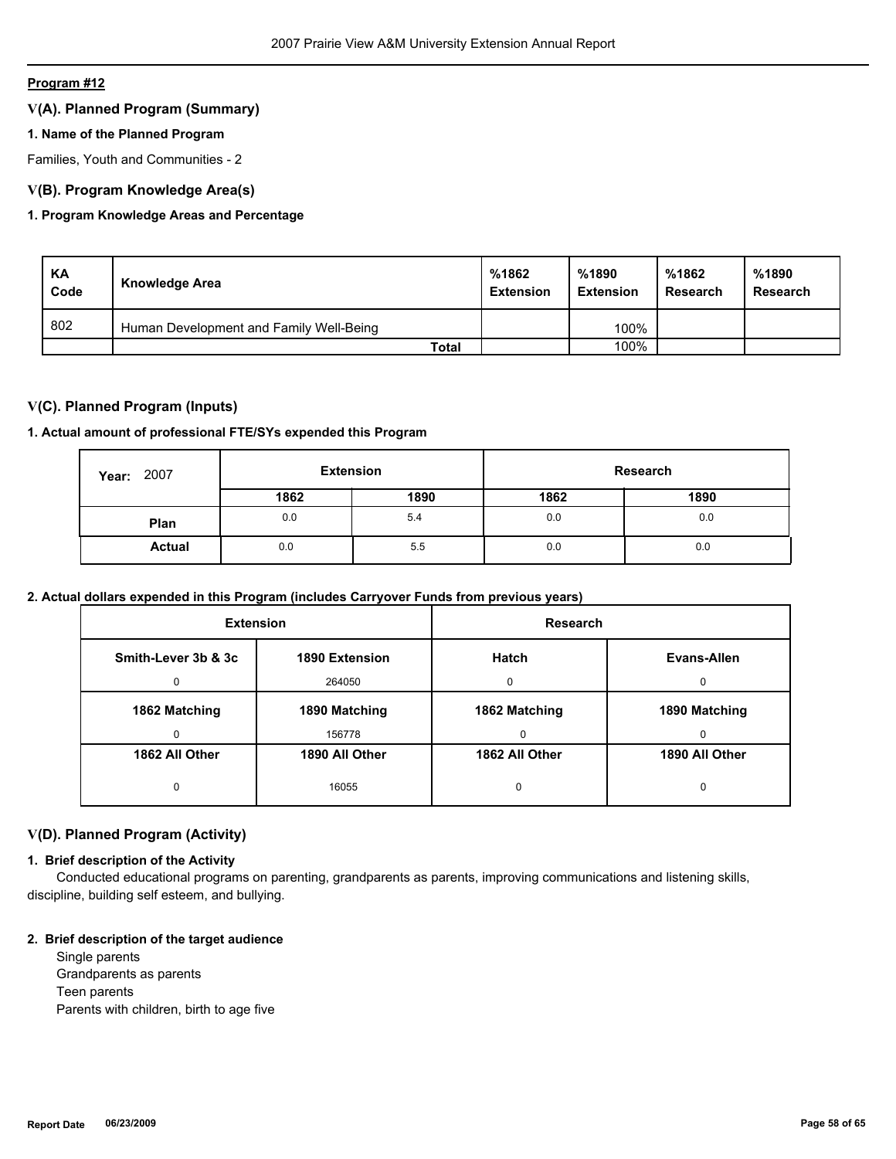## **V(A). Planned Program (Summary)**

## **1. Name of the Planned Program**

Families, Youth and Communities - 2

## **V(B). Program Knowledge Area(s)**

## **1. Program Knowledge Areas and Percentage**

| KA<br>Code | Knowledge Area                          | %1862<br><b>Extension</b> | %1890<br><b>Extension</b> | %1862<br>Research | %1890<br>Research |
|------------|-----------------------------------------|---------------------------|---------------------------|-------------------|-------------------|
| 802        | Human Development and Family Well-Being |                           | 100%                      |                   |                   |
|            | <b>Total</b>                            |                           | 100%                      |                   |                   |

## **V(C). Planned Program (Inputs)**

#### **1. Actual amount of professional FTE/SYs expended this Program**

| 2007<br>Year: | <b>Extension</b> |      | Research |      |
|---------------|------------------|------|----------|------|
|               | 1862             | 1890 | 1862     | 1890 |
| Plan          | 0.0              | 5.4  | 0.0      | 0.0  |
| <b>Actual</b> | 0.0              | 5.5  | 0.0      | 0.0  |

## **2. Actual dollars expended in this Program (includes Carryover Funds from previous years)**

| <b>Extension</b>    |                | <b>Research</b> |                |
|---------------------|----------------|-----------------|----------------|
| Smith-Lever 3b & 3c | 1890 Extension | Hatch           | Evans-Allen    |
| 0                   | 264050         | $\Omega$        | 0              |
| 1862 Matching       | 1890 Matching  | 1862 Matching   | 1890 Matching  |
| 0                   | 156778         | 0               | 0              |
| 1862 All Other      | 1890 All Other | 1862 All Other  | 1890 All Other |
| 0                   | 16055          | 0               | 0              |

## **V(D). Planned Program (Activity)**

## **1. Brief description of the Activity**

 Conducted educational programs on parenting, grandparents as parents, improving communications and listening skills, discipline, building self esteem, and bullying.

#### **2. Brief description of the target audience**

 Single parents Grandparents as parents Teen parents Parents with children, birth to age five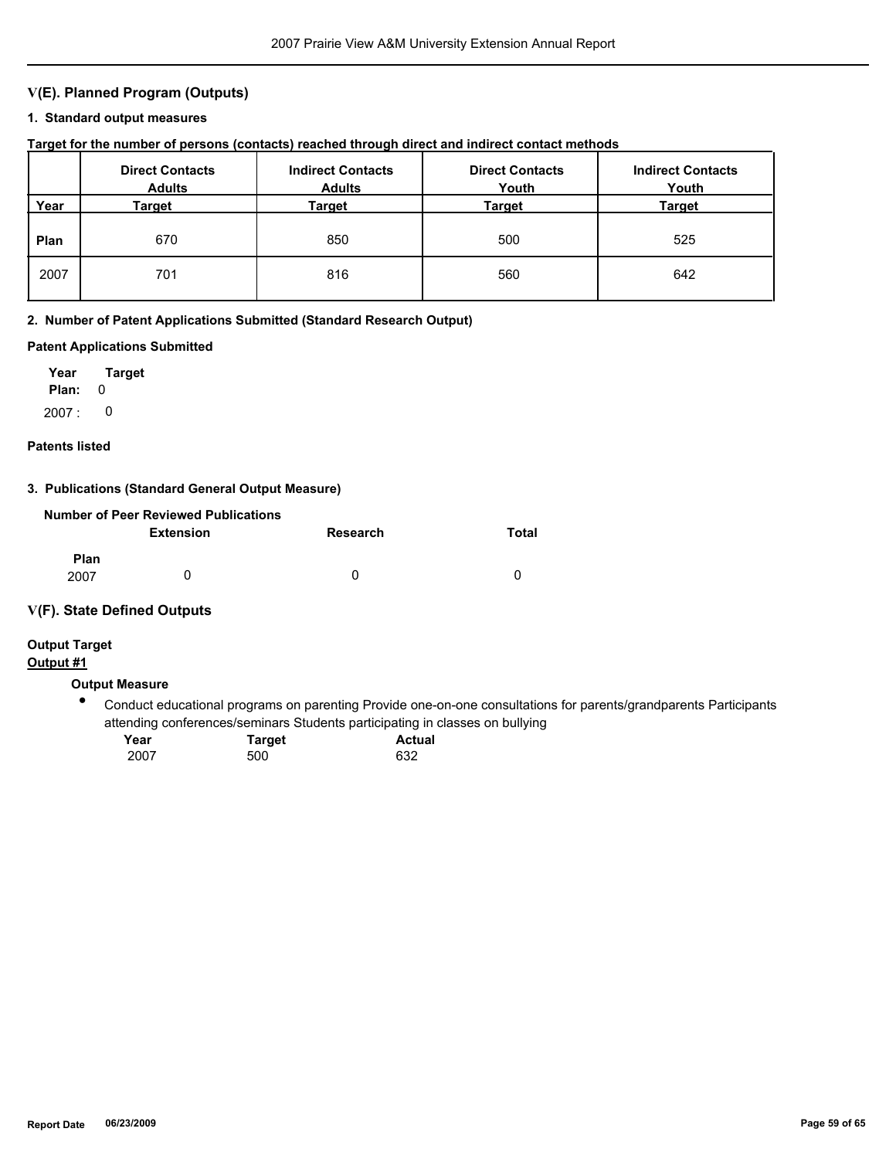## **V(E). Planned Program (Outputs)**

### **1. Standard output measures**

## **Target for the number of persons (contacts) reached through direct and indirect contact methods**

|      | <b>Direct Contacts</b><br><b>Adults</b> | <b>Indirect Contacts</b><br><b>Adults</b> | <b>Direct Contacts</b><br>Youth | <b>Indirect Contacts</b><br>Youth |
|------|-----------------------------------------|-------------------------------------------|---------------------------------|-----------------------------------|
| Year | Target                                  | Target                                    | Target                          | <b>Target</b>                     |
| Plan | 670                                     | 850                                       | 500                             | 525                               |
| 2007 | 701                                     | 816                                       | 560                             | 642                               |

#### **2. Number of Patent Applications Submitted (Standard Research Output)**

#### **Patent Applications Submitted**

**Plan:** 0 **Year Target** 2007 : 0

#### **Patents listed**

## **3. Publications (Standard General Output Measure)**

|                     | Number of Peer Reviewed Publications |                 |       |
|---------------------|--------------------------------------|-----------------|-------|
|                     | <b>Extension</b>                     | <b>Research</b> | Total |
| <b>Plan</b><br>2007 | O                                    | n               | n     |

#### **V(F). State Defined Outputs**

## **Output Target**

## **Output #1**

## **Output Measure**

 $\bullet$ Conduct educational programs on parenting Provide one-on-one consultations for parents/grandparents Participants attending conferences/seminars Students participating in classes on bullying

| Year | <b>Target</b> | <b>Actual</b> |
|------|---------------|---------------|
| 2007 | 500           | 632           |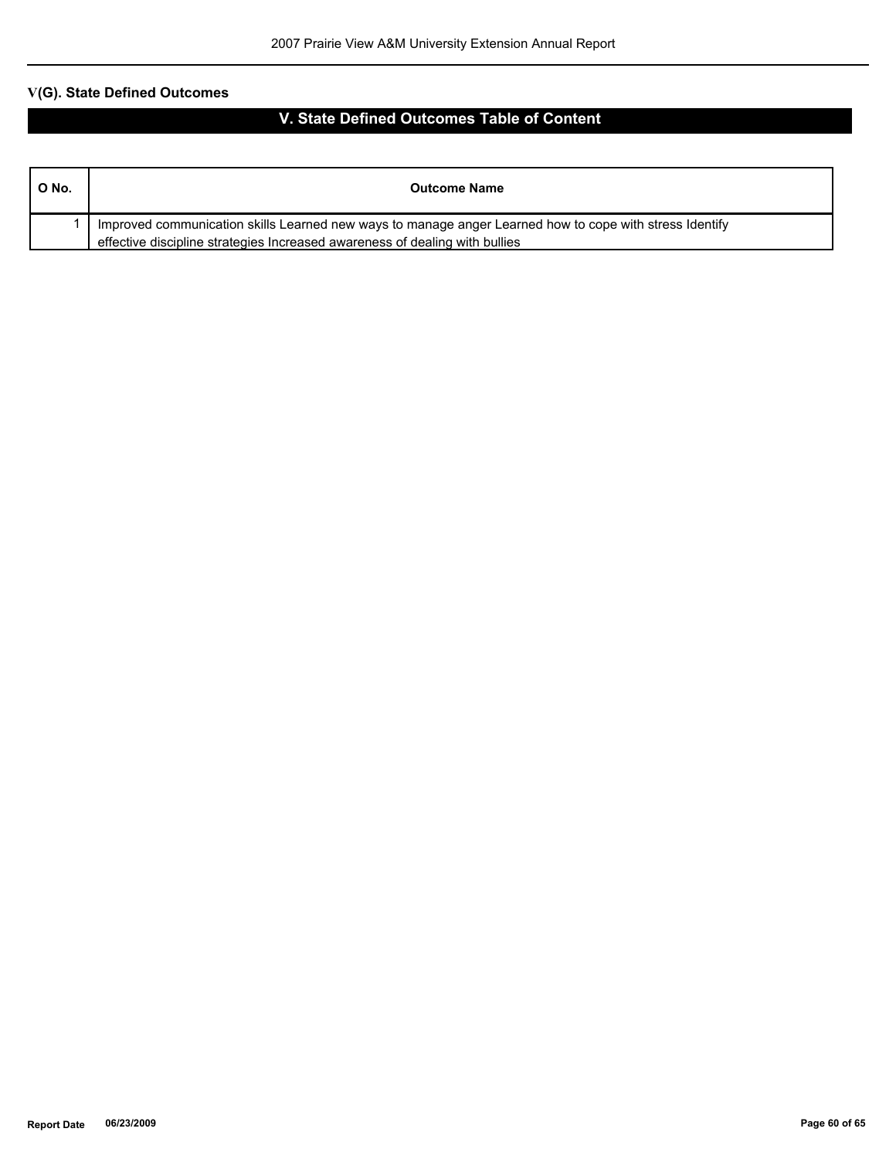| ONo. | <b>Outcome Name</b>                                                                                                                                                                    |
|------|----------------------------------------------------------------------------------------------------------------------------------------------------------------------------------------|
|      | Improved communication skills Learned new ways to manage anger Learned how to cope with stress Identify<br>effective discipline strategies Increased awareness of dealing with bullies |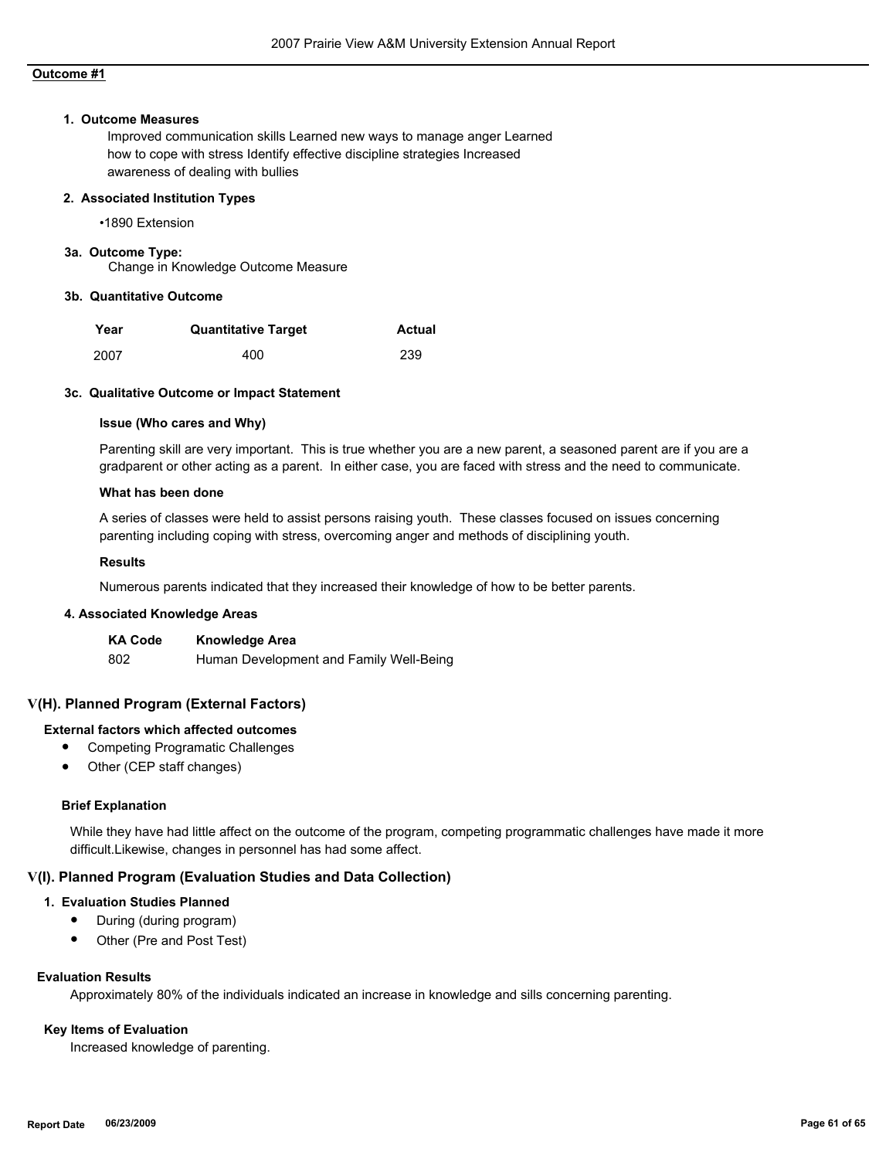#### **1. Outcome Measures**

Improved communication skills Learned new ways to manage anger Learned how to cope with stress Identify effective discipline strategies Increased awareness of dealing with bullies

#### **2. Associated Institution Types**

•1890 Extension

#### **3a. Outcome Type:**

Change in Knowledge Outcome Measure

#### **3b. Quantitative Outcome**

| Year | <b>Quantitative Target</b> | <b>Actual</b> |
|------|----------------------------|---------------|
| 2007 | 400                        | 239           |

#### **3c. Qualitative Outcome or Impact Statement**

#### **Issue (Who cares and Why)**

Parenting skill are very important. This is true whether you are a new parent, a seasoned parent are if you are a gradparent or other acting as a parent. In either case, you are faced with stress and the need to communicate.

#### **What has been done**

A series of classes were held to assist persons raising youth. These classes focused on issues concerning parenting including coping with stress, overcoming anger and methods of disciplining youth.

### **Results**

Numerous parents indicated that they increased their knowledge of how to be better parents.

#### **4. Associated Knowledge Areas**

| <b>KA Code</b> | <b>Knowledge Area</b>                   |
|----------------|-----------------------------------------|
| -802           | Human Development and Family Well-Being |

#### **V(H). Planned Program (External Factors)**

#### **External factors which affected outcomes**

- Competing Programatic Challenges
- Other (CEP staff changes)

#### **Brief Explanation**

While they have had little affect on the outcome of the program, competing programmatic challenges have made it more difficult.Likewise, changes in personnel has had some affect.

#### **V(I). Planned Program (Evaluation Studies and Data Collection)**

#### **1. Evaluation Studies Planned**

- During (during program)
- Other (Pre and Post Test)

#### **Evaluation Results**

Approximately 80% of the individuals indicated an increase in knowledge and sills concerning parenting.

#### **Key Items of Evaluation**

Increased knowledge of parenting.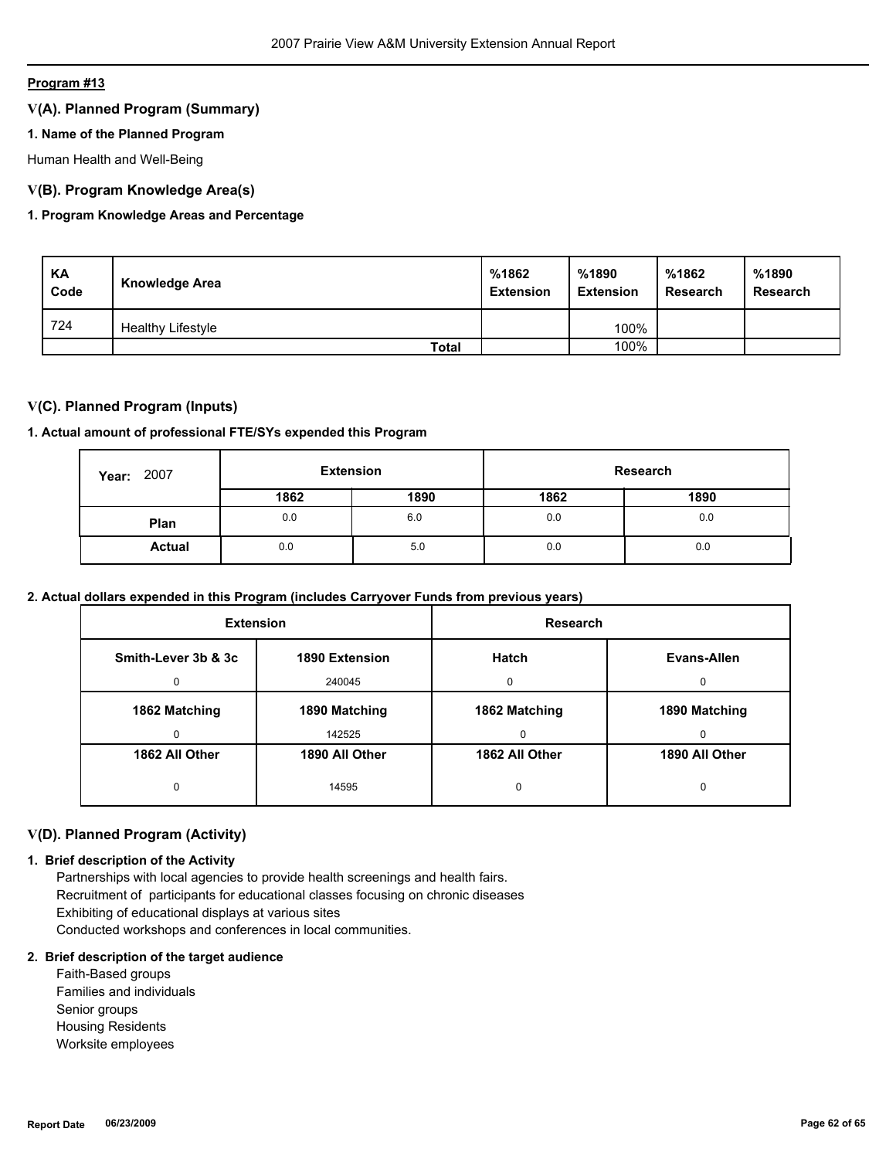## **V(A). Planned Program (Summary)**

## **1. Name of the Planned Program**

Human Health and Well-Being

## **V(B). Program Knowledge Area(s)**

## **1. Program Knowledge Areas and Percentage**

| KA<br>Code | <b>Knowledge Area</b>    | %1862<br><b>Extension</b> | %1890<br><b>Extension</b> | %1862<br><b>Research</b> | %1890<br><b>Research</b> |
|------------|--------------------------|---------------------------|---------------------------|--------------------------|--------------------------|
| 724        | <b>Healthy Lifestyle</b> |                           | 100%                      |                          |                          |
|            | <b>Total</b>             |                           | 100%                      |                          |                          |

## **V(C). Planned Program (Inputs)**

#### **1. Actual amount of professional FTE/SYs expended this Program**

| 2007<br>Year: | <b>Extension</b> |      | Research |      |
|---------------|------------------|------|----------|------|
|               | 1862             | 1890 | 1862     | 1890 |
| Plan          | 0.0              | 6.0  | 0.0      | 0.0  |
| <b>Actual</b> | 0.0              | 5.0  | 0.0      | 0.0  |

## **2. Actual dollars expended in this Program (includes Carryover Funds from previous years)**

| <b>Extension</b>    |                | Research       |                |
|---------------------|----------------|----------------|----------------|
| Smith-Lever 3b & 3c | 1890 Extension | Hatch          | Evans-Allen    |
| $\Omega$            | 240045         | $\Omega$       | <sup>0</sup>   |
| 1862 Matching       | 1890 Matching  | 1862 Matching  | 1890 Matching  |
| 0                   | 142525         | $\Omega$       | 0              |
| 1862 All Other      | 1890 All Other | 1862 All Other | 1890 All Other |
| 0                   | 14595          | 0              | 0              |

## **V(D). Planned Program (Activity)**

#### **1. Brief description of the Activity**

 Partnerships with local agencies to provide health screenings and health fairs. Recruitment of participants for educational classes focusing on chronic diseases Exhibiting of educational displays at various sites Conducted workshops and conferences in local communities.

#### **2. Brief description of the target audience**

 Faith-Based groups Families and individuals Senior groups Housing Residents Worksite employees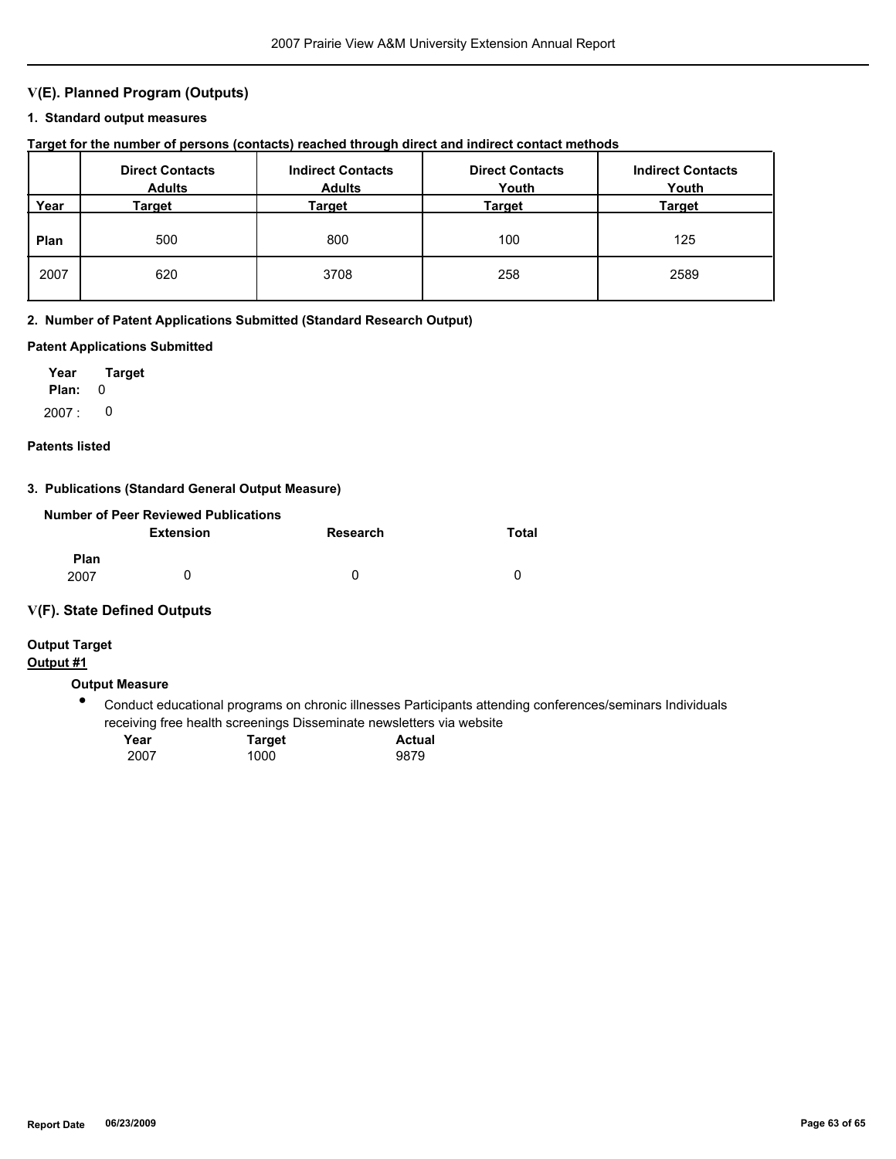## **V(E). Planned Program (Outputs)**

## **1. Standard output measures**

## **Target for the number of persons (contacts) reached through direct and indirect contact methods**

|      | <b>Direct Contacts</b><br><b>Adults</b> | <b>Indirect Contacts</b><br><b>Adults</b> | <b>Direct Contacts</b><br>Youth | <b>Indirect Contacts</b><br>Youth |
|------|-----------------------------------------|-------------------------------------------|---------------------------------|-----------------------------------|
| Year | Target                                  | Target                                    | Target                          | Target                            |
| Plan | 500                                     | 800                                       | 100                             | 125                               |
| 2007 | 620                                     | 3708                                      | 258                             | 2589                              |

#### **2. Number of Patent Applications Submitted (Standard Research Output)**

#### **Patent Applications Submitted**

**Plan:** 0 **Year Target** 2007 : 0

#### **Patents listed**

## **3. Publications (Standard General Output Measure)**

|                     | Number of Peer Reviewed Publications |                 |       |
|---------------------|--------------------------------------|-----------------|-------|
|                     | <b>Extension</b>                     | <b>Research</b> | Total |
| <b>Plan</b><br>2007 | O                                    | n               | n     |

#### **V(F). State Defined Outputs**

## **Output Target**

## **Output #1**

## **Output Measure**

 $\bullet$ Conduct educational programs on chronic illnesses Participants attending conferences/seminars Individuals receiving free health screenings Disseminate newsletters via website

| Year | <b>Target</b> | Actual |
|------|---------------|--------|
| 2007 | 1000          | 9879   |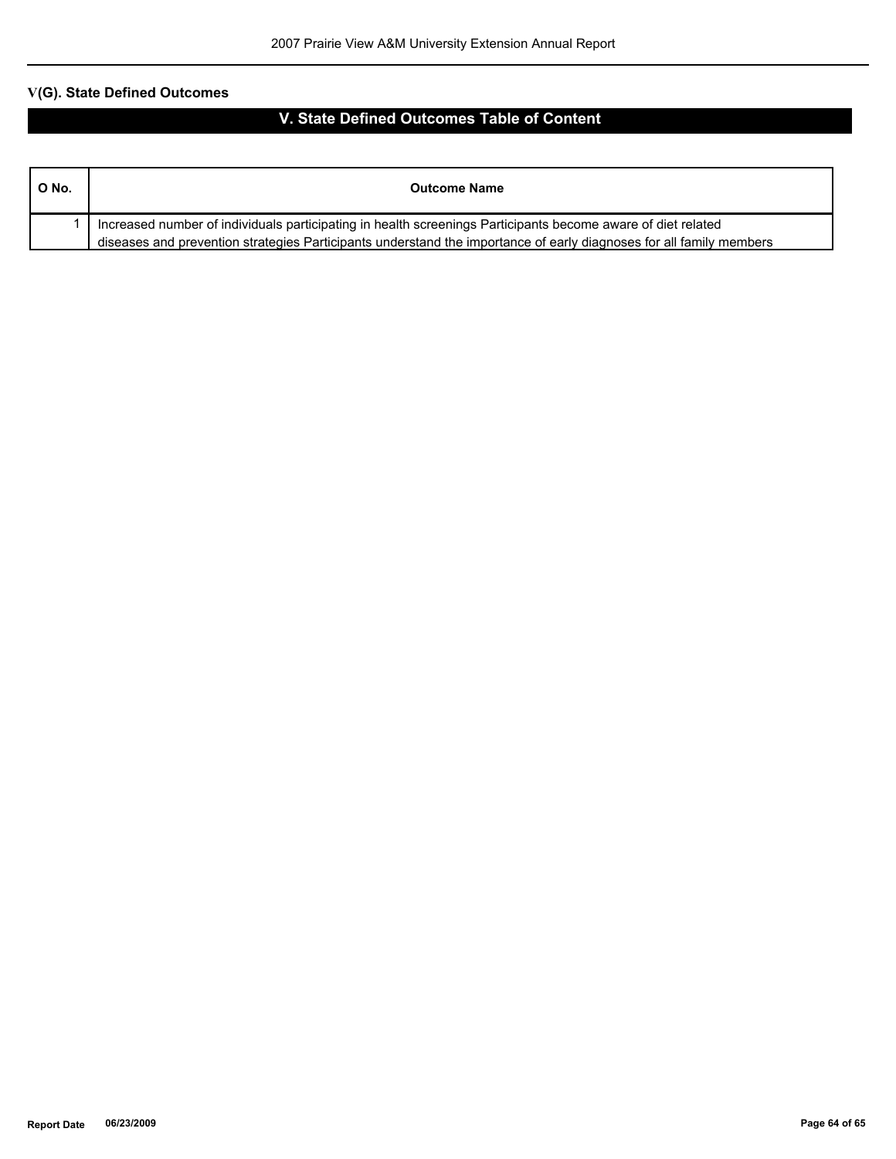| O No. | <b>Outcome Name</b>                                                                                                                                                                                                                 |
|-------|-------------------------------------------------------------------------------------------------------------------------------------------------------------------------------------------------------------------------------------|
|       | Increased number of individuals participating in health screenings Participants become aware of diet related<br>diseases and prevention strategies Participants understand the importance of early diagnoses for all family members |